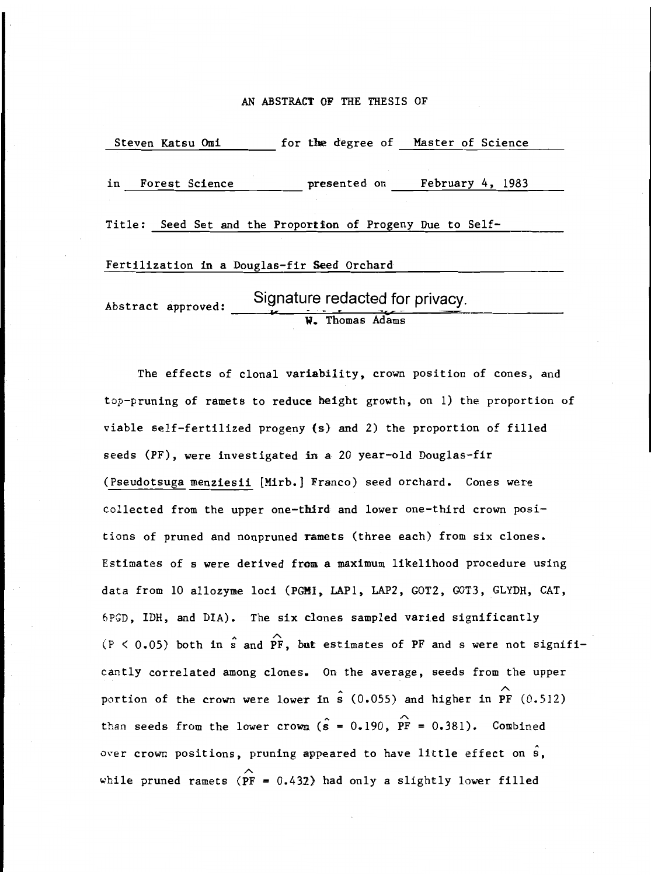#### AN ABSTRACT OF THE THESIS OF

Steven Katsu Omi for the degree of Master of Science in Forest Science presented on February 4, 1983 Title: Seed Set and the Proportion of Progeny Due to Self-Fertilization in a Douglas-fir Seed Orchard Signature redacted for privacy. Abstract approved: W. Thomas Adams

The effects of clonal variability, crown position of cones, and top-pruning of ramets to reduce height growth, on 1) the proportion of viable self-fertilized progeny (s) and 2) the proportion of filled seeds (PF), were investigated in a 20 year-old Douglas-fir (Pseudotsuga menziesii [Mirb.1 Franco) seed orchard. Cones were collected from the upper one-third and lower one-third crown positions of pruned and nonpruned ramets (three each) from six clones. Estimates of s were derived from a maximum likelihood procedure using data from 10 allozyme loci (PGII, LAP1, LAP2, GOT2, GOT3, GLYDH, CAT, 6PGD, IDH, and DIA). The six clones sampled varied significantly  $(P < 0.05)$  both in s and PF, but estimates of PF and s were not significantly correlated among clones. On the average, seeds from the upper portion of the crown were lower in  $\hat{s}$  (0.055) and higher in PF (0.512) than seeds from the lower crown ( $\hat{s} = 0.190$ ,  $\hat{PF} = 0.381$ ). Combined over crown positions, pruning appeared to have little effect on  $\hat{\mathbf{s}}$ , while pruned ramets ( $\overrightarrow{PF}$  = 0.432) had only a slightly lower filled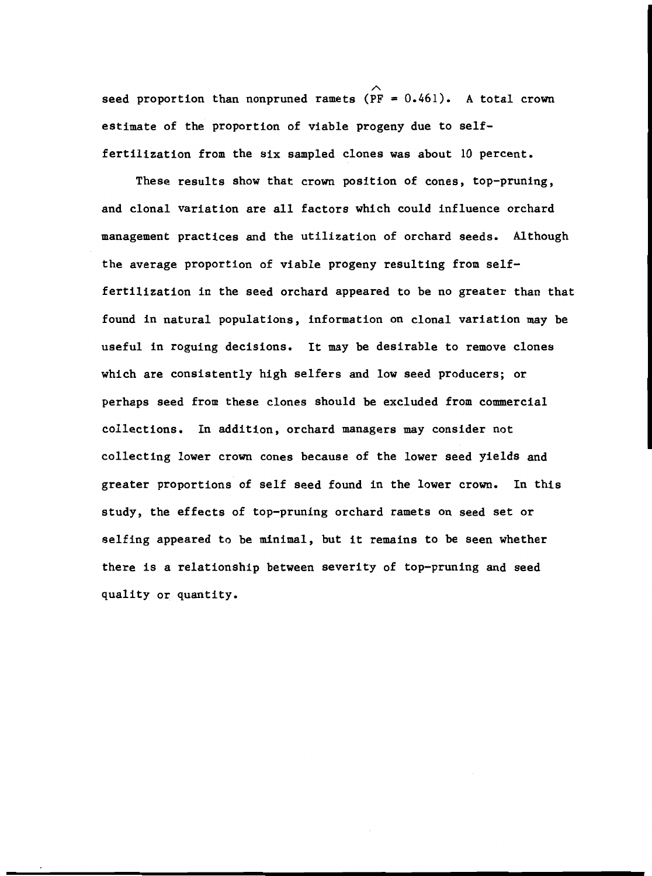seed proportion than nonpruned ramets  $(\overrightarrow{PF} = 0.461)$ . A total crown estimate of the proportion of viable progeny due to selffertilization from the six sampled clones was about 10 percent.

These results show that crown position of cones, top-pruning, and clonal variation are all factors which could influence orchard management practices and the utilization of orchard seeds. Although the average proportion of viable progeny resulting from selffertilization in the seed orchard appeared to be no greater than that found in natural populations, information on clonal variation may be useful in roguing decisions. It may be desirable to remove clones which are consistently high selfers and low seed producers; or perhaps seed from these clones should be excluded from commercial collections. In addition, orchard managers may consider not collecting lower crown cones because of the lower seed yields and greater proportions of self seed found in the lower crown. In this study, the effects of top-pruning orchard ramets on seed set or selfing appeared to be minimal, but it remains to be seen whether there is a relationship between severity of top-pruning and seed quality or quantity.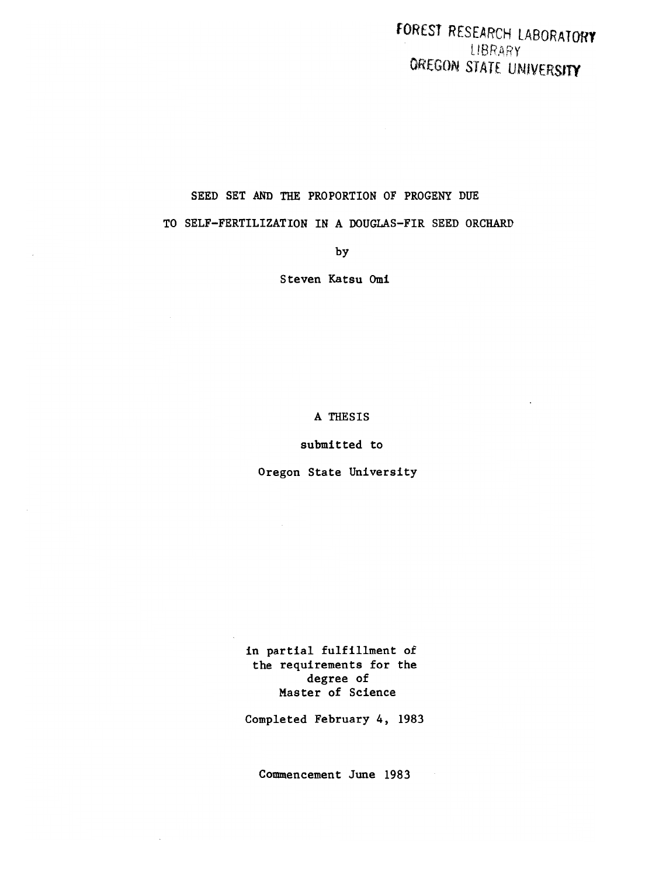FORCSI RESEARCH LABORATORY LIBRARY OREGON STATE UNIVERSITY

# SEED SET AND THE PROPORTION OF PROGENY DUE

TO SELF-FERTILIZATION IN A DOUGLAS-FIR SEED ORCHARD

by

Steven Katsu Omi

A THESIS

submitted to

Oregon State University

in partial fulfillment of the requirements for the degree of Master of Science

Completed February 4, 1983

Commencement June 1983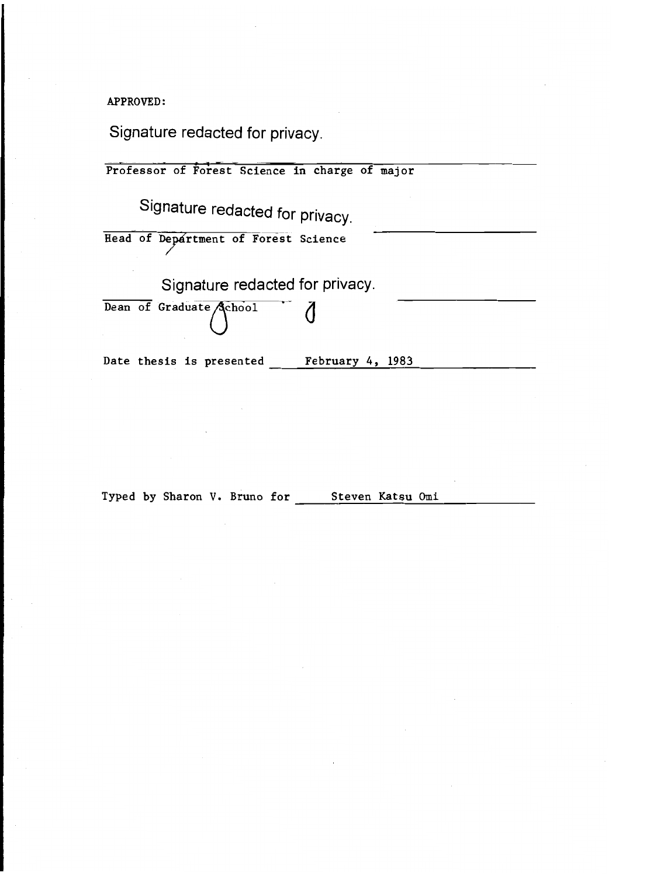APPROVED:

Signature redacted for privacy.

Professor of Forest Science in charge of major Signature redacted for privacy. Head of Department of Forest Science Signature redacted for privacy. Dean of Graduate Achool Date thesis is presented February 4, 1983

Typed by Sharon V. Bruno for Steven Katsu Omi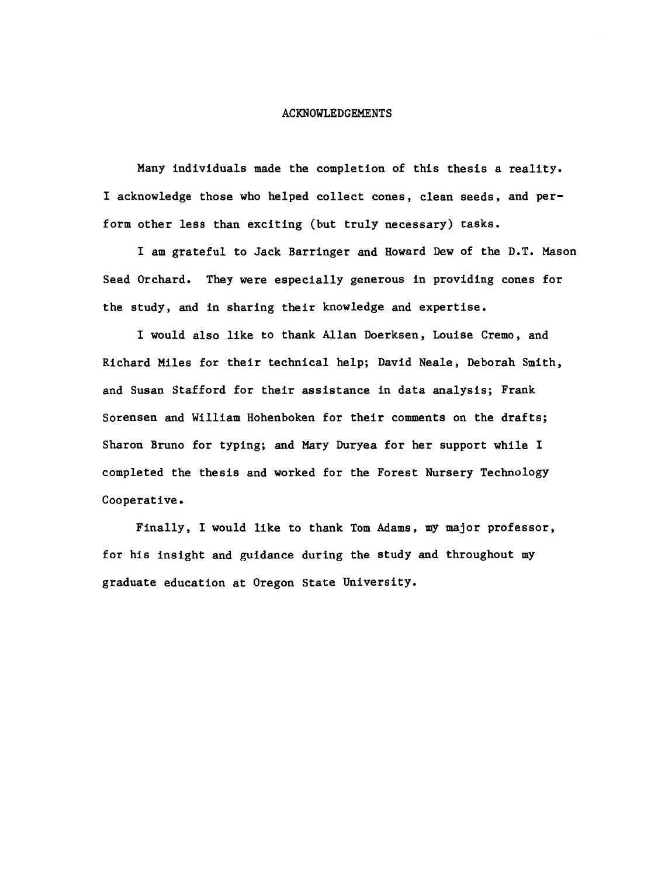## ACKNOWLEDGEMENTS

Many individuals made the completion of this thesis a reality. I acknowledge those who helped collect cones, clean seeds, and perform other less than exciting (but truly necessary) tasks.

I am grateful to Jack Barringer and Howard Dew of the D.T. Mason Seed Orchard. They were especially generous in providing cones for the study, and in sharing their knowledge and expertise.

I would also like to thank Allan Doerksen, Louise Cremo, and Richard Miles for their technical help; David Neale, Deborah Smith, and Susan Stafford for their assistance in data analysis; Frank Sorensen and William Hohenboken for their comments on the drafts; Sharon Bruno for typing; and Mary Duryea for her support while I completed the thesis and worked for the Forest Nursery Technology Cooperative.

Finally, I would like to thank Tom Adams, my major professor, for his insight and guidance during the study and throughout my graduate education at Oregon State University.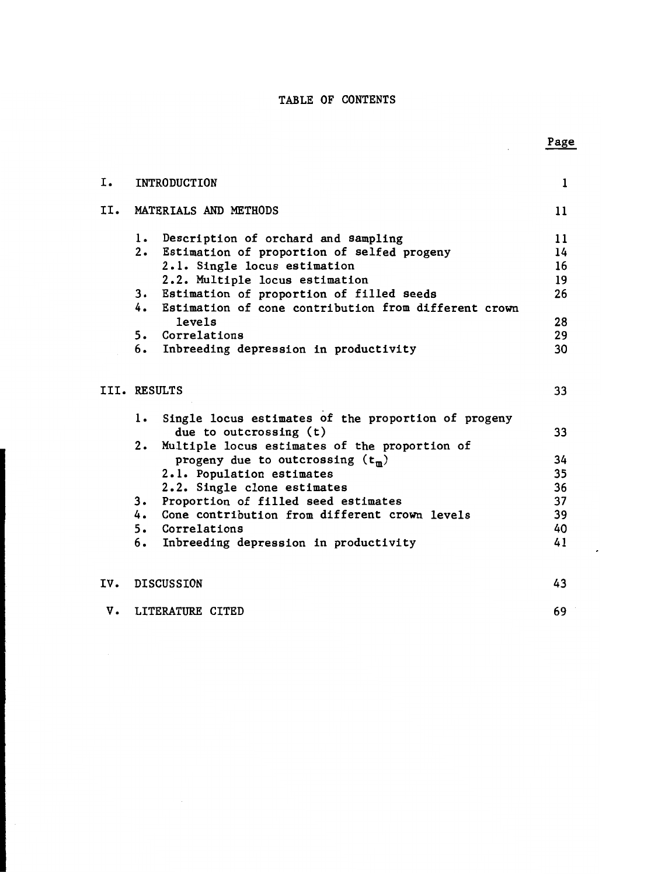# TABLE OF CONTENTS

| Ι.  | <b>INTRODUCTION</b>         |                                                      | 1  |
|-----|-----------------------------|------------------------------------------------------|----|
|     |                             |                                                      |    |
| II. | MATERIALS AND METHODS       |                                                      | 11 |
|     | 1.                          | Description of orchard and sampling                  | 11 |
|     |                             | 2. Estimation of proportion of selfed progeny        | 14 |
|     |                             | 2.1. Single locus estimation                         | 16 |
|     |                             | 2.2. Multiple locus estimation                       | 19 |
|     | 3.                          | Estimation of proportion of filled seeds             | 26 |
|     | 4.                          | Estimation of cone contribution from different crown |    |
|     | levels                      |                                                      | 28 |
|     | 5. Correlations             |                                                      | 29 |
|     | 6.                          | Inbreeding depression in productivity                | 30 |
|     |                             |                                                      |    |
|     | III. RESULTS                |                                                      | 33 |
|     | 1.                          | Single locus estimates of the proportion of progeny  |    |
|     | due to outcrossing (t)      |                                                      | 33 |
|     | 2.                          | Multiple locus estimates of the proportion of        |    |
|     |                             | progeny due to outcrossing $(t_m)$                   | 34 |
|     | 2.1. Population estimates   |                                                      | 35 |
|     | 2.2. Single clone estimates |                                                      | 36 |
|     | 3.                          | Proportion of filled seed estimates                  | 37 |
|     |                             | 4. Cone contribution from different crown levels     | 39 |
|     | 5. Correlations             |                                                      | 40 |
|     | 6.                          | Inbreeding depression in productivity                | 41 |
|     |                             |                                                      |    |
| IV. | <b>DISCUSSION</b>           |                                                      | 43 |
| v.  | LITERATURE CITED            |                                                      | 69 |

# Page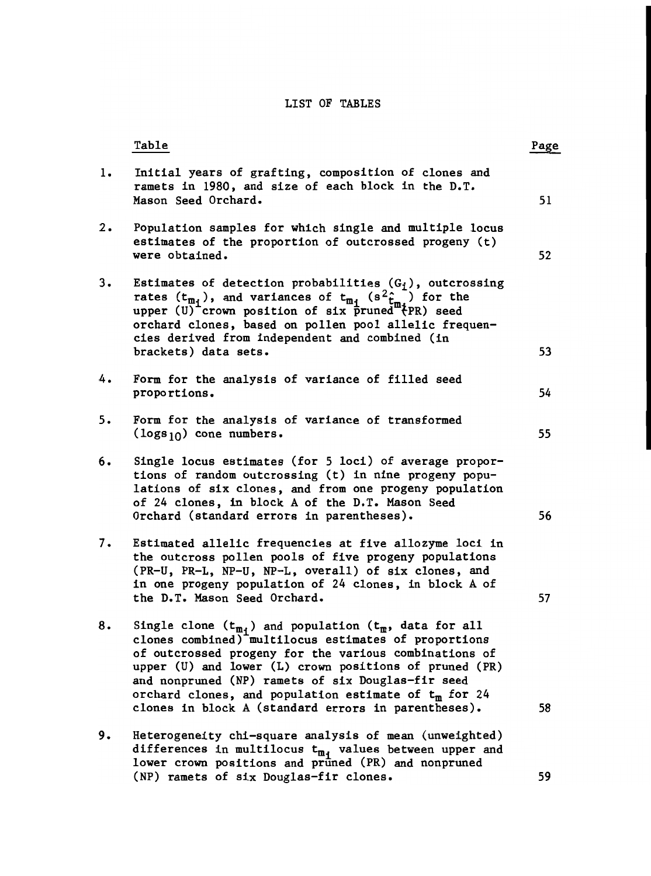# LIST OF TABLES

|    | Table                                                                                                                                                                                                                                                                                                                                                                                                           | Page |
|----|-----------------------------------------------------------------------------------------------------------------------------------------------------------------------------------------------------------------------------------------------------------------------------------------------------------------------------------------------------------------------------------------------------------------|------|
| 1. | Initial years of grafting, composition of clones and<br>ramets in 1980, and size of each block in the D.T.<br>Mason Seed Orchard.                                                                                                                                                                                                                                                                               | 51   |
| 2. | Population samples for which single and multiple locus<br>estimates of the proportion of outcrossed progeny (t)<br>were obtained.                                                                                                                                                                                                                                                                               | 52   |
| 3. | Estimates of detection probabilities $(G_i)$ , outcrossing<br>rates $(t_{m_i})$ , and variances of $t_{m_i}$ ( $s^2 \hat{t}_{m_i}$ ) for the<br>upper (U) crown position of six pruned #{PR) seed<br>orchard clones, based on pollen pool allelic frequen-                                                                                                                                                      |      |
|    | cies derived from independent and combined (in<br>brackets) data sets.                                                                                                                                                                                                                                                                                                                                          | 53   |
| 4. | Form for the analysis of variance of filled seed<br>proportions.                                                                                                                                                                                                                                                                                                                                                | 54   |
| 5. | Form for the analysis of variance of transformed<br>$(\log s_{10})$ cone numbers.                                                                                                                                                                                                                                                                                                                               | 55   |
| 6. | Single locus estimates (for 5 loci) of average propor-<br>tions of random outcrossing (t) in nine progeny popu-<br>lations of six clones, and from one progeny population<br>of 24 clones, in block A of the D.T. Mason Seed<br>Orchard (standard errors in parentheses).                                                                                                                                       | 56   |
| 7. | Estimated allelic frequencies at five allozyme loci in<br>the outcross pollen pools of five progeny populations<br>(PR-U, PR-L, NP-U, NP-L, overall) of six clones, and<br>in one progeny population of 24 clones, in block A of<br>the D.T. Mason Seed Orchard.                                                                                                                                                | 57   |
| 8. | Single clone $(t_{m_i})$ and population $(t_m$ , data for all<br>clones combined) multilocus estimates of proportions<br>of outcrossed progeny for the various combinations of<br>upper (U) and lower (L) crown positions of pruned (PR)<br>and nonpruned (NP) ramets of six Douglas-fir seed<br>orchard clones, and population estimate of $t_m$ for 24<br>clones in block A (standard errors in parentheses). | 58   |
| 9. | Heterogeneity chi-square analysis of mean (unweighted)<br>differences in multilocus $t_{m_i}$ values between upper and lower crown positions and pruned (PR) and nonpruned                                                                                                                                                                                                                                      |      |
|    | (NP) ramets of six Douglas-fir clones.                                                                                                                                                                                                                                                                                                                                                                          | 59   |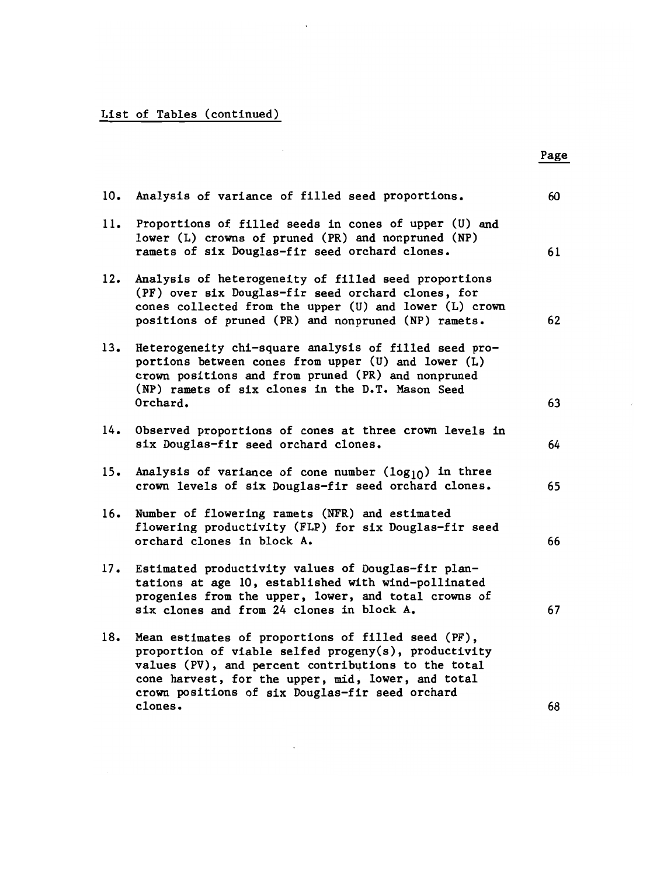# List of Tables (continued)

 $\mathcal{L}_{\text{max}}$ 

| 10. | Analysis of variance of filled seed proportions.                                                                                                                                                                                                                           | 60 |
|-----|----------------------------------------------------------------------------------------------------------------------------------------------------------------------------------------------------------------------------------------------------------------------------|----|
| 11. | Proportions of filled seeds in cones of upper (U) and<br>lower (L) crowns of pruned (PR) and nonpruned (NP)<br>ramets of six Douglas-fir seed orchard clones.                                                                                                              | 61 |
| 12. | Analysis of heterogeneity of filled seed proportions<br>(PF) over six Douglas-fir seed orchard clones, for<br>cones collected from the upper (U) and lower (L) crown<br>positions of pruned (PR) and nonpruned (NP) ramets.                                                | 62 |
| 13. | Heterogeneity chi-square analysis of filled seed pro-<br>portions between cones from upper (U) and lower (L)<br>crown positions and from pruned (PR) and nonpruned<br>(NP) ramets of six clones in the D.T. Mason Seed<br>Orchard.                                         | 63 |
|     |                                                                                                                                                                                                                                                                            |    |
| 14. | Observed proportions of cones at three crown levels in<br>six Douglas-fir seed orchard clones.                                                                                                                                                                             | 64 |
| 15. | Analysis of variance of cone number $(log_{10})$ in three<br>crown levels of six Douglas-fir seed orchard clones.                                                                                                                                                          | 65 |
| 16. | Number of flowering ramets (NFR) and estimated<br>flowering productivity (FLP) for six Douglas-fir seed<br>orchard clones in block A.                                                                                                                                      | 66 |
| 17. | Estimated productivity values of Douglas-fir plan-<br>tations at age 10, established with wind-pollinated<br>progenies from the upper, lower, and total crowns of<br>six clones and from 24 clones in block A.                                                             | 67 |
| 18. | Mean estimates of proportions of filled seed (PF),<br>proportion of viable selfed progeny(s), productivity<br>values (PV), and percent contributions to the total<br>cone harvest, for the upper, mid, lower, and total<br>crown positions of six Douglas-fir seed orchard |    |
|     | clones.                                                                                                                                                                                                                                                                    | 68 |

 $\mathcal{L}^{\text{max}}_{\text{max}}$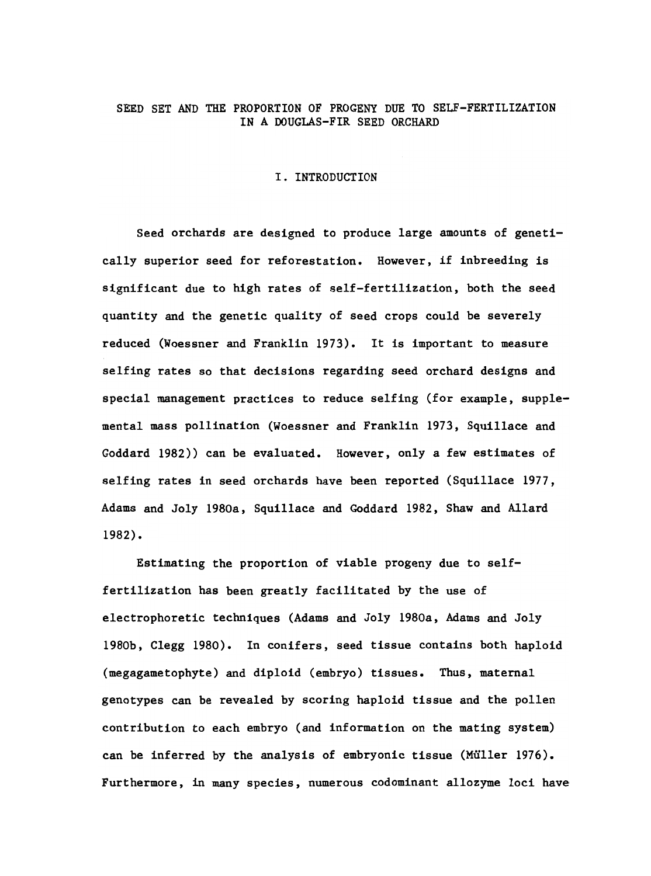# SEED SET AND THE PROPORTION OF PROGENY DUE TO SELF-FERTILIZATION IN A DOUGLAS-FIR SEED ORCHARD

#### I. INTRODUCTION

Seed orchards are designed to produce large amounts of genetically superior seed for reforestation. However, if inbreeding is significant due to high rates of self-fertilization, both the seed quantity and the genetic quality of seed crops could be severely reduced (Woessner and Franklin 1973). It is important to measure selfing rates so that decisions regarding seed orchard designs and special management practices to reduce selfing (for example, supplemental mass pollination (Woessner and Franklin 1973, Squillace and Goddard 1982)) can be evaluated. However, only a few estimates of self ing rates in seed orchards have been reported (Squillace 1977, Adams and Joly 1980a, Squillace and Goddard 1982, Shaw and Allard 1982).

Estimating the proportion of viable progeny due to selffertilization has been greatly facilitated by the use of electrophoretic techniques (Adams and Joly 1980a, Adams and Joly 1980b, Clegg 1980). In conifers, seed tissue contains both haploid (megagametophyte) and diploid (embryo) tissues. Thus, maternal genotypes can be revealed by scoring haploid tissue and the pollen contribution to each embryo (and information on the mating system) can be inferred by the analysis of embryonic tissue (Müller 1976). Furthermore, in many species, numerous codominant allozyme loci have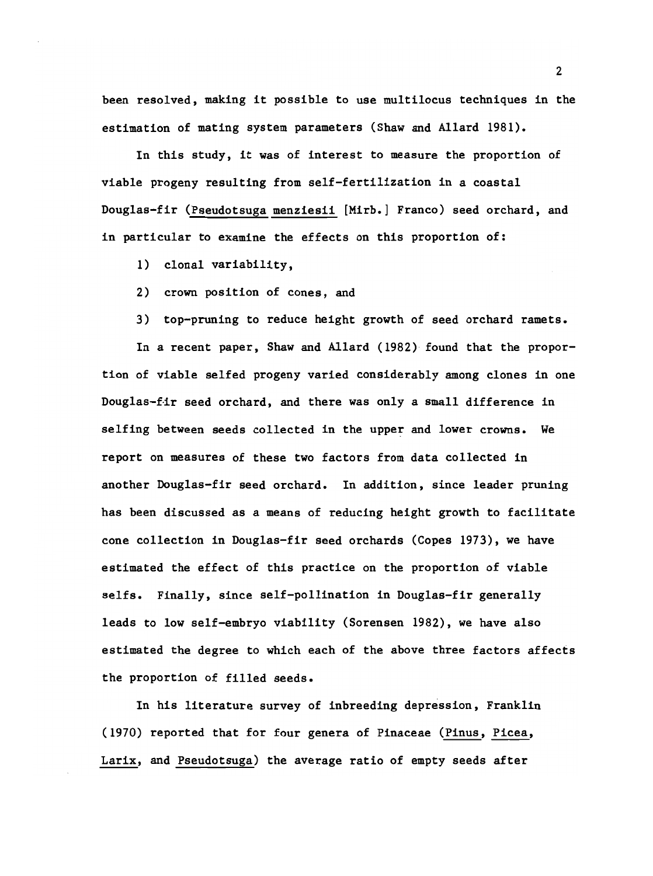been resolved, making it possible to use multilocus techniques in the estimation of mating system parameters (Shaw and Allard 1981).

In this study, it was of interest to measure the proportion of viable progeny resulting from self-fertilization in a coastal Douglas-fir (Pseudotsuga menziesii [Mirb.] Franco) seed orchard, and in particular to examine the effects on this proportion of:

- clonal variability,
- crown position of cones, and
- top-pruning to reduce height growth of seed orchard ramets.

In a recent paper, Shaw and Allard (1982) found that the proportion of viable selfed progeny varied considerably among clones in one Douglas-fir seed orchard, and there was only a small difference in selfing between seeds collected in the upper and lower crowns. We report on measures of these two factors from data collected in another Douglas-fir seed orchard. In addition, since leader pruning has been discussed as a means of reducing height growth to facilitate cone collection in Douglas-fir seed orchards (Copes 1973), we have estimated the effect of this practice on the proportion of viable selfs. Finally, since self-pollination in Douglas-fir generally leads to low self-embryo viability (Sorensen 1982), we have also estimated the degree to which each of the above three factors affects the proportion of filled seeds.

In his literature survey of inbreeding depression, Franklin (1970) reported that for four genera of Pinaceae (Pinus, Picea, Larix, and Pseudotsuga) the average ratio of empty seeds after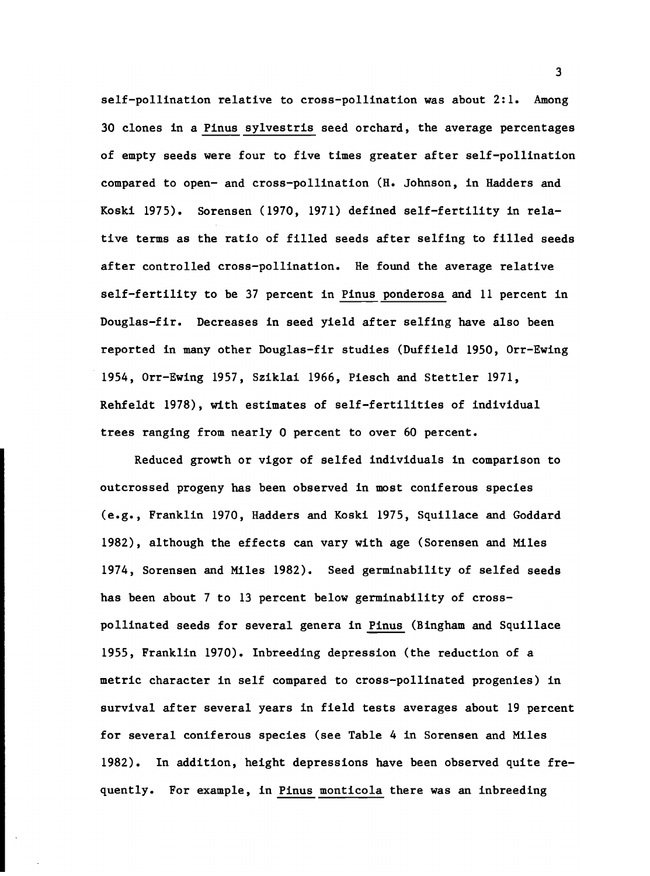self-pollination relative to cross-pollination was about 2:1. Among 30 clones in a Pinus sylvestris seed orchard, the average percentages of empty seeds were four to five times greater after self-pollination compared to open- and cross-pollination (H. Johnson, in Hadders and Koski 1975). Sorensen (1970, 1971) defined self-fertility in relative terms as the ratio of filled seeds after selfing to filled seeds after controlled cross-pollination. He found the average relative self-fertility to be 37 percent in Pinus ponderosa and 11 percent in Douglas-fir. Decreases in seed yield after selfing have also been reported in many other Douglas-fir studies (Duffield 1950, Orr-Ewing 1954, Orr-Ewing 1957, Sziklai 1966, Piesch and Stettler 1971, Rehfeldt 1978), wIth estimates of self-fertilities of individual trees ranging from nearly 0 percent to over 60 percent.

Reduced growth or vigor of selfed individuals in comparison to outcrossed progeny has been observed in most coniferous species (e.g., Franklin 1970, Hadders and Koski 1975, Squillace and Goddard 1982), although the effects can vary with age (Sorensen and Miles 1974, Sorensen and Miles 1982). Seed germinability of selfed seeds has been about 7 to 13 percent below germinability of crosspollinated seeds for several genera in Pinus (Bingham and Squillace 1955, Franklin 1970). Inbreeding depression (the reduction of a metric character in self compared to cross-pollinated progenies) in survival after several years in field tests averages about 19 percent for several coniferous species (see Table 4 in Sorensen and Miles 1982). In addition, height depressions have been observed quite frequently. For example, in Pinus monticola there was an inbreeding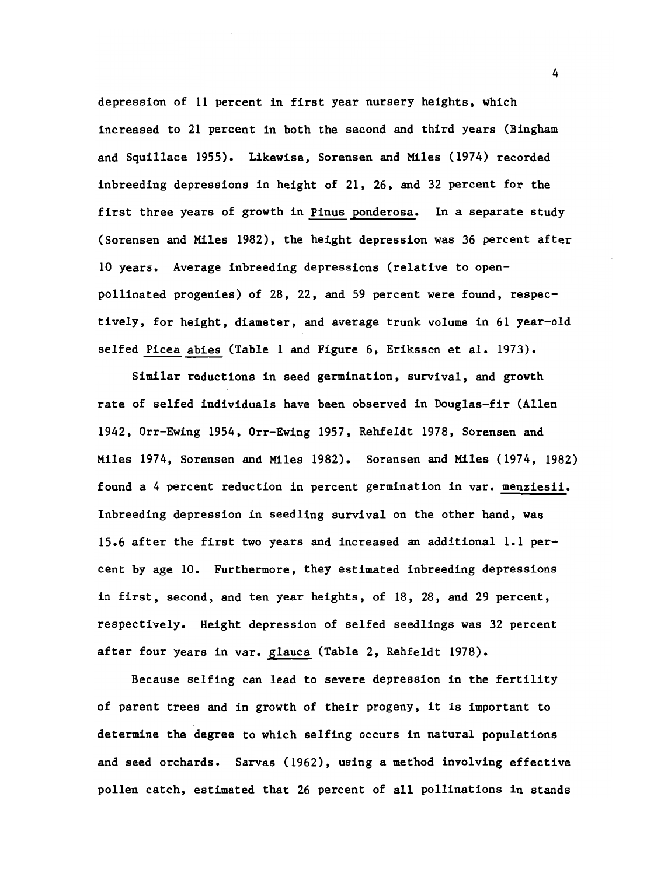depression of 11 percent in first year nursery heights, which increased to 21 percent in both the second and third years (Bingham and Squillace 1955). Likewise, Sorensen and Miles (1974) recorded inbreeding depressions in height of 21, 26, and 32 percent for the first three years of growth in Pinus ponderosa. In a separate study (Sorensen and Miles 1982), the height depression was 36 percent after 10 years. Average inbreeding depressions (relative to openpollinated progenies) of 28, 22, and 59 percent were found, respectively, for height, diameter, and average trunk volume in 61 year-old selfed Picea abies (Table 1 and Figure 6, Eriksson et al. 1973).

Similar reductions in seed germination, survival, and growth rate of selfed individuals have been observed in Douglas-fir (Allen 1942, Orr-Ewing 1954, Orr-Ewing 1957, Rehfeldt 1978, Sorensen and Miles 1974, Sorensen and MIles 1982). Sorensen and MIles (1974, 1982) found a 4 percent reduction in percent germination in var. menziesii. Inbreeding depression in seedling survival on the other hand, was 15.6 after the first two years and increased an additional 1.1 percent by age 10. Furthermore, they estimated inbreeding depressions in first, second, and ten year heights, of 18, 28, and 29 percent, respectively. Height depression of selfed seedlings was 32 percent after four years in var. glauca (Table 2, Rehfeldt 1978).

Because selfing can lead to severe depression in the fertility of parent trees and in growth of their progeny, it is important to determine the degree to which selfing occurs in natural populations and seed orchards. Sarvas (1962), using a method involving effective pollen catch, estimated that 26 percent of all pollinations in stands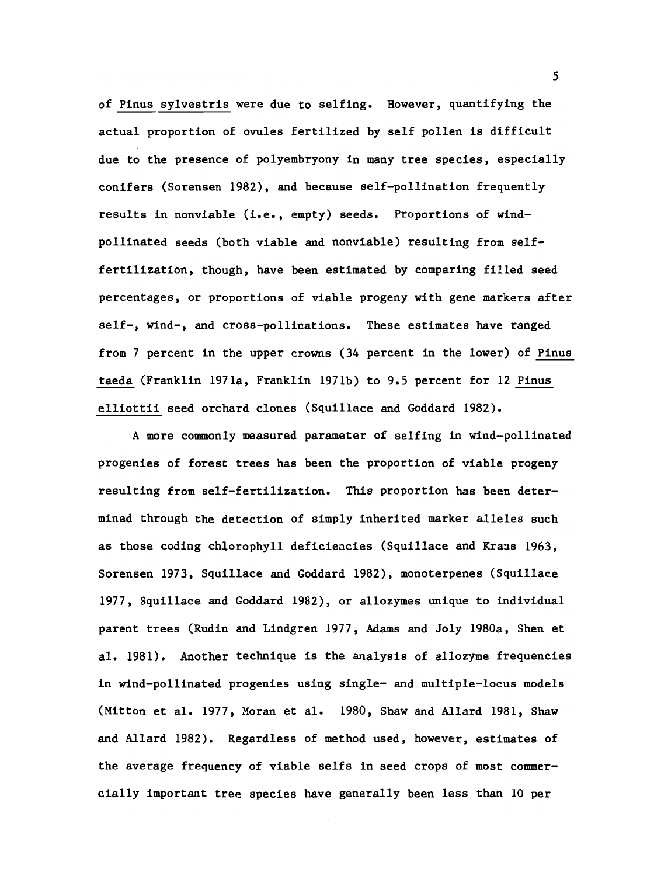of Pinus sylvestris were due to selfing. However, quantifying the actual proportion of ovules fertilized by self pollen is difficult due to the presence of polyembryony in many tree species, especially conifers (Sorensen 1982), and because self-pollination frequently results in nonviable (i.e., empty) seeds. Proportions of windpollinated seeds (both viable and nonviable) resulting from selffertilization, though, have been estimated by comparing filled seed percentages, or proportions of viable progeny with gene markers after self-, wind-, and cross-pollinations. These estimates have ranged from 7 percent in the upper crowns (34 percent in the lower) of Pinus taeda (Franklin 1971a, Franklin 1971b) to 9.5 percent for 12 Pinus elliottii seed orchard clones (Squillace and Goddard 1982).

A more commonly measured parameter of selfing in wind-pollinated progenies of forest trees has been the proportion of viable progeny resulting from self-fertilization. This proportion has been determined through the detection of simply inherited marker alleles such as those coding chlorophyll deficiencies (Squillace and Kraus 1963, Sorensen 1973, Squillace and Goddard 1982), monoterpenes (Squillace 1977, Squillace and Goddard 1982), or allozymes unique to individual parent trees (Rudin and Lindgren 1977, Adams and Joly 1980a, Shen et al. 1981). Another technique is the analysis of allozyme frequencies in wind-pollinated progenies using single- and multiple-locus models (Mitton et al. 1977, Moran et al. 1980, Shaw and Allard 1981, Shaw and Allard 1982). Regardless of method used, however, estimates of the average frequency of viable selfs in seed crops of most commercially important tree species have generally been less than 10 per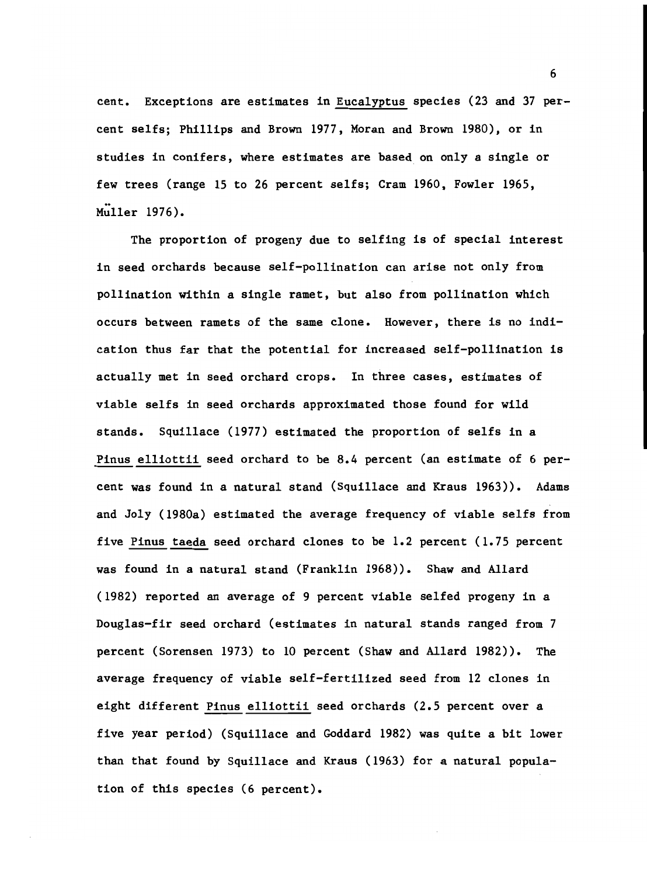cent. Exceptions are estimates in Eucalyptus species (23 and 37 percent selfs; Phillips and Brown 1977, Moran and Brown 1980), or in studies in conifers, where estimates are based on only a single or few trees (range 15 to 26 percent selfs; Cram 1960, Fowler 1965, Muller 1976).

The proportion of progeny due to selfing is of special interest in seed orchards because self-pollination can arise not only from pollination within a single ramet, but also from pollination which occurs between ramets of the same clone. However, there is no indication thus far that the potential for increased self-pollination is actually met in seed orchard crops. In three cases, estimates of viable selfs in seed orchards approximated those found for wild stands. Squillace (1977) estimated the proportion of selfs in a Pinus elliottii seed orchard to be 8.4 percent (an estimate of 6 percent was found in a natural stand (Squillace and Kraus 1963)). Adams and Joly (1980a) estimated the average frequency of viable selfs from five Pinus taeda seed orchard clones to be 1.2 percent (1.75 percent was found in a natural stand (Franklin 1968)). Shaw and Allard (1982) reported an average of 9 percent viable selfed progeny in a Douglas-fir seed orchard (estimates in natural stands ranged from 7 percent (Sorensen 1973) to 10 percent (Shaw and Allard 1982)). The average frequency of viable self-fertilized seed from 12 clones in eight different Pinus elliottii seed orchards (2.5 percent over a five year period) (Squillace and Goddard 1982) was quite a bit lower than that found by Squillace and Kraus (1963) for a natural population of this species (6 percent).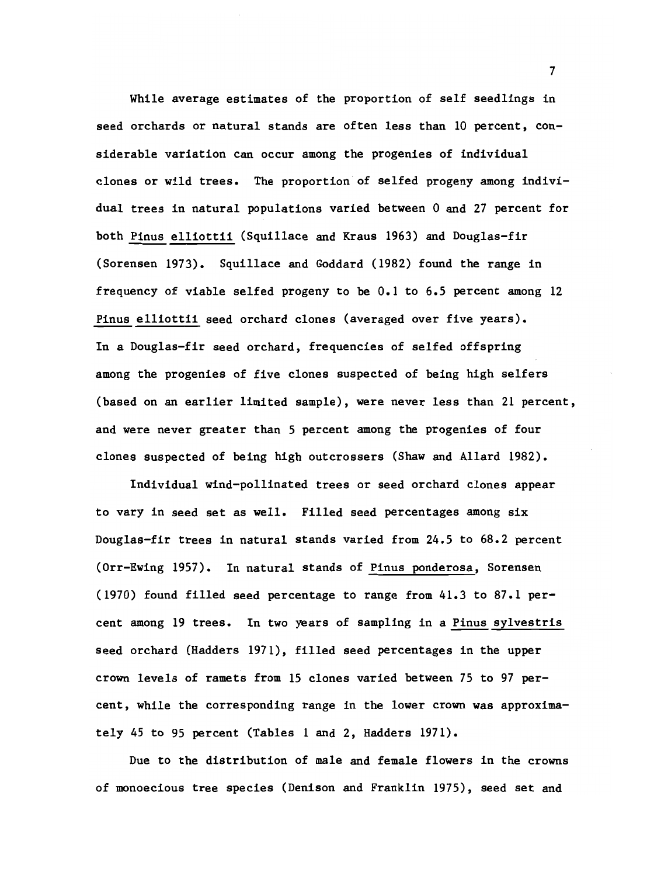While average estimates of the proportion of self seedlings in seed orchards or natural stands are often less than 10 percent, considerable variation can occur among the progenies of individual clones or wild trees. The proportion of selfed progeny among individual trees in natural populations varied between 0 and 27 percent for both Pinus elliottii (Squillace and Kraus 1963) and Douglas-fir (Sorensen 1973). Squillace and Goddard (1982) found the range in frequency of viable selfed progeny to be 0.1 to 6.5 percent among 12 Pinus elliottii seed orchard clones (averaged over five years). In a Douglas-fir seed orchard, frequencies of selfed offspring among the progenies of five clones suspected of being high selfers (based on an earlier limited sample), were never less than 21 percent, and were never greater than 5 percent among the progenies of four clones suspected of being high outcrossers (Shaw and Allard 1982).

Individual wind-pollinated trees or seed orchard clones appear to vary in seed set as well. Filled seed percentages among six Douglas-fir trees in natural stands varied from 24.5 to 68.2 percent (Orr-Ewing 1957). In natural stands of Pinus ponderosa, Sorensen (1970) found filled seed percentage to range from 41.3 to 87.1 percent among 19 trees. In two years of sampling in a Pinus sylvestris seed orchard (Hadders 1971), filled seed percentages in the upper crown levels of ramets from 15 clones varied between 75 to 97 percent, while the corresponding range in the lower crown was approximately 45 to 95 percent (Tables 1 and 2, Hadders 1971).

Due to the distribution of male and female flowers in the crowns of monoecious tree species (Denison and Franklin 1975), seed set and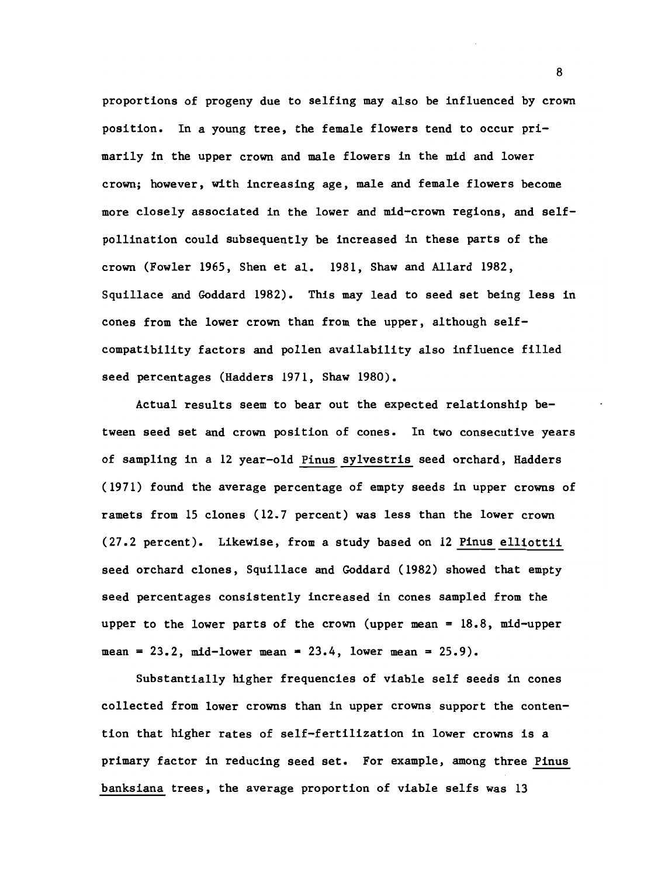proportions of progeny due to selfing may also be influenced by crown position. In a young tree, the female flowers tend to occur primarily in the upper crown and male flowers in the mid and lower crown; however, with increasing age, male and female flowers become more closely associated in the lower and mid-crown regions, and selfpollination could subsequently be increased in these parts of the crown (Fowler 1965, Shen et al. 1981, Shaw and Allard 1982, Squillace and Goddard 1982). This may lead to seed set being less in cones from the lower crown than from the upper, although selfcompatibility factors and pollen availability also influence filled seed percentages (Hadders 1971, Shaw 1980).

Actual results seem to bear out the expected relationship between seed set and crown position of cones. In two consecutive years of sampling in a 12 year-old Pinus sylvestris seed orchard, Hadders (1971) found the average percentage of empty seeds in upper crowns of ramets from 15 clones (12.7 percent) was less than the lower crown (27.2 percent). Likewise, from a study based on 12 Pinus elliottii seed orchard clones, Squillace and Goddard (1982) showed that empty seed percentages consistently increased in cones sampled from the upper to the lower parts of the crown (upper mean = 18.8, mid-upper mean =  $23.2$ , mid-lower mean =  $23.4$ , lower mean =  $25.9$ ).

Substantially higher frequencies of viable self seeds in cones collected from lower crowns than in upper crowns support the contention that higher rates of self-fertilization in lower crowns is a primary factor in reducing seed set. For example, among three Pinus banksiana trees, the average proportion of viable selfs was 13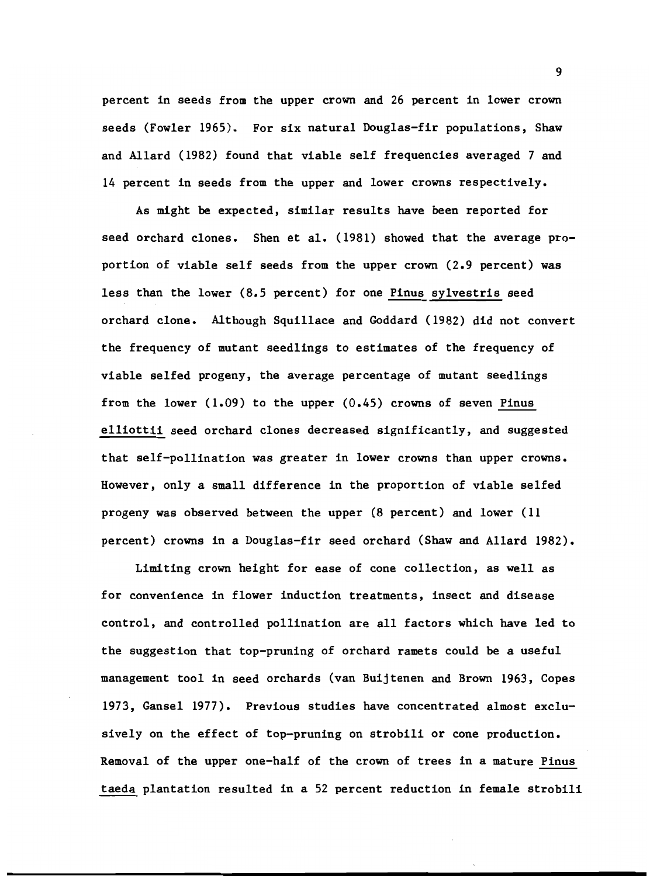percent in seeds from the upper crown and 26 percent in lower crown seeds (Fowler 1965). For six natural Douglas-fir populations, Shaw and Allard (1982) found that viable self frequencies averaged 7 and 14 percent in seeds from the upper and lower crowns respectively.

As might be expected, similar results have been reported for seed orchard clones. Shen et al. (1981) showed that the average proportion of viable self seeds from the upper crown (2.9 percent) was less than the lower (8.5 percent) for one Pinus sylvestris seed orchard clone. Although Squillace and Goddard (1982) did not convert the frequency of mutant seedlings to estimates of the frequency of viable selfed progeny, the average percentage of mutant seedlings from the lower  $(1.09)$  to the upper  $(0.45)$  crowns of seven Pinus elliottii seed orchard clones decreased significantly, and suggested that self-pollination was greater in lower crowns than upper crowns. However, only a small difference in the proportion of viable selfed progeny was observed between the upper (8 percent) and lower (11 percent) crowns in a Douglas-fir seed orchard (Shaw and Allard 1982).

Limiting crown height for ease of cone collection, as well as for convenience in flower induction treatments, insect and disease control, and controlled pollination are all factors which have led to the suggestion that top-pruning of orchard ramets could be a useful management tool in seed orchards (van Buijtenen and Brown 1963, Copes 1973, Gansel 1977). Previous studies have concentrated almost exclusively on the effect of top-pruning on strobili or cone production. Removal of the upper one-half of the crown of trees in a mature Pinus taeda plantation resulted in a 52 percent reduction in female strobili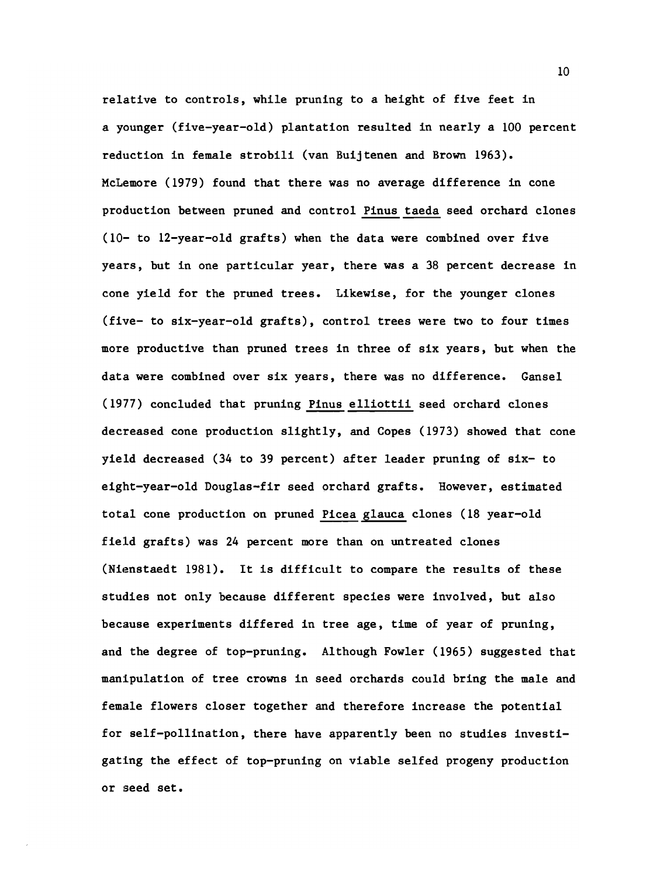relative to controls, while pruning to a height of five feet in a younger (five-year-old) plantation resulted in nearly a 100 percent reduction in female strobili (van Buijtenen and Brown 1963). McLemore (1979) found that there was no average difference in cone production between pruned and control Pinus taeda seed orchard clones (10- to 12-year-old grafts) when the data were combined over five years, but in one particular year, there was a 38 percent decrease in cone yield for the pruned trees. Likewise, for the younger clones (five- to six-year-old grafts), control trees were two to four times more productive than pruned trees in three of six years, but when the data were combined over six years, there was no difference. Gansel (1977) concluded that pruning Pinus elliottii seed orchard clones decreased cone production slightly, and Copes (1973) showed that cone yield decreased (34 to 39 percent) after leader pruning of six- to eight-year-old Douglas-fir seed orchard grafts. However, estimated total cone production on pruned Picea glauca clones (18 year-old field grafts) was 24 percent more than on untreated clones (Nienstaedt 1981). It is difficult to compare the results of these studies not only because different species were involved, but also because experiments differed in tree age, time of year of pruning, and the degree of top-pruning. Although Fowler (1965) suggested that manipulation of tree crowns in seed orchards could bring the male and female flowers closer together and therefore increase the potential for self-pollination, there have apparently been no studies investigating the effect of top-pruning on viable selfed progeny production or seed set.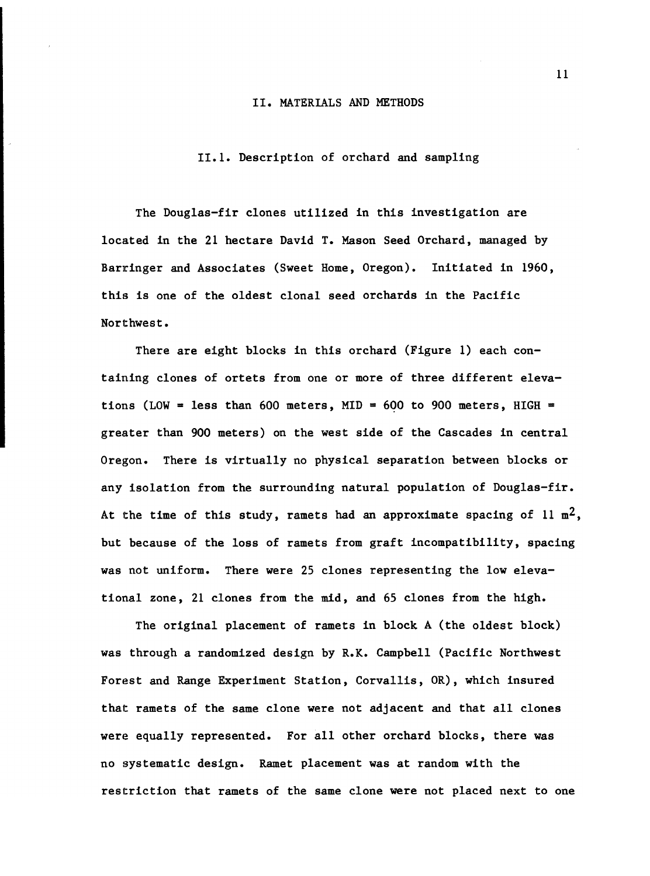#### II. MATERIALS AND METHODS

## 11.1. Description of orchard and sampling

The Douglas-fir clones utilized in this investigation are located in the 21 hectare David T. Mason Seed Orchard, managed by Barringer and Associates (Sweet Home, Oregon). Initiated in 1960, this is one of the oldest clonal seed orchards in the Pacific Northwest.

There are eight blocks in this orchard (Figure 1) each containing clones of ortets from one or more of three different elevations (LOW = less than 600 meters, MID = 600 to 900 meters, HIGH = greater than 900 meters) on the west side of the Cascades in central Oregon. There is virtually no physical separation between blocks or any isolation from the surrounding natural population of Douglas-fir. At the time of this study, ramets had an approximate spacing of 11  $m^2$ , but because of the loss of ramets from graft incompatibility, spacing was not uniform. There were 25 clones representing the low elevational zone, 21 clones from the mid, and 65 clones from the high.

The original placement of ramets in block A (the oldest block) was through a randomized design by R.K. Campbell (Pacific Northwest Forest and Range Experiment Station, Corvallis, OR), which insured that ramets of the same clone were not adjacent and that all clones were equally represented. For all other orchard blocks, there was no systematic design. Ramet placement was at random with the restriction that ramets of the same clone were not placed next to one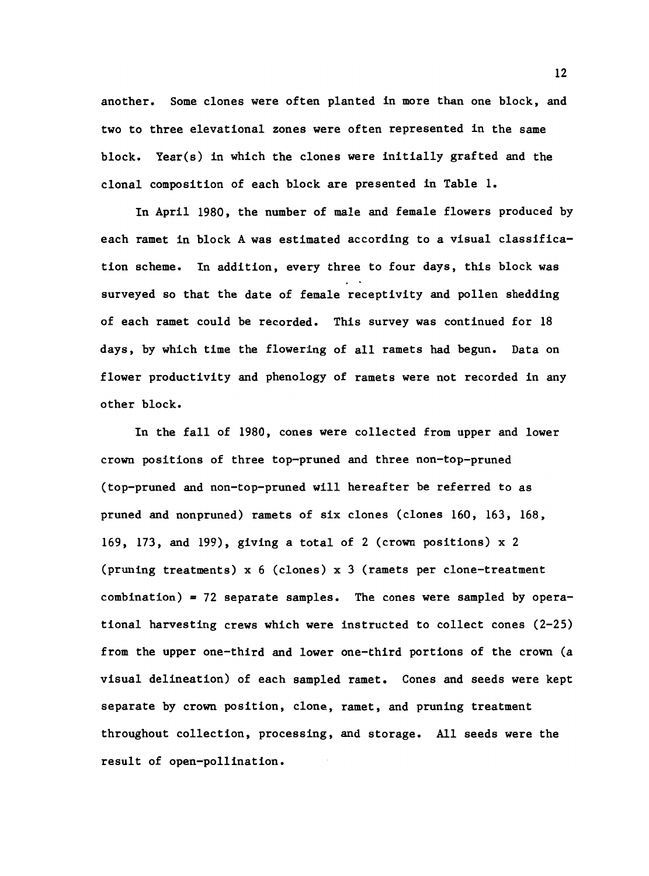another. Some clones were often planted in more than one block, and two to three elevational zones were often represented in the same block. Year(s) in which the clones were initially grafted and the clonal composition of each block are presented in Table 1.

In April 1980, the number of male and female flowers produced by each ramet in block A was estimated according to a visual classification scheme. In addition, every three to four days, this block was surveyed so that the date of female receptivity and pollen shedding of each ramet could be recorded. This survey was continued for 18 days, by which time the flowering of all ramets had begun. Data on flower productivity and phenology of ramets were not recorded in any other block.

In the fall of 1980, cones were collected from upper and lower crown positions of three top-pruned and three non-top-pruned (top-pruned and non-top-pruned will hereafter be referred to as pruned and nonpruned) ramets of six clones (clones 160, 163, 168, 169, 173, and 199), giving a total of 2 (crown positions) x 2 (pruning treatments) x 6 (clones) x 3 (ramets per clone-treatment combination) = 72 separate samples. The cones were sampled by operational harvesting crews which were instructed to collect cones (2-25) from the upper one-third and lower one-third portions of the crown (a visual delineation) of each sampled ramet. Cones and seeds were kept separate by crown position, clone, ramet, and pruning treatment throughout collection, processing, and storage. All seeds were the result of open-pollination.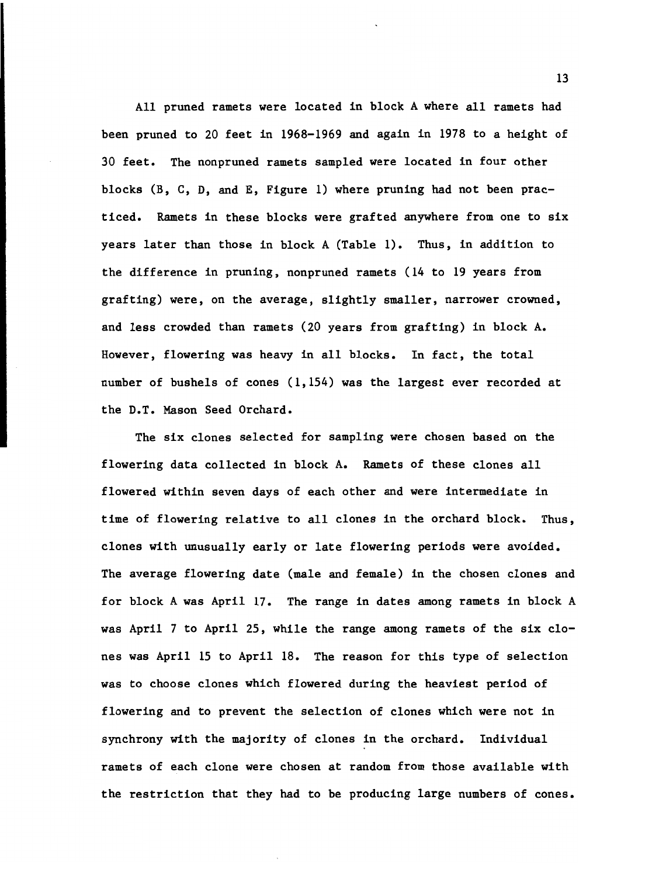All pruned ramets were located in block A where all ramets had been pruned to 20 feet in 1968-1969 and again in 1978 to a height of 30 feet. The nonpruned ramets sampled were located in four other blocks (B, C, D, and E, Figure 1) where pruning had not been practiced. Ramets in these blocks were grafted anywhere from one to six years later than those in block A (Table 1). Thus, in addition to the difference in pruning, nonpruned ramets (14 to 19 years from grafting) were, on the average, slightly smaller, narrower crowned, and less crowded than ramets (20 years from grafting) in block A. However, flowering was heavy in all blocks. In fact, the total number of bushels of cones (1,154) was the largest ever recorded at the D.T. Mason Seed Orchard.

The six clones selected for sampling were chosen based on the flowering data collected in block A. Ramets of these clones all flowered within seven days of each other and were intermediate in time of flowering relative to all clones in the orchard block. Thus, clones with unusually early or late flowering periods were avoided. The average flowering date (male and female) in the chosen clones and for block A was April 17. The range in dates among ramets in block A was April 7 to April 25, while the range among ramets of the six clones was April 15 to April 18. The reason for this type of selection was to choose clones which flowered during the heaviest period of flowering and to prevent the selection of clones which were not in synchrony with the majority of clones in the orchard. Individual ramets of each clone were chosen at random from those available with the restriction that they had to be producing large numbers of cones.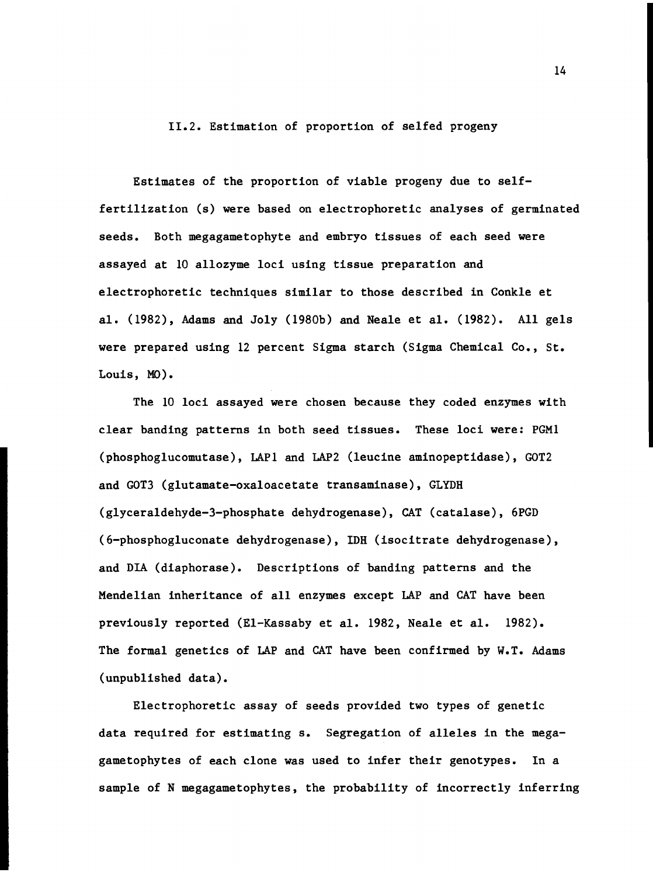11.2. Estimation of proportion of selfed progeny

Estimates of the proportion of viable progeny due to selffertilization (s) were based on electrophoretic analyses of germinated seeds. Both megagametophyte and embryo tissues of each seed were assayed at 10 allozyme loci using tissue preparation and electrophoretic techniques similar to those described in Conkle et al. (1982), Adams and Joly (1980b) and Neale et al. (1982). All gels were prepared using 12 percent Sigma starch (Sigma Chemical Co., St. Louis, Mo).

The 10 loci assayed were chosen because they coded enzymes with clear banding patterns in both seed tissues. These loci were: PGM1 (phosphoglucomutase), LAP1 and LAP2 (leucine aminopeptidase), GOT2 and GOT3 (glutamate-oxaloacetate transaminase), GLYDH (glyceraldehyde-3-phosphate dehydrogenase), CAT (catalase), 6PGD (6-phosphogluconate dehydrogenase), IDH (isocitrate dehydrogenase), and DIA (diaphorase). Descriptions of banding patterns and the Mendelian inheritance of all enzymes except LAP and CAT have been previously reported (El-Kassaby et al. 1982, Neale et al. 1982). The formal genetics of LAP and CAT have been confirmed by W.T. Adams (unpublished data).

Electrophoretic assay of seeds provided two types of genetic data required for estimating s. Segregation of alleles in the megagametophytes of each clone was used to infer their genotypes. In a sample of N megagametophytes, the probability of incorrectly inferring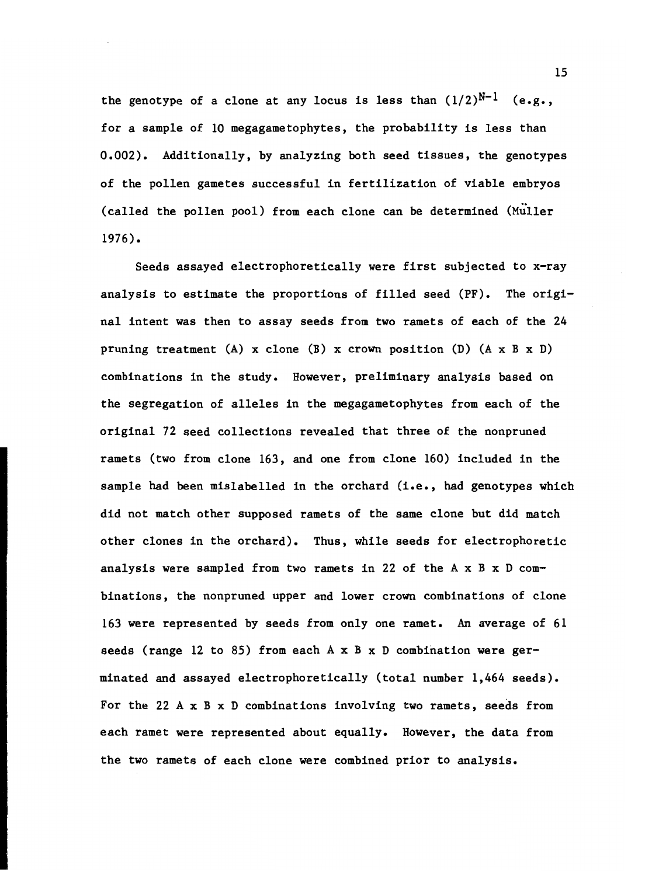the genotype of a clone at any locus is less than  $(1/2)^{N-1}$  (e.g., for a sample of 10 megagametophytes, the probability is less than 0.002). Additionally, by analyzing both seed tissues, the genotypes of the pollen gametes successful in fertilization of viable embryos (called the pollen pool) from each clone can be determined (Muller 1976).

Seeds assayed electrophoretically were first subjected to x-ray analysis to estimate the proportions of filled seed (PF). The original intent was then to assay seeds from two ramets of each of the 24 pruning treatment (A) x clone (B) x crown position (D)  $(A \times B \times D)$ combinations in the study. However, preliminary analysis based on the segregation of alleles in the megagametophytes from each of the original 72 seed collections revealed that three of the nonpruned ramets (two from clone 163, and one from clone 160) included in the sample had been mislabelled in the orchard (i.e., had genotypes which did not match other supposed ramets of the same clone but did match other clones in the orchard). Thus, while seeds for electrophoretic analysis were sampled from two ramets in 22 of the  $A \times B \times D$  combinations, the nonpruned upper and lower crown combinations of clone 163 were represented by seeds from only one ramet. An average of 61 seeds (range 12 to 85) from each  $A \times B \times D$  combination were germinated and assayed electrophoretically (total number 1,464 seeds). For the 22 A x B x D combinations involving two ramets, seeds from each ramet were represented about equally. However, the data from the two ramets of each clone were combined prior to analysis.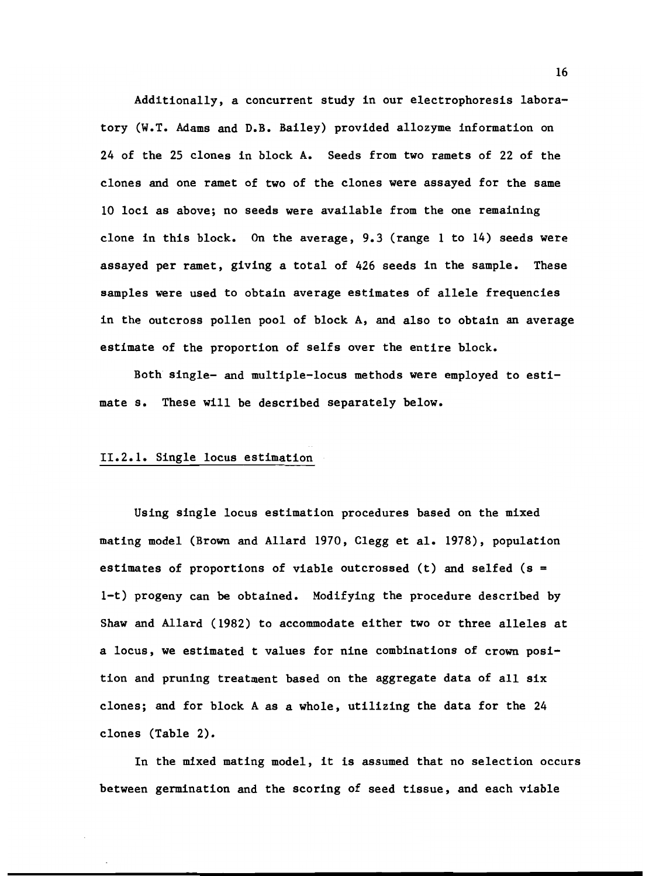Additionally, a concurrent study in our electrophoresis laboratory (W.T. Adams and D.B. Bailey) provided allozyme information on 24 of the 25 clones in block A. Seeds from two ramets of 22 of the clones and one ramet of two of the clones were assayed for the same 10 loci as above; no seeds were available from the one remaining clone in this block. On the average, 9.3 (range 1 to 14) seeds were assayed per ramet, giving a total of 426 seeds in the sample. These samples were used to obtain average estimates of allele frequencies in the outcross pollen pool of block A, and also to obtain an average estimate of the proportion of selfs over the entire block.

Both single- and multiple-locus methods were employed to estimate s. These will be described separately below.

## 11.2.1. Single locus estimation

Using single locus estimation procedures based on the mixed mating model (Brown and Allard 1970, Clegg et al. 1978), population estimates of proportions of viable outcrossed  $(t)$  and selfed  $(s =$ 1-t) progeny can be obtained. Modifying the procedure described by Shaw and Allard (1982) to accommodate either two or three alleles at a locus, we estimated t values for nine combinations of crown position and pruning treatment based on the aggregate data of all six clones; and for block A as a whole, utilizing the data for the 24 clones (Table 2).

In the mixed mating model, it is assumed that no selection occurs between germination and the scoring of seed tissue, and each viable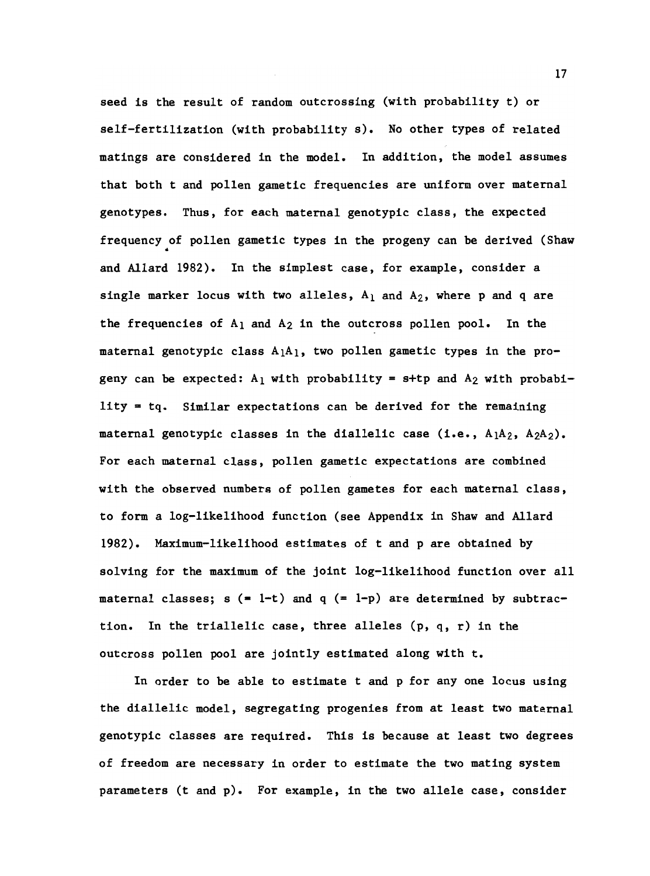seed is the result of random outcrossing (with probability t) or self-fertilization (with probability s). No other types of related matings are considered in the model. In addition, the model assumes that both t and pollen gametic frequencies are uniform over maternal genotypes. Thus, for each maternal genotypic class, the expected frequency of pollen gametic types in the progeny can be derived (Shaw and Allard 1982). In the simplest case, for example, consider a single marker locus with two alleles,  $A_1$  and  $A_2$ , where p and q are the frequencies of  $A_1$  and  $A_2$  in the outcross pollen pool. In the maternal genotypic class  $A_1A_1$ , two pollen gametic types in the progeny can be expected:  $A_1$  with probability = s+tp and  $A_2$  with probability  $=$  tq. Similar expectations can be derived for the remaining maternal genotypic classes in the diallelic case (i.e.,  $A_1A_2$ ,  $A_2A_2$ ). For each maternal class, pollen gametic expectations are combined with the observed numbers of pollen gametes for each maternal class, to form a log-likelihood function (see Appendix in Shaw and Allard 1982). Maximum-likelihood estimates of t and p are obtained by solving for the maximum of the joint log-likelihood function over all maternal classes;  $s (= 1-t)$  and  $q (= 1-p)$  are determined by subtraction. In the triallelic case, three alleles (p, q, r) in the outcross pollen pool are jointly estimated along with t.

In order to be able to estimate t and p for any one locus using the diallelic model, segregating progenies from at least two maternal genotypic classes are required. This is because at least two degrees of freedom are necessary in order to estimate the two mating system parameters (t and p). For example, in the two allele case, consider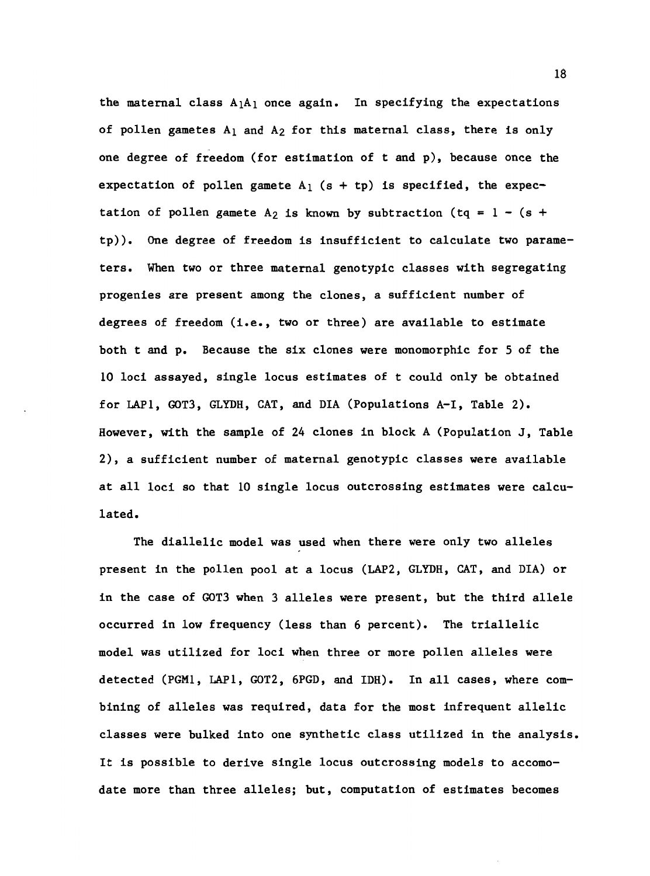the maternal class  $A_1A_1$  once again. In specifying the expectations of pollen gametes  $A_1$  and  $A_2$  for this maternal class, there is only one degree of freedom (for estimation of t and p), because once the expectation of pollen gamete  $A_1$  (s + tp) is specified, the expectation of pollen gamete A<sub>2</sub> is known by subtraction (tq =  $1 - (s +$ tp)). One degree of freedom is insufficient to calculate two parameters. When two or three maternal genotypic classes with segregating progenies are present among the clones, a sufficient number of degrees of freedom (i.e., two or three) are available to estimate both t and p. Because the six clones were monomorphic for 5 of the 10 loci assayed, single locus estimates of t could only be obtained for LAP1, COT3, GLYDH, CAT, and DIA (Populations A-I, Table 2). However, with the sample of 24 clones in block A (Population J, Table 2), a sufficient number of maternal genotypic classes were available at all loci so that 10 single locus outcrossing estimates were calculated.

The diallelic model was used when there were only two alleles present in the pollen pool at a locus (LAP2, GLYDH, CAT, and DIA) or in the case of COT3 when 3 alleles were present, but the third allele occurred in low frequency (less than 6 percent). The triallelic model was utilized for loci when three or more pollen alleles were detected (PGM1, LAP1, GOT2, 6PGD, and IDH). In all cases, where combining of alleles was required, data for the most infrequent allelic classes were bulked into one synthetic class utilized in the analysis. It is possible to derive single locus outcrossing models to accomodate more than three alleles; but, computation of estimates becomes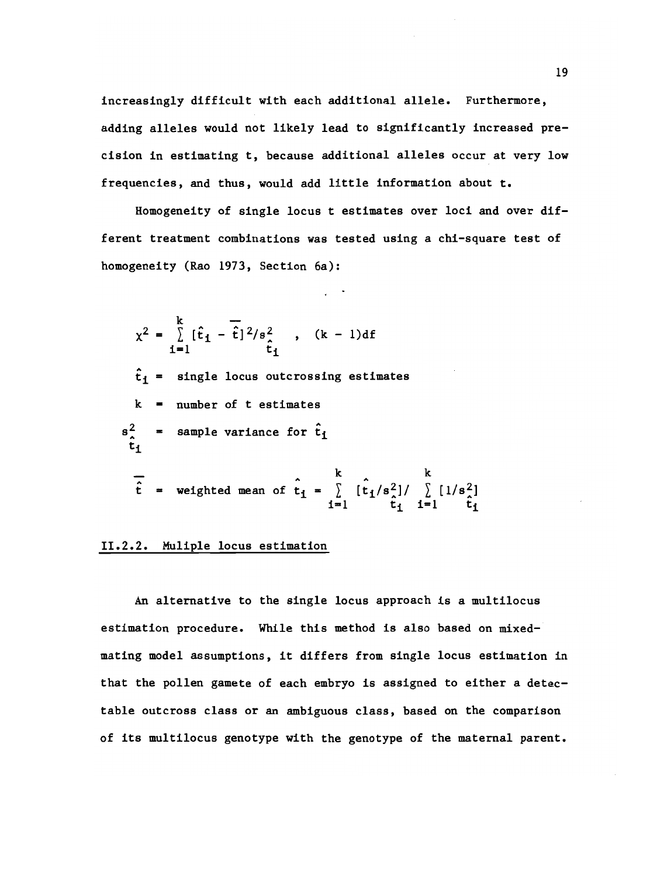increasingly difficult with each additional allele. Furthermore, adding alleles would not likely lead to significantly increased precision in estimating t, because additional alleles occur at very low frequencies, and thus, would add little information about t.

Homogeneity of single locus t estimates over loci and over different treatment combinations was tested using a chi-square test of homogeneity (Rao 1973, Section 6a):

$$
\chi^{2} = \sum_{i=1}^{k} [\hat{t}_{i} - \hat{t}]^{2}/s_{i}^{2}, \quad (k-1)df
$$
  
\n
$$
\hat{t}_{1} = \text{single locus outcomesing estimates}
$$
  
\n
$$
k = \text{number of t estimates}
$$
  
\n
$$
s_{i}^{2} = \text{sample variance for } \hat{t}_{i}
$$
  
\n
$$
\overline{\hat{t}} = \text{weighted mean of } \hat{t}_{i} = \sum_{i=1}^{k} [\hat{t}_{i}/s_{i}^{2}] / \sum_{i=1}^{k} [1/s_{i}^{2}]
$$

# 11.2.2. Muliple locus estimation

An alternative to the single locus approach is a multilocus estimation procedure. While this method is also based on mixedmating model assumptions, it differs from single locus estimation in that the pollen gamete of each embryo is assigned to either a detectable outcross class or an ambiguous class, based on the comparison of its multilocus genotype with the genotype of the maternal parent.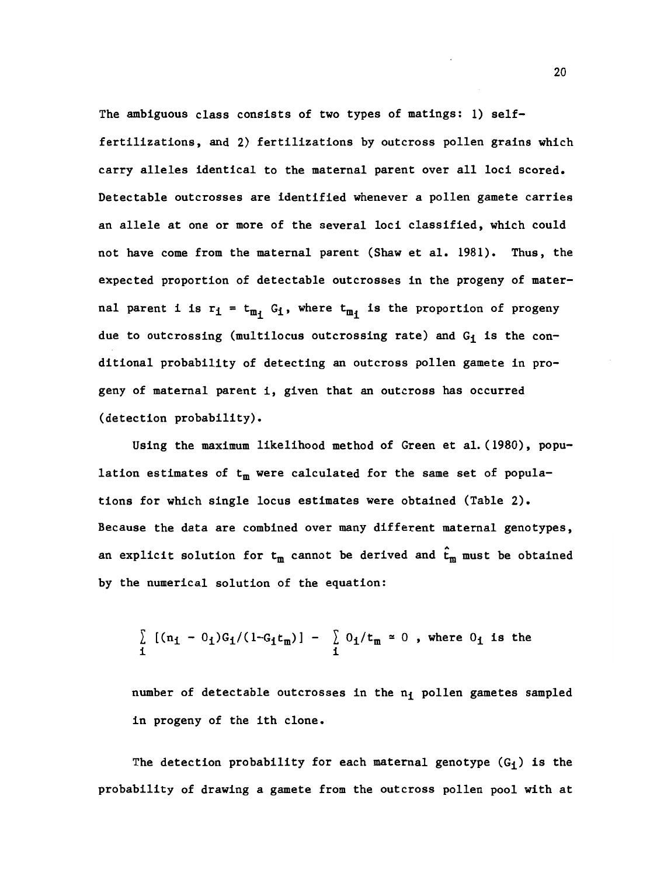The ambiguous class consists of two types of matings: 1) selffertilizations, and 2) fertilizations by outcross pollen grains which carry alleles identical to the maternal parent over all loci scored. Detectable outcrosses are identified whenever a pollen gamete carries an allele at one or more of the several loci classified, which could not have come from the maternal parent (Shaw et al. 1981). Thus, the expected proportion of detectable outcrosses in the progeny of maternal parent i is  $r_i = t_{m_i} G_i$ , where  $t_{m_i}$  is the proportion of progeny due to outcrossing (multilocus outcrossing rate) and  $G_i$  is the conditional probability of detecting an outcross pollen gamete in progeny of maternal parent i, given that an outcross has occurred (detection probability).

Using the maximum likelihood method of Green et al. (1980), population estimates of  $t_m$  were calculated for the same set of populations for which single locus estimates were obtained (Table 2). Because the data are combined over many different maternal genotypes, an explicit solution for  $t_m$  cannot be derived and  $\hat{t}_m$  must be obtained by the numerical solution of the equation:

$$
\begin{array}{ccc}\n\sum_{i} \left[ (n_i - 0_i) G_i / (1 - G_i t_m) \right] - \sum_{i} 0_i / t_m = 0 \text{ , where } 0_i \text{ is the}\n\end{array}
$$

number of detectable outcrosses in the  $n_1$  pollen gametes sampled in progeny of the ith clone.

The detection probability for each maternal genotype  $(G<sub>f</sub>)$  is the probability of drawing a gamete from the outcross pollen pool with at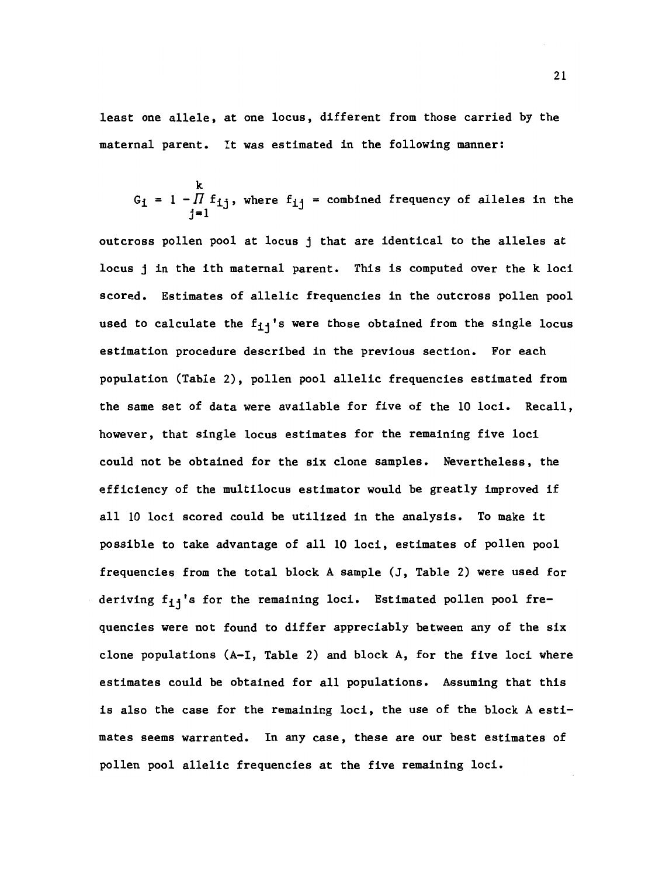least one allele, at one locus, different from those carried by the maternal parent. It was estimated in the following manner:

$$
G_i = 1 - \prod_{j=1}^{k} f_{ij}
$$
, where  $f_{ij}$  = combined frequency of alleles in the

outcross pollen pool at locus j that are identical to the alleles at locus j in the ith maternal parent. This is computed over the k loci scored. Estimates of allelic frequencies in the outcross pollen pool used to calculate the  $f_{1j}$ 's were those obtained from the single locus estimation procedure described in the previous section. For each population (Table 2), pollen pool allelic frequencies estimated from the same set of data were available for five of the 10 loci. Recall, however, that single locus estimates for the remaining five loci could not be obtained for the six clone samples. Nevertheless, the efficiency of the multilocus estimator would be greatly improved if all 10 loci scored could be utilized in the analysis. To make it possible to take advantage of all 10 loci, estimates of pollen pool frequencies from the total block A sample (J, Table 2) were used for deriving  $f_{11}'$ 's for the remaining loci. Estimated pollen pool frequencies were not found to differ appreciably between any of the six clone populations  $(A-I, Table 2)$  and block A, for the five loci where estimates could be obtained for all populations. Assuming that this is also the case for the remaining loci, the use of the block A estimates seems warranted. In any case, these are our best estimates of pollen pool allelic frequencies at the five remaining loci.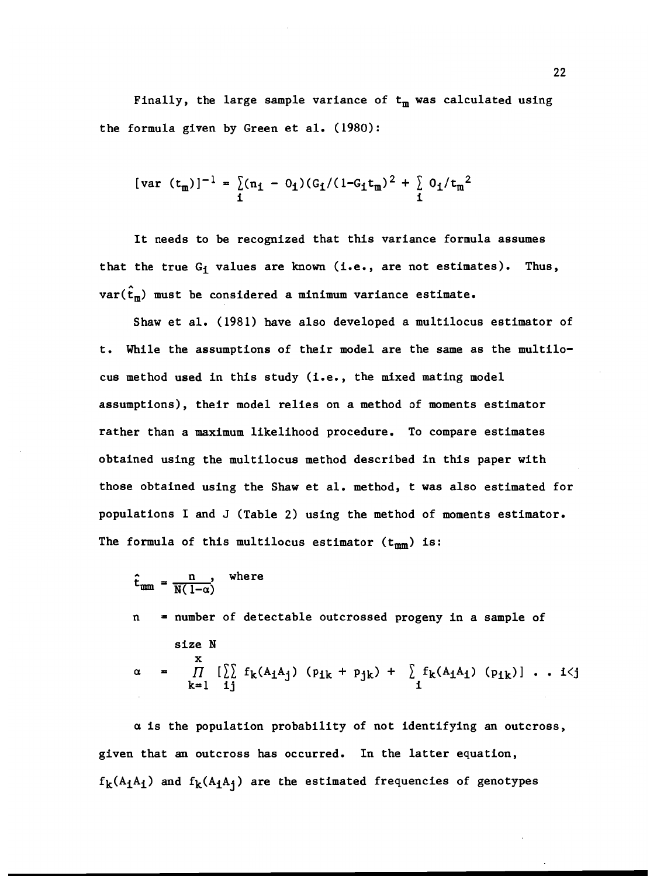Finally, the large sample variance of  $t_m$  was calculated using the formula given by Green et al. (1980):

$$
[\text{var } (t_{m})]^{-1} = \sum_{i} (n_{i} - 0_{i}) (G_{i}/(1 - G_{i}t_{m})^{2} + \sum_{i} 0_{i}/t_{m}^{2}
$$

It needs to be recognized that this variance formula assumes that the true  $G_i$  values are known (i.e., are not estimates). Thus,  $var(\hat{t}_m)$  must be considered a minimum variance estimate.

Shaw et al. (1981) have also developed a multilocus estimator of t. While the assumptions of their model are the same as the multilocus method used in this study (i.e., the mixed mating model assumptions), their model relies on a method of moments estimator rather than a maximum likelihood procedure. To compare estimates obtained using the multilocus method described in this paper with those obtained using the Shaw et al. method, t was also estimated for populations I and J (Table 2) using the method of moments estimator. The formula of this multilocus estimator  $(t_{mm})$  is:

$$
\hat{\mathbf{t}}_{\text{mm}} = \frac{\mathbf{n}}{\mathbf{N}(1-\alpha)}, \quad \text{where}
$$

n = number of detectable outcomesed progeny in a sample of  
\nsize N  
\n
$$
\alpha = \prod_{k=1}^{x} \left[ \sum_{j} f_k(A_1 A_j) (p_{1k} + p_{jk}) + \sum_{j} f_k(A_1 A_j) (p_{1k}) \right] \dots i \langle j
$$

a is the population probability of not identifying an outcross, given that an outcross has occurred. In the latter equation,  $f_k(A_1A_1)$  and  $f_k(A_1A_1)$  are the estimated frequencies of genotypes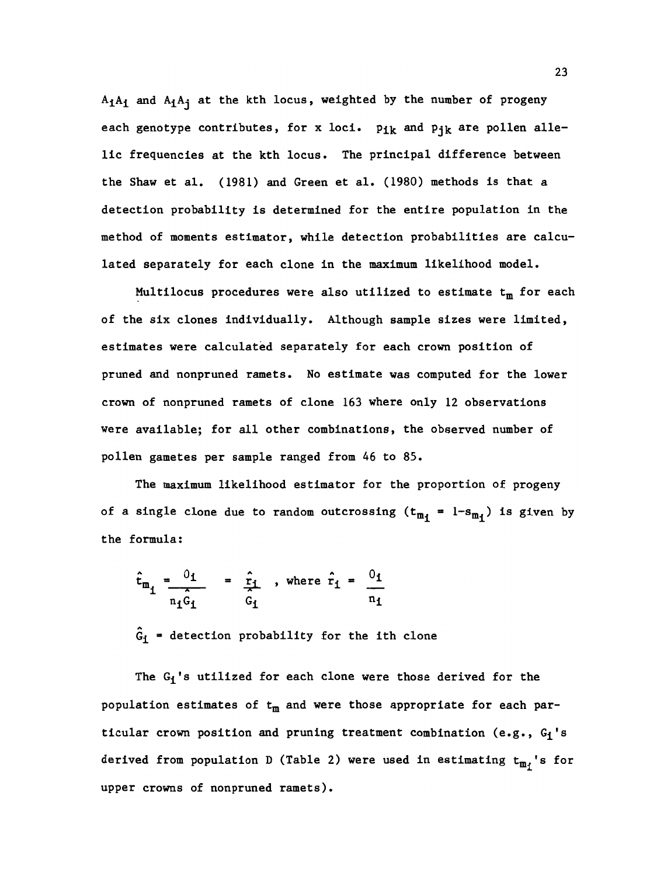$A_1A_1$  and  $A_1A_1$  at the kth locus, weighted by the number of progeny each genotype contributes, for x loci.  $p_{1k}$  and  $p_{1k}$  are pollen allelic frequencies at the kth locus. The principal difference between the Shaw et al. (1981) and Green et al. (1980) methods is that a detection probability is determined for the entire population in the method of moments estimator, while detection probabilities are calculated separately for each clone in the maximum likelihood model.

Multilocus procedures were also utilized to estimate  $t_m$  for each of the six clones individually. Although sample sizes were limited, estimates were calculated separately for each crown position of pruned and nonpruned ramets. No estimate was computed for the lower crown of nonpruned ramets of clone 163 where only 12 observations were available; for all other combinations, the observed number of pollen gametes per sample ranged from 46 to 85.

The maximum likelihood estimator for the proportion of progeny of a single clone due to random outcrossing  $(t_{m_i} = 1-s_{m_i})$  is given by the formula:

$$
\hat{t}_{m_i} = \frac{0_1}{\hat{r}_i \hat{G}_i} = \frac{\hat{r}_i}{\hat{G}_i}, \text{ where } \hat{r}_i = \frac{0_1}{n_1}
$$

 $\hat{G}_1$  = detection probability for the ith clone

The  $G_i$ 's utilized for each clone were those derived for the population estimates of  $t_m$  and were those appropriate for each particular crown position and pruning treatment combination (e.g.,  $G_1$ 's derived from population D (Table 2) were used in estimating  $t_{m_i}$ 's for upper crowns of nonpruned ramets).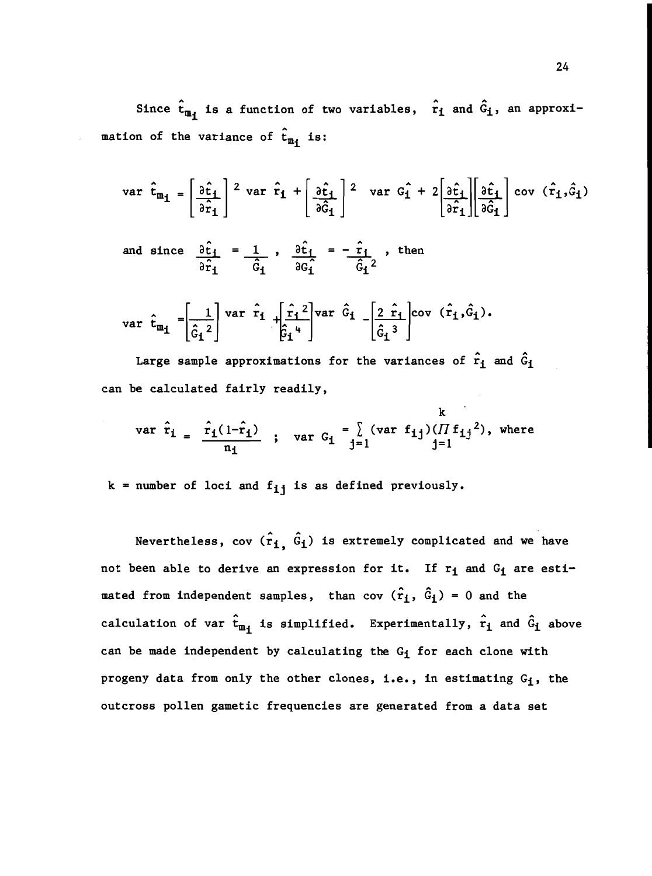Since  $\hat{\mathbf{t}}_{m_i}$  is a function of two variables,  $\hat{r}_i$  and  $\hat{G}_i$ , an approximation of the variance of  $\hat{t}_{m_i}$  is:

$$
\text{var } \hat{\mathbf{t}}_{\mathbf{m}_{1}} = \left[ \frac{\partial \hat{\mathbf{t}}_{1}}{\partial \hat{\mathbf{r}}_{1}} \right]^{2} \text{ var } \hat{\mathbf{r}}_{1} + \left[ \frac{\partial \hat{\mathbf{t}}_{1}}{\partial \hat{\mathbf{G}}_{1}} \right]^{2} \text{ var } \hat{\mathbf{G}}_{1} + 2 \left[ \frac{\partial \hat{\mathbf{t}}_{1}}{\partial \hat{\mathbf{r}}_{1}} \right] \left[ \frac{\partial \hat{\mathbf{t}}_{1}}{\partial \hat{\mathbf{G}}_{1}} \right] \text{ cov } (\hat{\mathbf{r}}_{1}, \hat{\mathbf{G}}_{1})
$$

and since  $\partial t_1 = 1$  ,  $\partial t_1 = -r_1$  , then 3G

var 
$$
\hat{t}_{m_1} = \left[\frac{1}{\hat{G}_1^2}\right]
$$
 var  $\hat{r}_1 + \left[\frac{\hat{r}_1^2}{\hat{G}_1^4}\right]$  var  $\hat{G}_1 - \left[\frac{2 \hat{r}_1}{\hat{G}_1^3}\right]$  cov  $(\hat{r}_1, \hat{G}_1)$ .

Large sample approximations for the variances of  $\hat{r}_1$  and  $\hat{G}_1$ can be calculated fairly readily,

$$
\text{var } \hat{r}_1 = \frac{\hat{r}_1(1-\hat{r}_1)}{n_1} \quad ; \quad \text{var } G_1 = \sum_{j=1}^k (\text{var } f_{1j})(\prod f_{1j}^2), \text{ where}
$$

 $k$  = number of loci and  $f_{ij}$  is as defined previously.

Nevertheless, cov  $(\hat{r}_1, \hat{G}_1)$  is extremely complicated and we have not been able to derive an expression for it. If  $r_i$  and  $G_i$  are estimated from independent samples, than cov  $(\hat{r}_1, \hat{G}_1) = 0$  and the calculation of var  $\hat{t}_{m_i}$  is simplified. Experimentally,  $\hat{r}_i$  and  $\hat{G}_i$  above can be made independent by calculating the  $G_i$  for each clone with progeny data from only the other clones, i.e., in estimating  $G_i$ , the outcross pollen gametic frequencies are generated from a data set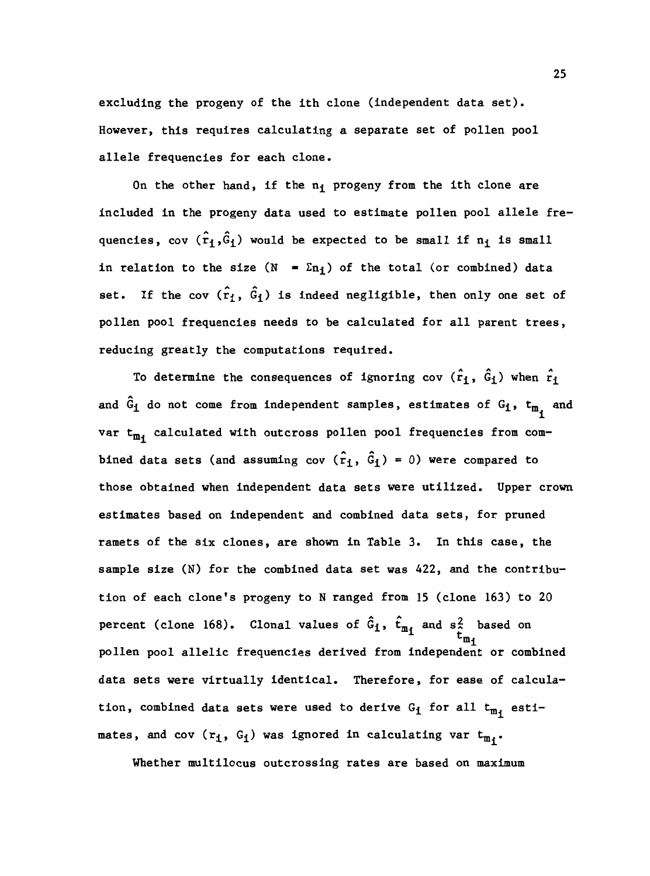excluding the progeny of the ith clone (independent data set). However, this requires calculating a separate set of pollen pool allele frequencies for each clone.

On the other hand, if the  $n_1$  progeny from the ith clone are included in the progeny data used to estimate pollen pool allele frequencies, cov  $(\hat{r}_1,\hat{G}_1)$  would be expected to be small if  $n_1$  is small in relation to the size (N =  $\Sigma n_i$ ) of the total (or combined) data set. If the cov  $(\hat{r}_1, \hat{G}_1)$  is indeed negligible, then only one set of pollen pool frequencies needs to be calculated for all parent trees, reducing greatly the computations required.

To determine the consequences of ignoring cov  $(\hat{r}_1, \hat{G}_1)$  when  $\hat{r}_1$ and  $\hat{G}_{\textbf{1}}$  do not come from independent samples, estimates of  $G_{\textbf{1}}$ ,  $t_{m_{\textbf{1}}}$  and var  $t_{m}$ , calculated with outcross pollen pool frequencies from combined data sets (and assuming cov  $(\hat{r}_1, \hat{G}_1) = 0$ ) were compared to those obtained when independent data sets were utilized. Upper crown estimates based on independent and combined data sets, for pruned ramets of the six clones, are shown in Table 3. In this case, the sample size (N) for the combined data set was 422, and the contribution of each clone's progeny to N ranged from 15 (clone 163) to 20 percent (clone 168). Clonal values of  $G_i$ ,  $t_m$ , and  $s^2$  based on  $\mathbf{t}_{\mathbf{m}_1}$ pollen pool allelic frequencies derived from independent or combined data sets were virtually identical. Therefore, for ease of calculation, combined data sets were used to derive  $G_1$  for all  $t_{m_1}$  estimates, and cov  $(r_1, G_1)$  was ignored in calculating var  $t_{m_1}$ .

Whether multilocus outcrossing rates are based on maximum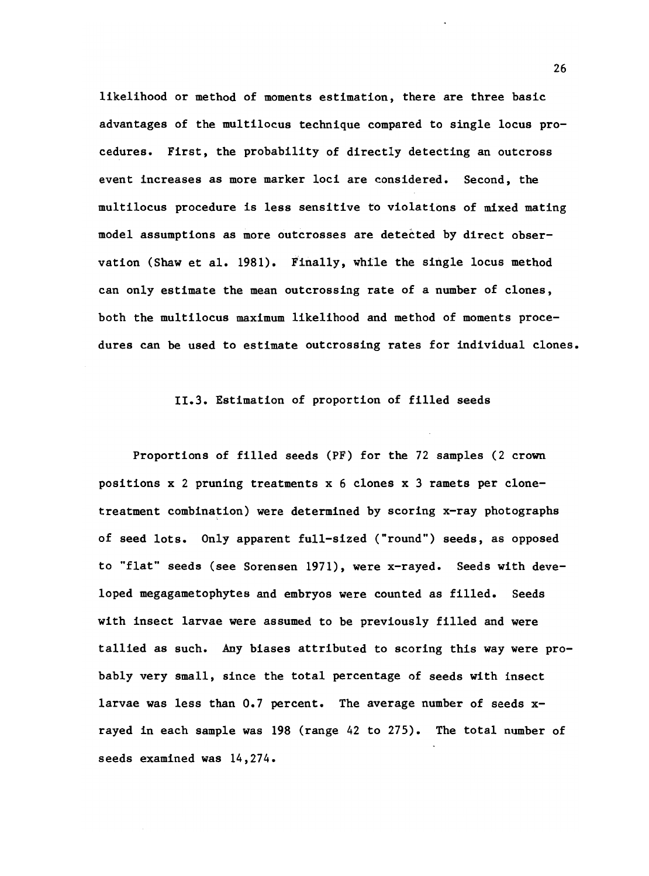likelihood or method of moments estimation, there are three basic advantages of the multilocus technique compared to single locus procedures. First, the probability of directly detecting an outcross event increases as more marker loci are considered. Second, the multilocus procedure is less sensitive to violations of mixed mating model assumptions as more outcrosses are detected by direct observation (Shaw et al. 1981). Finally, while the single locus method can only estimate the mean outcrossing rate of a number of clones, both the multilocus maximum likelihood and method of moments procedures can be used to estimate outcrossing rates for individual clones.

## 11.3. Estimation of proportion of filled seeds

Proportions of filled seeds (PF) for the 72 samples (2 crown positions x 2 pruning treatments x 6 clones x 3 ramets per clonetreatment combination) were determined by scoring x-ray photographs of seed lots. Only apparent full-sized ("round") seeds, as opposed to "flat" seeds (see Sorensen 1971), were x-rayed. Seeds with developed megagametophytes and embryos were counted as filled. Seeds with insect larvae were assumed to be previously filled and were tallied as such. Any biases attributed to scoring this way were probably very small, since the total percentage of seeds with insect larvae was less than 0.7 percent. The average number of seeds xrayed in each sample was 198 (range 42 to 275). The total number of seeds examined was  $14,274$ .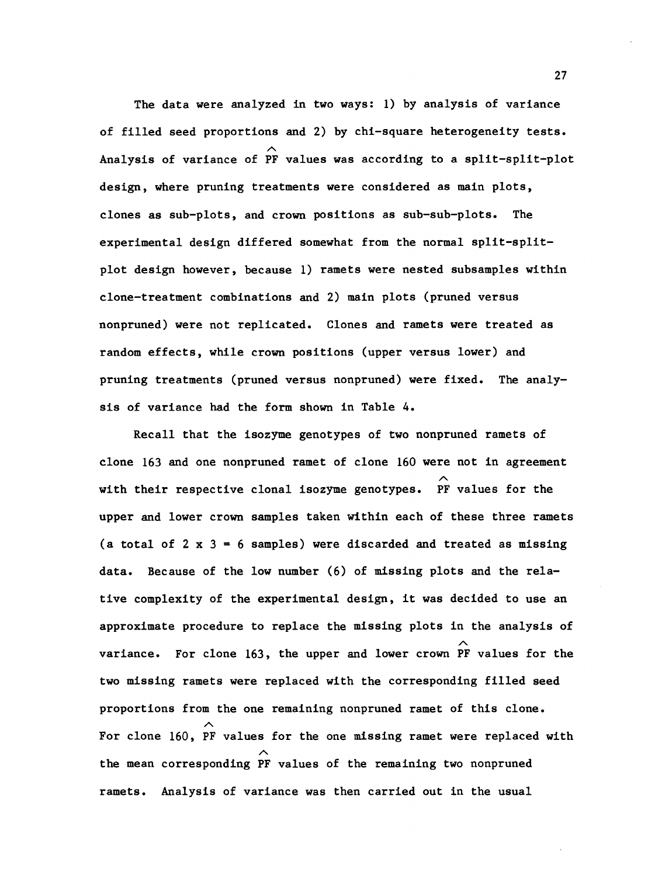The data were analyzed in two ways: 1) by analysis of variance of filled seed proportions and 2) by chi-square heterogeneity tests. Analysis of variance of PF values was according to a split-split-plot design, where pruning treatments were considered as main plots, clones as sub-plots, and crown positions as sub-sub-plots. The experimental design differed somewhat from the normal split-splitplot design however, because 1) ramets were nested subsamples within clone-treatment combinations and 2) main plots (pruned versus nonpruned) were not replicated. Clones and ramets were treated as random effects, while crown positions (upper versus lower) and pruning treatments (pruned versus nonpruned) were fixed. The analysis of variance had the form shown in Table 4.

Recall that the isozyme genotypes of two nonpruned ramets of clone 163 and one nonpruned ramet of clone 160 were not in agreement with their respective clonal isozyme genotypes. PF values for the upper and lower crown samples taken within each of these three ramets (a total of  $2 \times 3 = 6$  samples) were discarded and treated as missing data. Because of the low number (6) of missing plots and the relative complexity of the experimental design, it was decided to use an approximate procedure to replace the missing plots in the analysis of variance. For clone 163, the upper and lower crown PF values for the two missing ramets were replaced with the corresponding filled seed proportions from the one remaining nonpruned ramet of this clone. For clone 160, PF values for the one missing ramet were replaced with the mean corresponding PF values of the remaining two nonpruned ramets. Analysis of variance was then carried out in the usual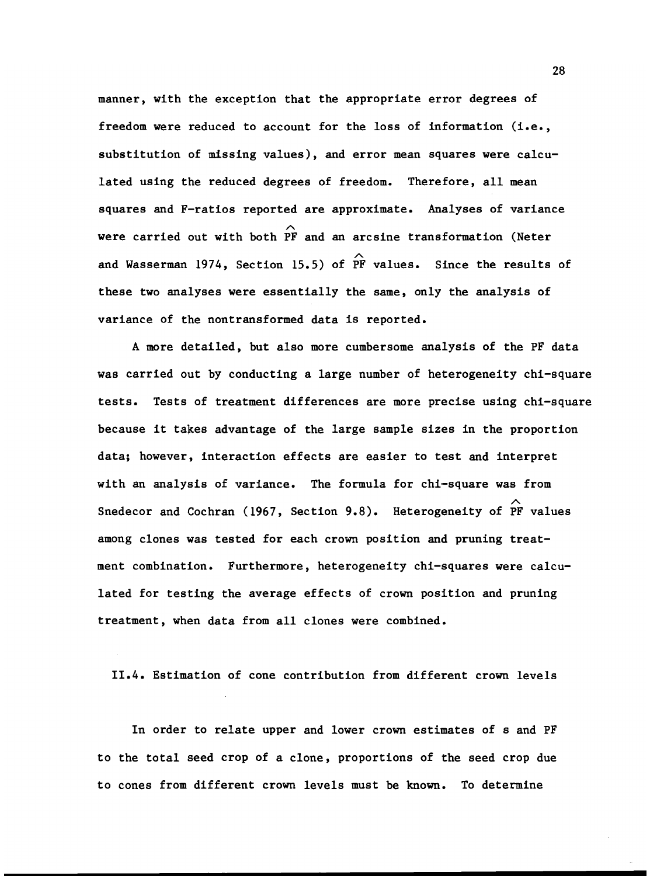manner, with the exception that the appropriate error degrees of freedom were reduced to account for the loss of information (i.e., substitution of missing values), and error mean squares were calculated using the reduced degrees of freedom. Therefore, all mean squares and F-ratios reported are approximate. Analyses of variance  $\hat{ }$ were carried out with both PF and an arcsine transformation (Neter and Wasserman 1974, Section 15.5) of  $\stackrel{\curvearrowright}{\mathrm{PF}}$  values. Since the results of these two analyses were essentially the same, only the analysis of variance of the nontransformed data is reported.

A more detailed, but also more cumbersome analysis of the PF data was carried out by conducting a large number of heterogeneity chi-square tests. Tests of treatment differences are more precise using chi-square because it takes advantage of the large sample sizes in the proportion data; however, interaction effects are easier to test and interpret with an analysis of variance. The formula for chi-square was from  $\sim$ Snedecor and Cochran (1967, Section 9.8). Heterogeneity of PF values among clones was tested for each crown position and pruning treatment combination. Furthermore, heterogeneity chi-squares were calculated for testing the average effects of crown position and pruning treatment, when data from all clones were combined.

11.4. Estimation of cone contribution from different crown levels

In order to relate upper and lower crown estimates of s and PF to the total seed crop of a clone, proportions of the seed crop due to cones from different crown levels must be known. To determine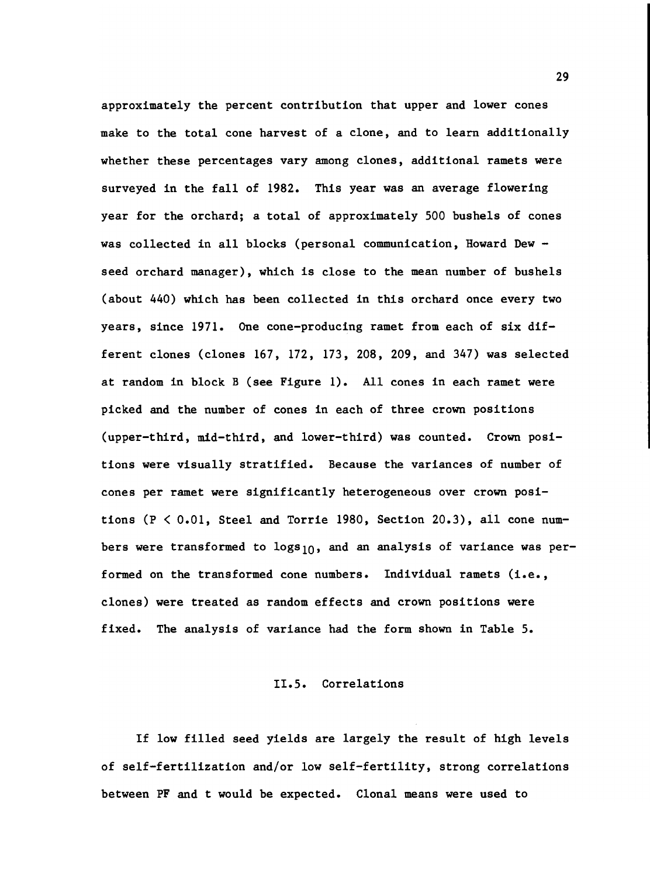approximately the percent contribution that upper and lower cones make to the total cone harvest of a clone, and to learn additionally whether these percentages vary among clones, additional ramets were surveyed in the fall of 1982. This year was an average flowering year for the orchard; a total of approximately 500 bushels of cones was collected in all blocks (personal communication, Howard Dew seed orchard manager), which is close to the mean number of bushels (about 440) which has been collected in this orchard once every two years, since 1971. One cone-producing ramet from each of six different clones (clones 167, 172, 173, 208, 209, and 347) was selected at random in block B (see Figure 1). All cones in each ramet were picked and the number of cones in each of three crown positions (upper-third, mid-third, and lower-third) was counted. Crown positions were visually stratified. Because the variances of number of cones per ramet were significantly heterogeneous over crown positions ( $P < 0.01$ , Steel and Torrie 1980, Section 20.3), all cone numbers were transformed to  $\log s_{10}$ , and an analysis of variance was performed on the transformed cone numbers. Individual ramets (i.e., clones) were treated as random effects and crown positions were fixed. The analysis of variance had the form shown in Table 5.

#### 11.5. Correlations

If low filled seed yields are largely the result of high levels of self-fertilization and/or low self-fertility, strong correlations between PF and t would be expected. Clonal means were used to

29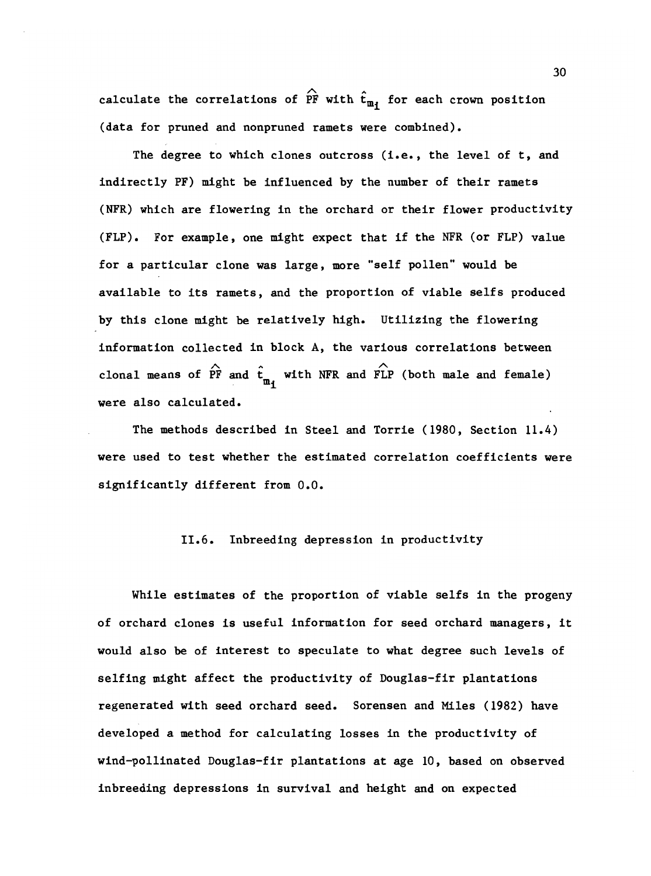calculate the correlations of  $\hat{P}F$  with  $\hat{t}_{m}$  for each crown position (data for pruned and nonpruned ramets were combined).

The degree to which clones outcross (i.e., the level of t, and indirectly PF) might be influenced by the number of their ramets (NFR) which are flowering in the orchard or their flower productivity (FLP). For example, one might expect that if the NFR (or FLP) value for a particular clone was large, more "self pollen" would be available to its ramets, and the proportion of viable selfs produced by this clone might be relatively high. Utilizing the flowering information collected in block A, the various correlations between clonal means of PF and  $t_{\mathrm{m}_1}$  with NFR and FLP (both male and female) were also calculated.

The methods described in Steel and Torrie (1980, Section 11.4) were used to test whether the estimated correlation coefficients were significantly different from 0.0.

## 11.6. Inbreeding depression in productivity

While estimates of the proportion of viable selfs in the progeny of orchard clones is useful information for seed orchard managers, it would also be of interest to speculate to what degree such levels of selfing might affect the productivity of Douglas-fir plantations regenerated with seed orchard seed. Sorensen and MIles (1982) have developed a method for calculating losses in the productivity of wind-pollinated Douglas-fir plantations at age 10, based on observed inbreeding depressions in survival and height and on expected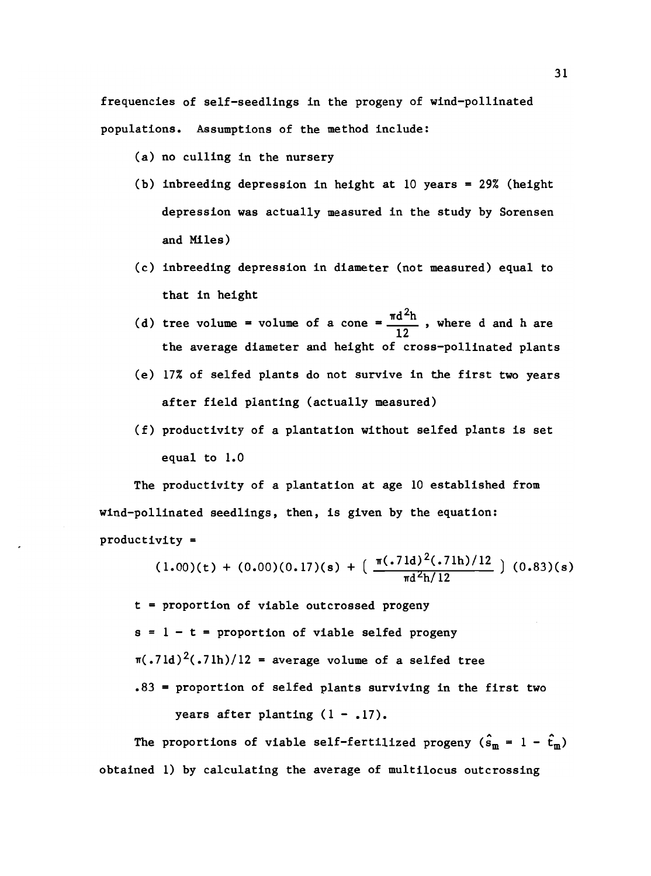frequencies of self-seedlings in the progeny of wind-pollinated populations. Assumptions of the method include:

- (a) no culling in the nursery
- (b) inbreeding depression in height at  $10$  years = 29% (height depression was actually measured in the study by Sorensen and Miles)
- inbreeding depression in diameter (not measured) equal to that in height
- tree volume = volume of a cone =  $\frac{\pi d^2 h}{4}$ , where d and h are 12 the average diameter and height of cross-pollinated plants
- 17% of selfed plants do not survive in the first two years after field planting (actually measured)
- (f) productivity of a plantation without selfed plants is set equal to 1.0

The productivity of a plantation at age 10 established from wind-pollinated seedlings, then, is given by the equation: productivity =

$$
(1.00)(t) + (0.00)(0.17)(s) + \left(\frac{\pi(.71d)^2(.71h)/12}{\pi d^2 h/12}\right) (0.83)(s)
$$

t = proportion of viable outcrossed progeny  $s = 1 - t =$  proportion of viable selfed progeny  $\pi(.71d)^2(.71h)/12$  = average volume of a selfed tree .83 = proportion of selfed plants surviving in the first two years after planting  $(1 - .17)$ .

The proportions of viable self-fertilized progeny  $(\hat{s}_m = 1 - \hat{t}_m)$ obtained 1) by calculating the average of multilocus outcrossing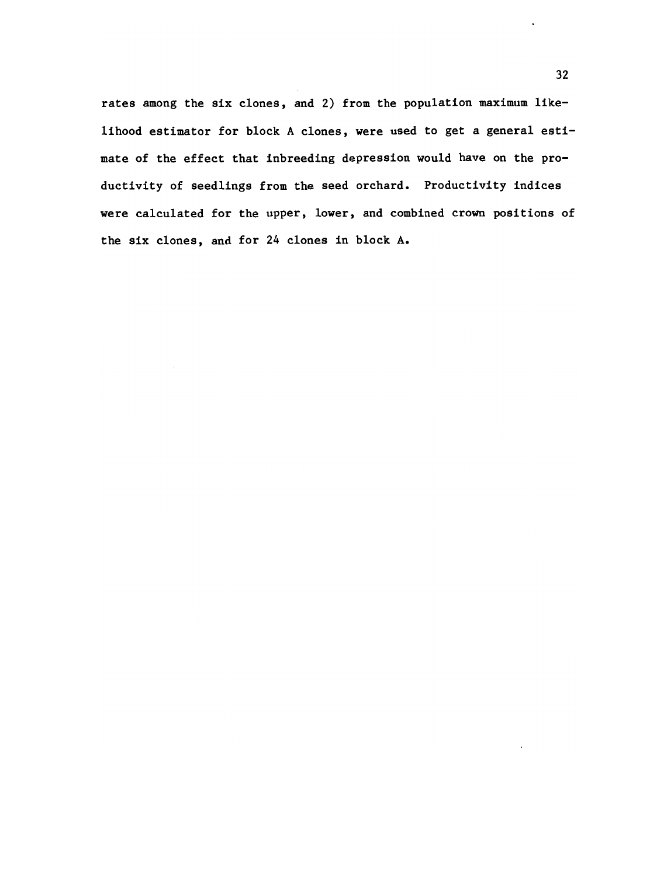rates among the six clones, and 2) from the population maximum likelihood estimator for block A clones, were used to get a general estimate of the effect that inbreeding depression would have on the productivity of seedlings from the seed orchard. Productivity indices were calculated for the upper, lower, and combined crown positions of the six clones, and for 24 clones in block A.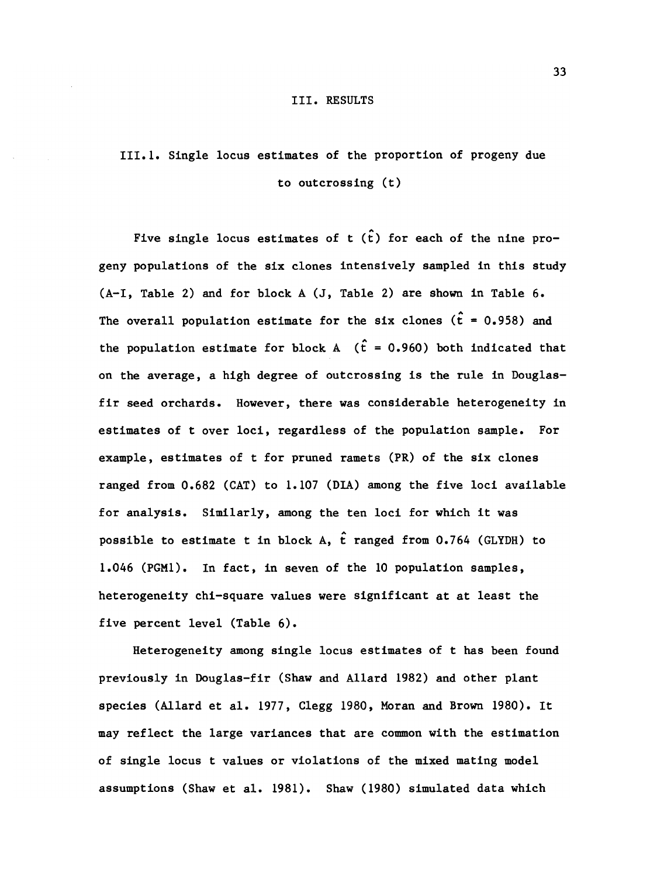#### III. RESULTS

# 111.1. Single locus estimates of the proportion of progeny due to outcrossing (t)

Five single locus estimates of  $t$  ( $\hat{t}$ ) for each of the nine progeny populations of the six clones intensively sampled in this study (A-I, Table 2) and for block A (J, Table 2) are shown in Table 6. The overall population estimate for the six clones ( $\hat{t}$  = 0.958) and the population estimate for block A  $(\hat{t} = 0.960)$  both indicated that on the average, a high degree of outcrossing is the rule in Douglasfir seed orchards. However, there was considerable heterogeneity in estimates of t over loci, regardless of the population sample. For example, estimates of t for pruned ramets (PR) of the six clones ranged from 0.682 (CAT) to 1.107 (DIA) among the five loci available for analysis. Similarly, among the ten loci for which it was possible to estimate t in block A,  $\hat{t}$  ranged from 0.764 (GLYDH) to 1.046 (PGN1). In fact, in seven of the 10 population samples, heterogeneity chi-square values were significant at at least the five percent level (Table 6).

Heterogeneity among single locus estimates of t has been found previously in Douglas-fir (Shaw and Allard 1982) and other plant species (Allard et al. 1977, Clegg 1980, Moran and Brown 1980). It may reflect the large variances that are common with the estimation of single locus t values or violations of the mixed mating model assumptions (Shaw et al. 1981). Shaw (1980) simulated data which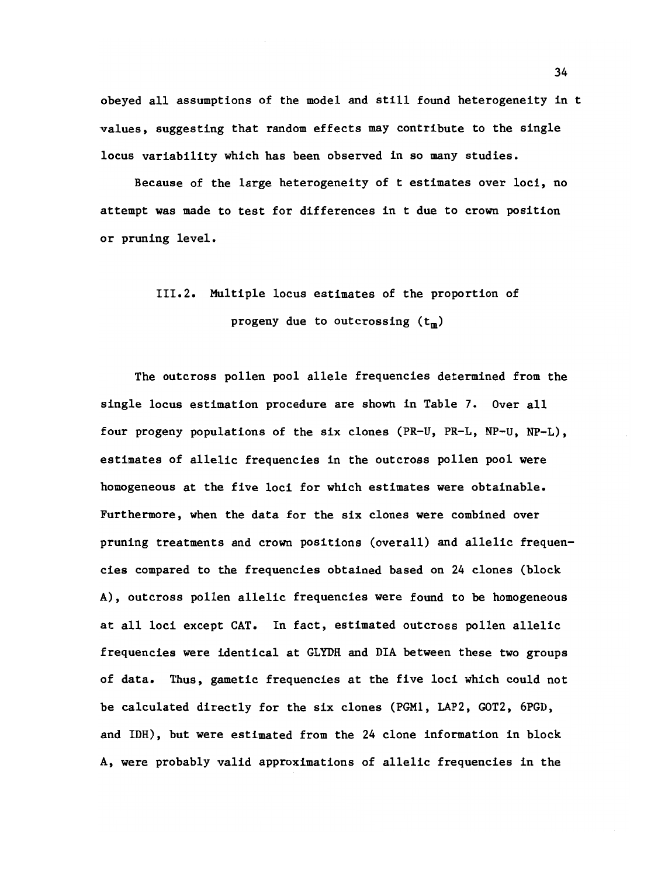obeyed all assumptions of the model and still found heterogeneity in t values, suggesting that random effects may contribute to the single locus variability which has been observed in so many studies.

Because of the large heterogeneity of t estimates over loci, no attempt was made to test for differences in t due to crown position or pruning level.

## 111.2. Multiple locus estimates of the proportion of progeny due to outcrossing  $(t_m)$

The outcross pollen pool allele frequencies determined from the single locus estimation procedure are shown in Table 7. Over all four progeny populations of the six clones (PR-U, PR-L, NP-U, NP-L), estimates of allelic frequencies in the outcross pollen pool were homogeneous at the five loci for which estimates were obtainable. Furthermore, when the data for the six clones were combined over pruning treatments and crown positions (overall) and allelic frequencies compared to the frequencies obtained based on 24 clones (block A), outcross pollen allelic frequencies were found to be homogeneous at all loci except CAT. In fact, estimated outcross pollen allelic frequencies were identical at GLYDH and DIA between these two groups of data. Thus, gametic frequencies at the five loci which could not be calculated directly for the six clones (PGM1, LAP2, GOT2, 6PGD, and IDH), but were estimated from the 24 clone information in block A, were probably valid approximations of allelic frequencies in the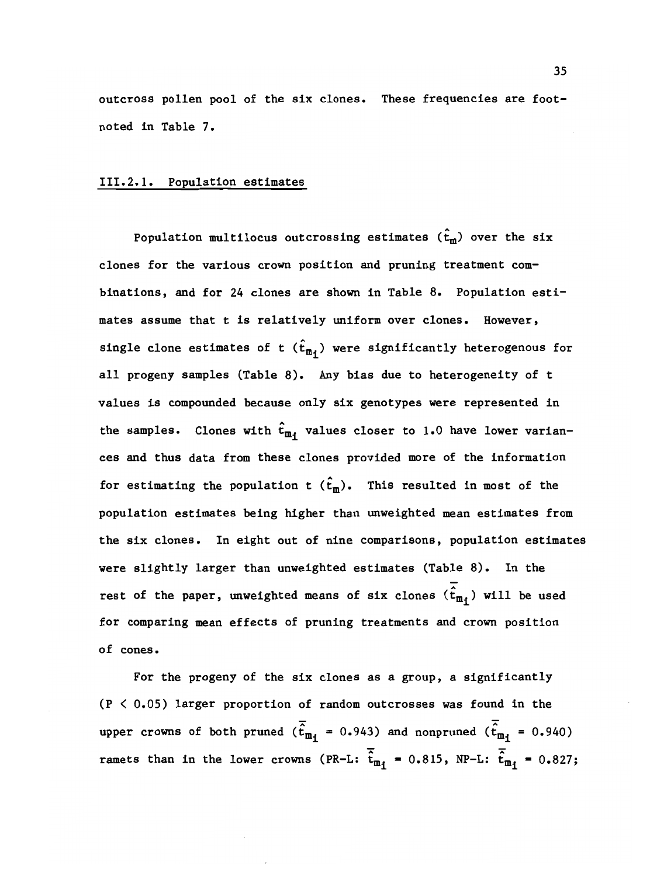outcross pollen pool of the six clones. These frequencies are footnoted in Table 7.

## 111.2.1. Population estimates

Population multilocus outcrossing estimates  $(\hat{t}_m)$  over the six clones for the various crown position and pruning treatment combinations, and for 24 clones are shown in Table 8. Population estimates assume that t is relatively uniform over clones. However, single clone estimates of t  $(\hat{t}_{m_i})$  were significantly heterogenous for all progeny samples (Table 8). Any bias due to heterogeneity of t values is compounded because only six genotypes were represented in the samples. Clones with  $\hat{t}_{m_i}$  values closer to 1.0 have lower variances and thus data from these clones provided more of the information for estimating the population t  $(\hat{t}_m)$ . This resulted in most of the population estimates being higher than unweighted mean estimates from the six clones. In eight out of nine comparisons, population estimates were slightly larger than unweighted estimates (Table 8). In the rest of the paper, unweighted means of six clones  $(\hat{t}_{m_i})$  will be used for comparing mean effects of pruning treatments and crown position of cones.

For the progeny of the six clones as a group, a significantly (P < 0.05) larger proportion of random outcrosses was found in the upper crowns of both pruned ( $\overline{\hat{t}}_{m_1}$  = 0.943) and nonpruned ( $\overline{\hat{t}}_{m_1}$  = 0.940) ramets than in the lower crowns (PR-L:  $\frac{1}{t_{m_1}}$  = 0.815, NP-L:  $\frac{1}{t_{m_1}}$  = 0.827;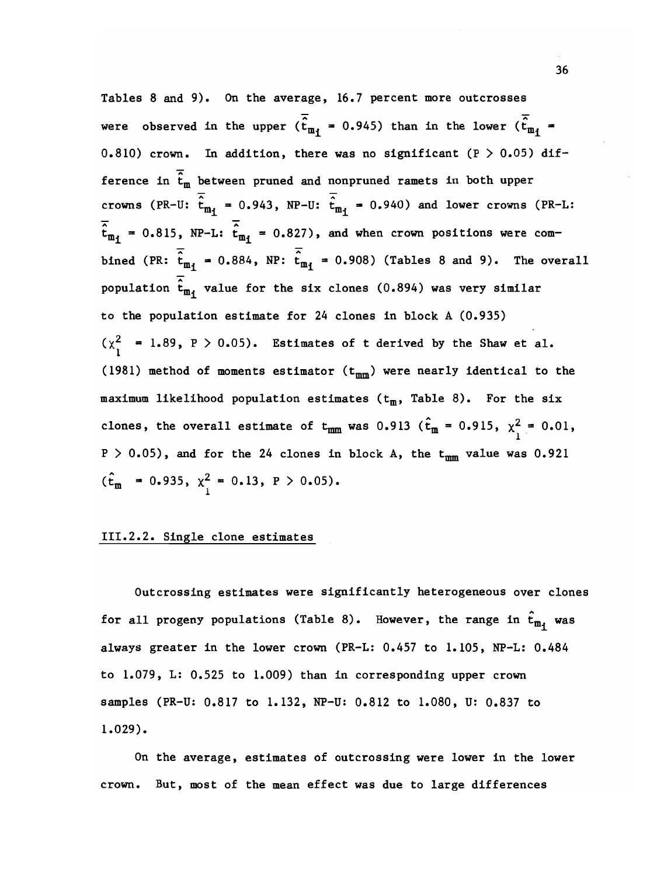Tables 8 and 9). On the average, 16.7 percent more outcrosses were observed in the upper  $(\overline{\hat{t}}_{m_i} = 0.945)$  than in the lower  $(\overline{\hat{t}}_{m_i} =$ 0.810) crown. In addition, there was no significant (P  $>$  0.05) difference in  $\overline{\hat{t}}_m$  between pruned and nonpruned ramets in both upper crowns (PR-U:  $\overline{\hat{t}}_{m_i}$  = 0.943, NP-U:  $\overline{\hat{t}}_{m_i}$  = 0.940) and lower crowns (PR-L:  $\overline{\hat{t}}_{m_1}$  = 0.815, NP-L:  $\overline{\hat{t}}_{m_1}$  = 0.827), and when crown positions were combined (PR:  $\frac{1}{t_{m_1}}$  = 0.884, NP:  $\frac{1}{t_{m_1}}$  = 0.908) (Tables 8 and 9). The overall population  $\hat{t}_{m_1}$  value for the six clones (0.894) was very similar to the population estimate for 24 clones in block A (0.935)  $(\chi^2$  = 1.89, P > 0.05). Estimates of t derived by the Shaw et al. (1981) method of moments estimator  $(t_{mm})$  were nearly identical to the maximum likelihood population estimates  $(t_m,$  Table 8). For the six clones, the overall estimate of  $t_{mm}$  was 0.913 ( $\hat{t}_m = 0.915$ ,  $\chi^2 = 0.01$ ,  $P > 0.05$ , and for the 24 clones in block A, the  $t_{mm}$  value was 0.921  $(t_m = 0.935, \chi_1^2 = 0.13, P > 0.05)$ .

## 111.2.2. Single clone estimates

Outcrossing estimates were significantly heterogeneous over clones for all progeny populations (Table 8). However, the range in  $\hat{t}_{m_i}$  was always greater in the lower crown (PR-L: 0.457 to 1.105, NP-L: 0.484 to 1.079, L: 0.525 to 1.009) than in corresponding upper crown samples (PR-U: 0.817 to 1.132, NP-U: 0.812 to 1.080, U: 0.837 to 1.029).

On the average, estimates of outcrossing were lower in the lower crown. But, most of the mean effect was due to large differences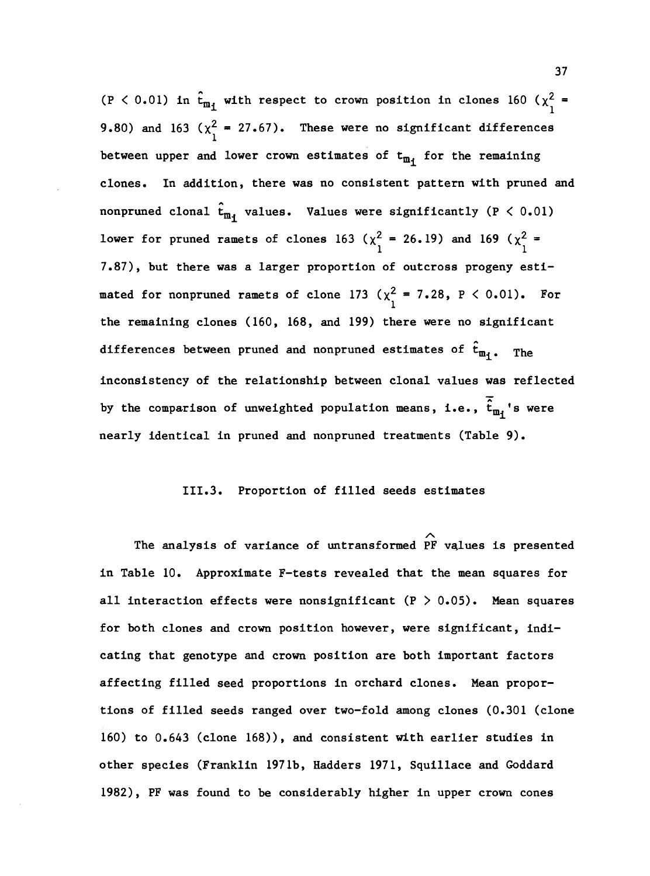(P < 0.01) in  $\hat{t}_{m_1}$  with respect to crown position in clones 160 ( $\chi_1^2$  = 9.80) and 163 ( $\chi^2$  = 27.67). These were no significant differences between upper and lower crown estimates of  $t_{m_i}$  for the remaining clones. In addition, there was no consistent pattern with pruned and nonpruned clonal  $\hat{t}_{m_1}$  values. Values were significantly (P < 0.01) lower for pruned ramets of clones 163 ( $\chi^2$  = 26.19) and 169 ( $\chi^2$  = 7.87), but there was a larger proportion of outcross progeny estimated for nonpruned ramets of clone 173 ( $\chi^2$  = 7.28, P < 0.01). For the remaining clones (160, 168, and 199) there were no significant differences between pruned and nonpruned estimates of  $\hat{t}_{m_i}$ . The inconsistency of the relationship between clonal values was reflected by the comparison of unweighted population means, i.e.,  $\overline{\hat{t}}_{m_{i}}$ 's were nearly identical in pruned and nonpruned treatments (Table 9).

#### 111.3. Proportion of filled seeds estimates

The analysis of variance of untransformed PF values is presented in Table 10. Approximate F-tests revealed that the mean squares for all interaction effects were nonsignificant  $(P > 0.05)$ . Mean squares for both clones and crown position however, were significant, indicating that genotype and crown position are both important factors affecting filled seed proportions in orchard clones. Mean proportions of filled seeds ranged over two-fold among clones (0.301 (clone 160) to 0.643 (clone 168)), and consistent with earlier studies in other species (Franklin 1971b, Hadders 1971, Squillace and Goddard 1982), PF was found to be considerably higher in upper crown cones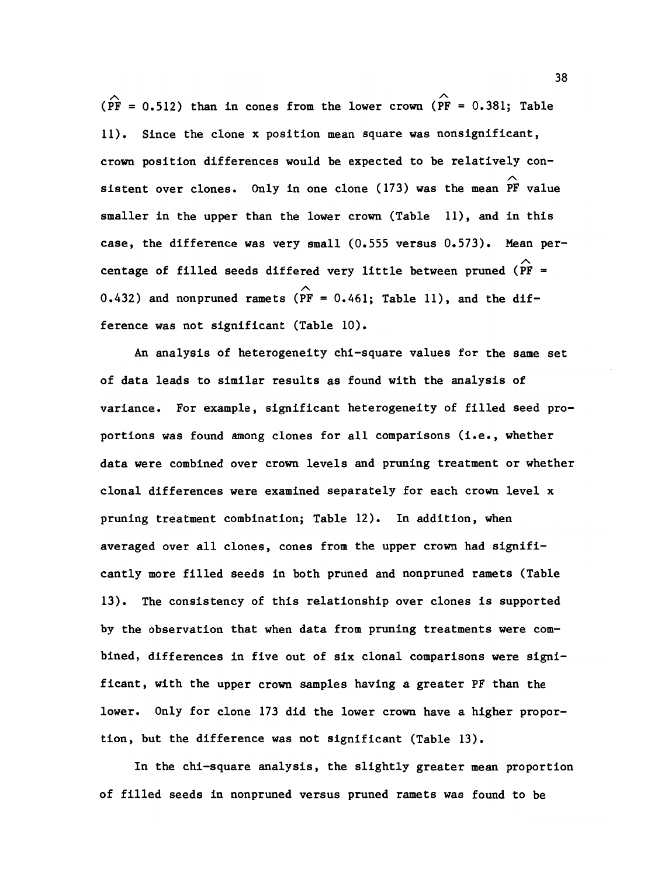( $\widehat{PF}$  = 0.512) than in cones from the lower crown ( $\widehat{PF}$  = 0.381; Table 11). Since the clone x position mean square was nonsignificant, crown position differences would be expected to be relatively consistent over clones. Only in one clone (173) was the mean PF value smaller in the upper than the lower crown (Table 11), and in this case, the difference was very small (0.555 versus 0.573). Mean percentage of filled seeds differed very little between pruned ( $\hat{PF}$  = 0.432) and nonpruned ramets ( $\overrightarrow{PF}$  = 0.461; Table 11), and the difference was not significant (Table 10).

An analysis of heterogeneity chi-square values for the same set of data leads to similar results as found with the analysis of variance. For example, significant heterogeneity of filled seed proportions was found among clones for all comparisons (i.e., whether data were combined over crown levels and pruning treatment or whether clonal differences were examined separately for each crown level x pruning treatment combination; Table 12). In addition, when averaged over all clones, cones from the upper crown had significantly more filled seeds in both pruned and nonpruned ramets (Table 13). The consistency of this relationship over clones is supported by the observation that when data from pruning treatments were combined, differences in five out of six clonal comparisons were significant, with the upper crown samples having a greater PF than the lower. Only for clone 173 did the lower crown have a higher proportion, but the difference was not significant (Table 13).

In the chi-square analysis, the slightly greater mean proportion of filled seeds in nonpruned versus pruned ramets was found to be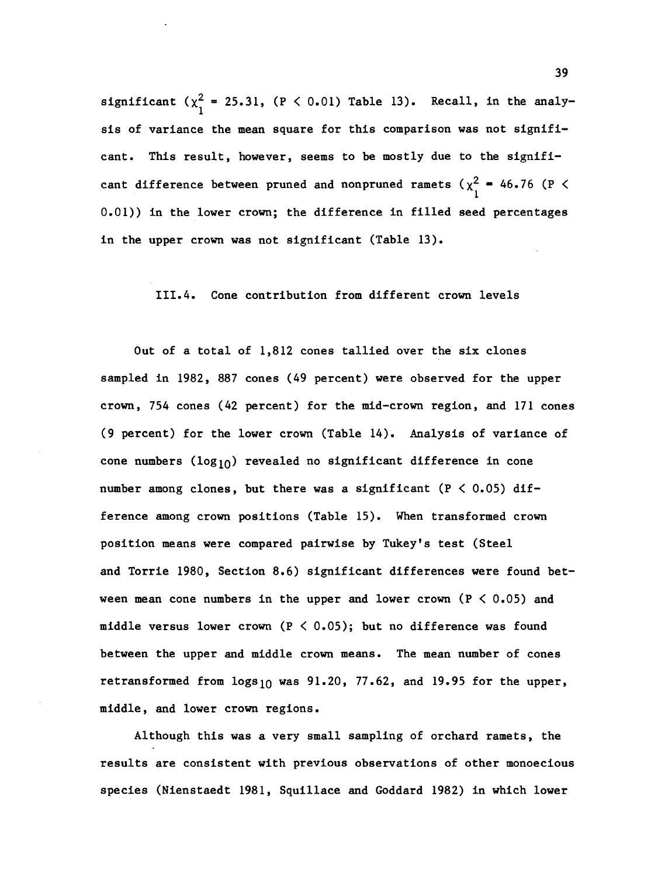significant  $(x_1^2 = 25.31, (P < 0.01)$  Table 13). Recall, in the analysis of variance the mean square for this comparison was not significant. This result, however, seems to be mostly due to the significant difference between pruned and nonpruned ramets ( $\chi^2$  = 46.76 (P < 0.01)) in the lower crown; the difference in filled seed percentages in the upper crown was not significant (Table 13).

#### 111.4. Cone contribution from different crown levels

Out of a total of 1,812 cones tallied over the six clones sampled in 1982, 887 cones (49 percent) were observed for the upper crown, 754 cones (42 percent) for the mid-crown region, and 171 cones (9 percent) for the lower crown (Table 14). Analysis of variance of cone numbers  $(log_{10})$  revealed no significant difference in cone number among clones, but there was a significant  $(P < 0.05)$  difference among crown positions (Table 15). When transformed crown position means were compared pairwise by Tukey's test (Steel and Torrie 1980, Section 8.6) significant differences were found between mean cone numbers in the upper and lower crown  $(P < 0.05)$  and middle versus lower crown ( $P \le 0.05$ ); but no difference was found between the upper and middle crown means. The mean number of cones retransformed from  $\log_{10}$  was 91.20, 77.62, and 19.95 for the upper, middle, and lower crown regions.

Although this was a very small sampling of orchard ramets, the results are consistent with previous observations of other monoecious species (Nienstaedt 1981, Squillace and Goddard 1982) in which lower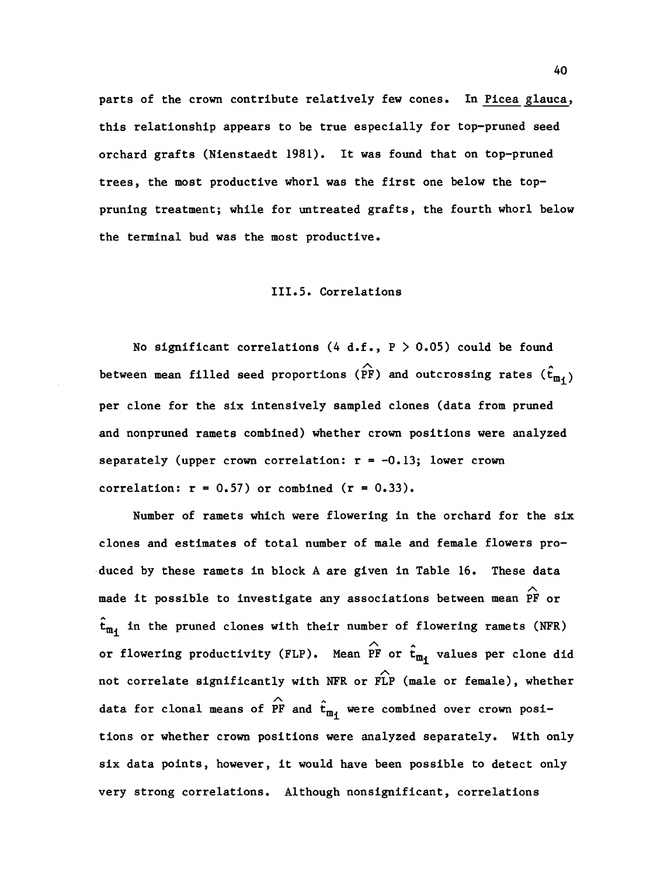parts of the crown contribute relatively few cones. In Picea glauca, this relationship appears to be true especially for top-pruned seed orchard grafts (Nienstaedt 1981). It was found that on top-pruned trees, the most productive whorl was the first one below the toppruning treatment; while for untreated grafts, the fourth whorl below the terminal bud was the most productive.

## 111.5. Correlations

No significant correlations (4 d.f.,  $P > 0.05$ ) could be found between mean filled seed proportions ( $\widehat{r}_{F}$ ) and outcrossing rates ( $\widehat{t}_{m_{\hat{1}}}$ ) per clone for the six intensively sampled clones (data from pruned and nonpruned ramets combined) whether crown positions were analyzed separately (upper crown correlation:  $r = -0.13$ ; lower crown correlation:  $r = 0.57$ ) or combined  $(r = 0.33)$ .

Number of ramets which were flowering in the orchard for the six clones and estimates of total number of male and female flowers produced by these ramets in block A are given in Table 16. These data made it possible to investigate any associations between mean PF or  $\hat{\tau}_{m_i}$  in the pruned clones with their number of flowering ramets (NFR) or flowering productivity (FLP). Mean PF or  $\hat{t}_{m_j}$  values per clone did not correlate significantly with NFR or  $\widehat{FLP}$  (male or female), whether data for clonal means of  $\hat{r}_{m}$  and  $\hat{t}_{m}$  were combined over crown positions or whether crown positions were analyzed separately. With only six data points, however, it would have been possible to detect only very strong correlations. Although nonsignificant, correlations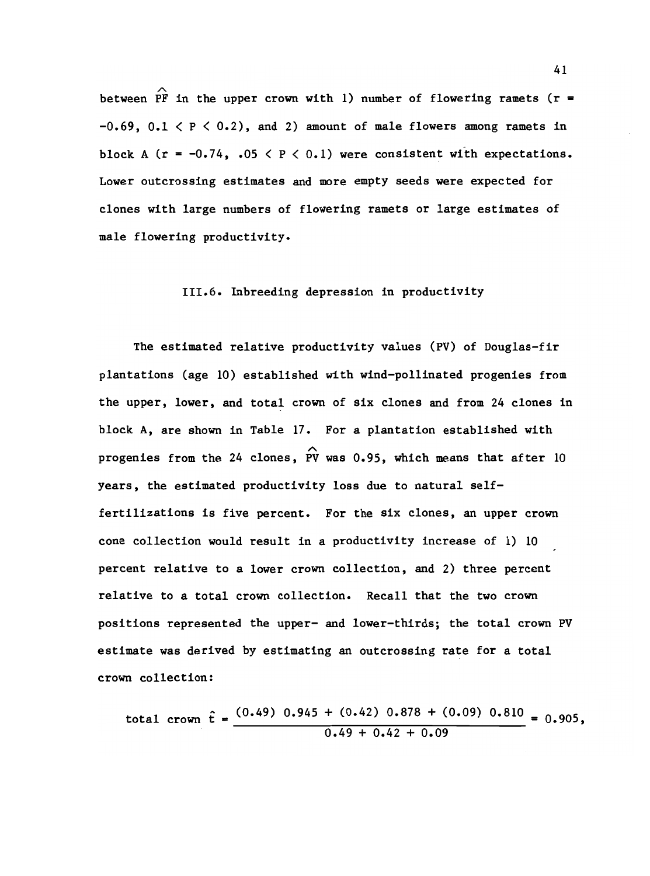between PF in the upper crown with 1) number of flowering ramets ( $r =$  $-0.69$ ,  $0.1 < P < 0.2$ ), and 2) amount of male flowers among ramets in block A ( $r = -0.74$ , .05  $\lt P \lt 0.1$ ) were consistent with expectations. Lower outcrossing estimates and more empty seeds were expected for clones with large numbers of flowering ramets or large estimates of male flowering productivity.

#### 111.6. Inbreeding depression in productivity

The estimated relative productivity values (PV) of Douglas-fir plantations (age 10) established with wind-pollinated progenies from the upper, lower, and total crown of six clones and from 24 clones in block A, are shown in Table 17. For a plantation established with progenies from the 24 clones, PV was 0.95, which means that after 10 years, the estimated productivity loss due to natural selffertilizations is five percent. For the six clones, an upper crown cone collection would result in a productivity increase of 1) 10 percent relative to a lower crown collection, and 2) three percent relative to a total crown collection. Recall that the two crown positions represented the upper- and lower-thirds; the total crown PV estimate was derived by estimating an outcrossing rate for a total crown collection:

total crown  $\hat{t} = \frac{(0.49) 0.945 + (0.42) 0.878 + (0.09) 0.810}{0.905} = 0.905$ ,  $0.49 + 0.42 + 0.09$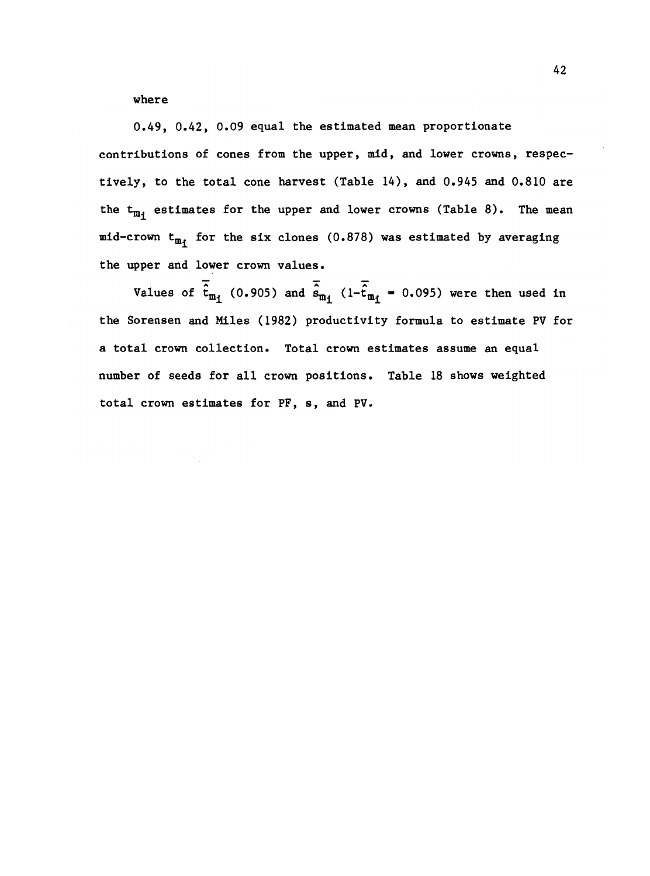where

0.49, 0.42, 0.09 equal the estimated mean proportionate contributions of cones from the upper, mid, and lower crowns, respectively, to the total cone harvest (Table 14), and 0.945 and 0.810 are the  $t_{m_1}$  estimates for the upper and lower crowns (Table 8). The mean mid-crown  $t_{m_1}$  for the six clones (0.878) was estimated by averaging the upper and lower crown values.

Values of  $\overline{\hat{t}}_{m_1}$  (0.905) and  $\overline{\hat{s}}_{m_1}$  (1- $\overline{\hat{t}}_{m_1}$  = 0.095) were then used in the Sorensen and MIles (1982) productivity formula to estimate PV for a total crown collection. Total crown estimates assume an equal number of seeds for all crown positions. Table 18 shows weighted total crown estimates for PF, s, and PV.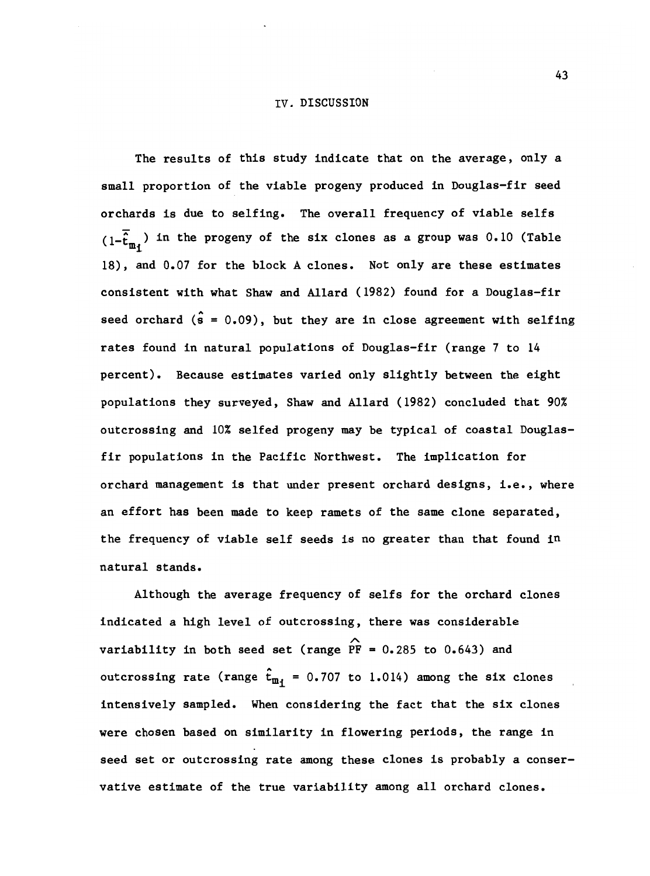The results of this study indicate that on the average, only a small proportion of the viable progeny produced in Douglas-fir seed orchards is due to selfing. The overall frequency of viable selfs  $(1-\tilde{\hat{t}}_{m,i})$  in the progeny of the six clones as a group was 0.10 (Table 18), and 0.07 for the block A clones. Not only are these estimates consistent with what Shaw and Allard (1982) found for a Douglas-fir seed orchard  $(s = 0.09)$ , but they are in close agreement with selfing rates found in natural populations of Douglas-fir (range 7 to 14 percent). Because estimates varied only slightly between the eight populations they surveyed, Shaw and Allard (1982) concluded that 90% outcrossing and 10% selfed progeny may be typical of coastal Douglasfir populations in the Pacific Northwest. The implication for orchard management is that under present orchard designs, i.e., where an effort has been made to keep ramets of the same clone separated, the frequency of viable self seeds is no greater than that found  $1<sup>n</sup>$ natural stands.

Although the average frequency of selfs for the orchard clones indicated a high level of outcrossing, there was considerable variability in both seed set (range  $\widehat{PF} = 0.285$  to 0.643) and outcrossing rate (range  $\hat{t}_{m_i}$  = 0.707 to 1.014) among the six clones intensively sampled. When considering the fact that the six clones were chosen based on similarity in flowering periods, the range in seed set or outcrossing rate among these clones is probably a conservative estimate of the true variability among all orchard clones.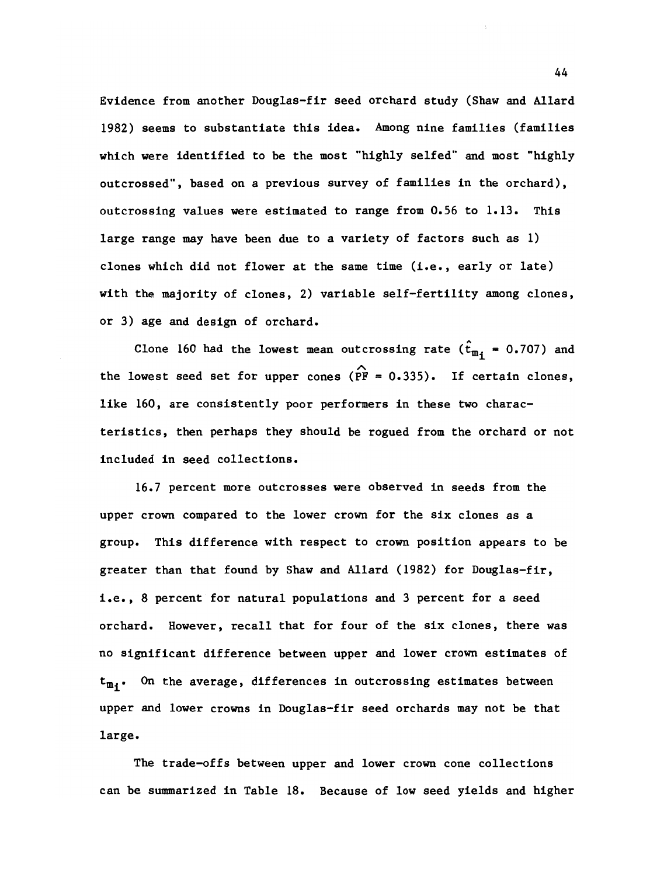Evidence from another Douglas-fir seed orchard study (Shaw and Allard 1982) seems to substantiate this idea. Among nine families (families which were identified to be the most "highly selfed" and most "highly outcrossed", based on a previous survey of families in the orchard), outcrossing values were estimated to range from 0.56 to 1.13. This large range may have been due to a variety of factors such as 1) clones which did not flower at the same time (i.e., early or late) with the majority of clones, 2) variable self-fertility among clones, or 3) age and design of orchard.

Clone 160 had the lowest mean outcrossing rate ( $\hat{t}_{m,i}$  = 0.707) and the lowest seed set for upper cones ( $\widehat{PF} = 0.335$ ). If certain clones, like 160, are consistently poor performers in these two characteristics, then perhaps they should be rogued from the orchard or not included in seed collections.

16.7 percent more outcrosses were observed in seeds from the upper crown compared to the lower crown for the six clones as a group. This difference with respect to crown position appears to be greater than that found by Shaw and Allard (1982) for Douglas-fir, i.e., 8 percent for natural populations and 3 percent for a seed orchard. However, recall that for four of the six clones, there was no significant difference between upper and lower crown estimates of  $t_{m_i}$ . On the average, differences in outcrossing estimates between upper and lower crowns in Douglas-fir seed orchards may not be that large.

The trade-offs between upper and lower crown cone collections can be summarized in Table 18. Because of low seed yields and higher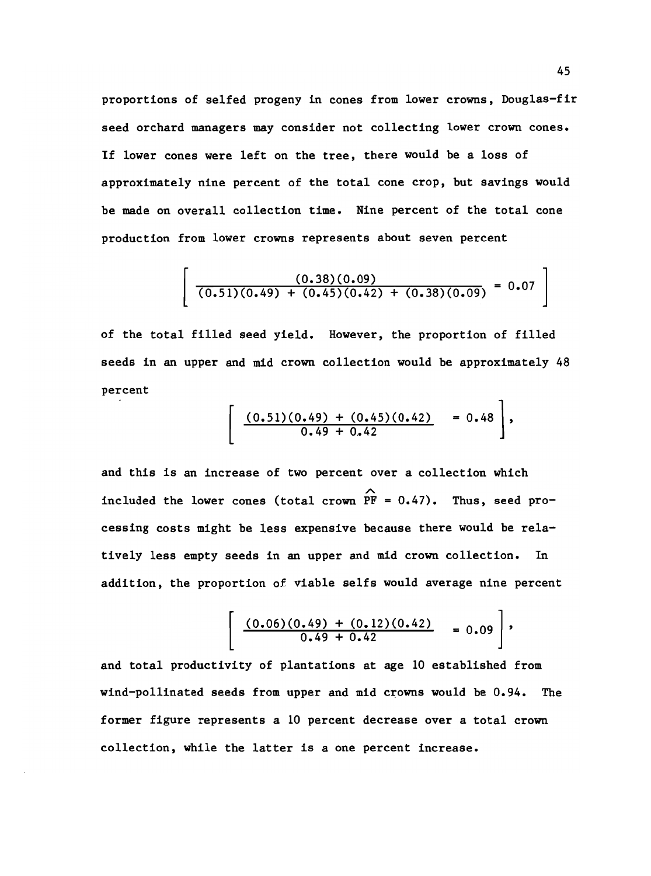proportions of selfed progeny in cones from lower crowns, Douglas-fir seed orchard managers may consider not collecting lower crown cones. If lower cones were left on the tree, there would be a loss of approximately nine percent of the total cone crop, but savings would be made on overall collection time. Nine percent of the total cone production from lower crowns represents about seven percent

$$
\left[\frac{(0.38)(0.09)}{(0.51)(0.49) + (0.45)(0.42) + (0.38)(0.09)} = 0.07\right]
$$

of the total filled seed yield. However, the proportion of filled seeds in an upper and mid crown collection would be approximately 48 percent

$$
\left[\begin{array}{cc} (0.51)(0.49) + (0.45)(0.42) & = 0.48 \\ 0.49 + 0.42 & \end{array}\right],
$$

and this is an increase of two percent over a collection which included the lower cones (total crown  $\overrightarrow{PF}$  = 0.47). Thus, seed processing costs might be less expensive because there would be relatively less empty seeds in an upper and mid crown collection. In addition, the proportion of viable selfs would average nine percent

$$
\left[\begin{array}{cc}\frac{(0.06)(0.49)+(0.12)(0.42)}{0.49+0.42} & = 0.09\end{array}\right],
$$

and total productivity of plantations at age 10 established from wind-pollinated seeds from upper and mid crowns would be 0.94. The former figure represents a 10 percent decrease over a total crown collection, while the latter is a one percent increase.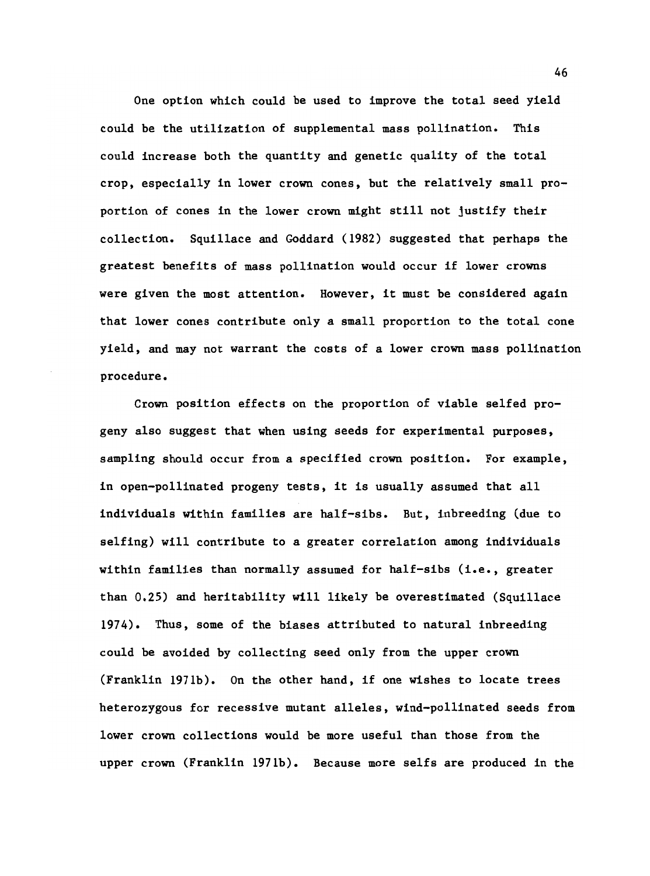One option which could be used to improve the total seed yield could be the utilization of supplemental mass pollination. This could increase both the quantity and genetic quality of the total crop, especially in lower crown cones, but the relatively small proportion of cones in the lower crown might still not justify their collection. Squillace and Goddard (1982) suggested that perhaps the greatest benefits of mass pollination would occur if lower crowns were given the most attention. However, it must be considered again that lower cones contribute only a small proportion to the total cone yield, and may not warrant the costs of a lower crown mass pollination procedure.

Crown position effects on the proportion of viable selfed progeny also suggest that when using seeds for experimental purposes, sampling should occur from a specified crown position. For example, in open-pollinated progeny tests, it is usually assumed that all individuals within families are half-sibs. But, inbreeding (due to selfing) will contribute to a greater correlation among individuals within families than normally assumed for half-sibs (i.e., greater than 0.25) and heritability will likely be overestimated (Squillace 1974). Thus, some of the biases attributed to natural inbreeding could be avoided by collecting seed only from the upper crown (Franklin 1971b). On the other hand, if one wishes to locate trees heterozygous for recessive mutant alleles, wind-pollinated seeds from lower crown collections would be more useful than those from the upper crown (Franklin 1971b). Because more selfs are produced in the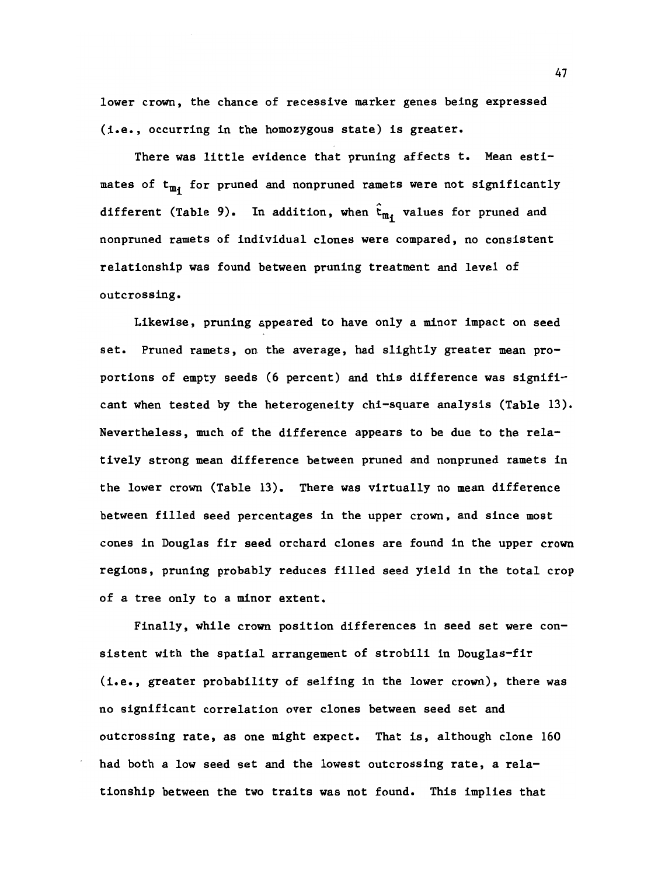lower crown, the chance of recessive marker genes being expressed (i.e., occurring in the homozygous state) is greater.

There was little evidence that pruning affects t. Mean estimates of  $t_{m}$ , for pruned and nonpruned ramets were not significantly different (Table 9). In addition, when  $\hat{t}_{m_i}$  values for pruned and nonpruned ramets of individual clones were compared, no consistent relationship was found between pruning treatment and level of outcrossing.

Likewise, pruning appeared to have only a minor impact on seed set. Pruned ramets, on the average, had slightly greater mean proportions of empty seeds (6 percent) and this difference was significant when tested by the heterogeneity chi-square analysis (Table 13). Nevertheless, much of the difference appears to be due to the relatively strong mean difference between pruned and nonpruned ramets in the lower crown (Table 13). There was virtually no mean difference between filled seed percentages in the upper crown, and since most cones in Douglas fir seed orchard clones are found in the upper crown regions, pruning probably reduces filled seed yield in the total crop of a tree only to a minor extent.

Finally, while crown position differences in seed set were consistent with the spatial arrangement of strobili in Douglas-fir (i.e., greater probability of selfing in the lower crown), there was no significant correlation over clones between seed set and outcrossing rate, as one might expect. That is, although clone 160 had both a low seed set and the lowest outcrossing rate, a relationship between the two traits was not found. This implies that

47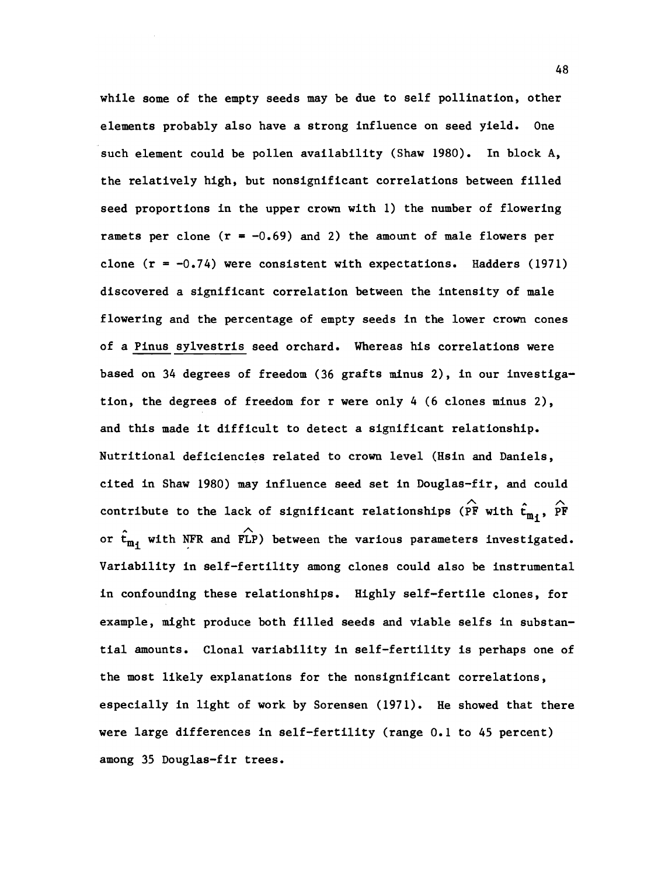while some of the empty seeds may be due to self pollination, other elements probably also have a strong influence on seed yield. One such element could be pollen availability (Shaw 1980). In block A, the relatively high, but nonsignificant correlations between filled seed proportions in the upper crown with 1) the number of flowering ramets per clone  $(r = -0.69)$  and 2) the amount of male flowers per clone  $(r = -0.74)$  were consistent with expectations. Hadders (1971) discovered a significant correlation between the intensity of male flowering and the percentage of empty seeds in the lower crown cones of a Pinus sylvestris seed orchard. Whereas his correlations were based on 34 degrees of freedom (36 grafts mInus 2), in our investigation, the degrees of freedom for r were only 4 (6 clones minus 2), and this made it difficult to detect a significant relationship. Nutritional deficiencies related to crown level (Hsin and Daniels, cited in Shaw 1980) may influence seed set in Douglas-fir, and could contribute to the lack of significant relationships ( $\hat{P}$  with  $\hat{t}_{m_1}$ ,  $\hat{P}$ F or  $\hat{\mathbf{t}}_{m,i}$  with NFR and FLP) between the various parameters investigated. Variability in self-fertility among clones could also be instrumental in confounding these relationships. Highly self-fertile clones, for example, might produce both filled seeds and viable selfs in substantial amounts. Clonal variability in self-fertility is perhaps one of the most likely explanations for the nonsignificant correlations, especially in light of work by Sorensen (1971). He showed that there were large differences in self-fertility (range 0.1 to 45 percent) among 35 Douglas-fir trees.

48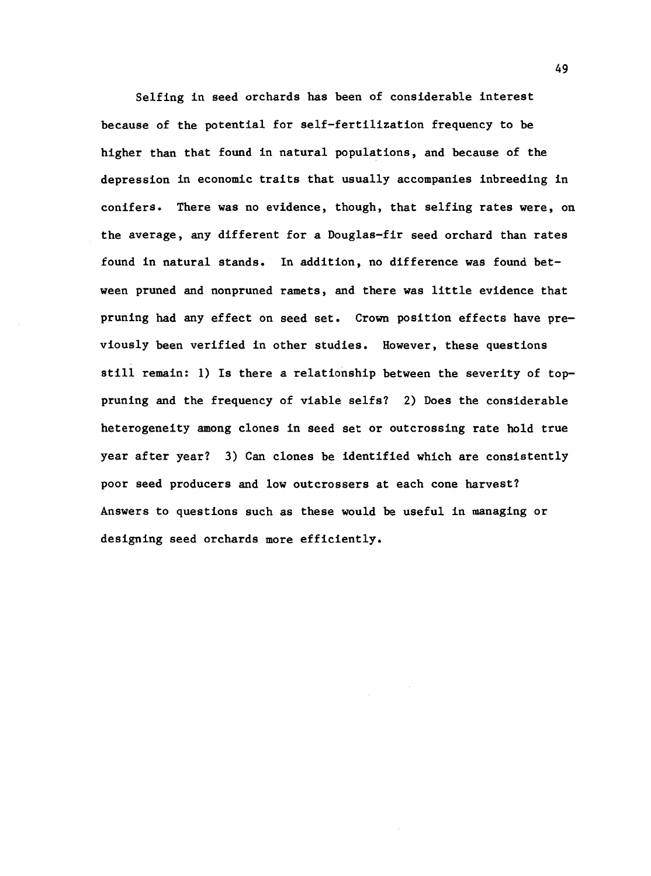Selfing in seed orchards has been of considerable interest because of the potential for self-fertilization frequency to be higher than that found in natural populations, and because of the depression in economic traits that usually accompanies inbreeding in conifers. There was no evidence, though, that selfing rates were, on the average, any different for a Douglas-fir seed orchard than rates found in natural stands. In addition, no difference was found between pruned and nonpruned ramets, and there was little evidence that pruning had any effect on seed set. Crown position effects have previously been verified in other studies. However, these questions still remain: 1) Is there a relationship between the severity of toppruning and the frequency of viable selfs? 2) Does the considerable heterogeneity among clones in seed set or outcrossing rate hold true year after year? 3) Can clones be identified which are consistently poor seed producers and low outcrossers at each cone harvest? Answers to questions such as these would be useful in managing or designing seed orchards more efficiently.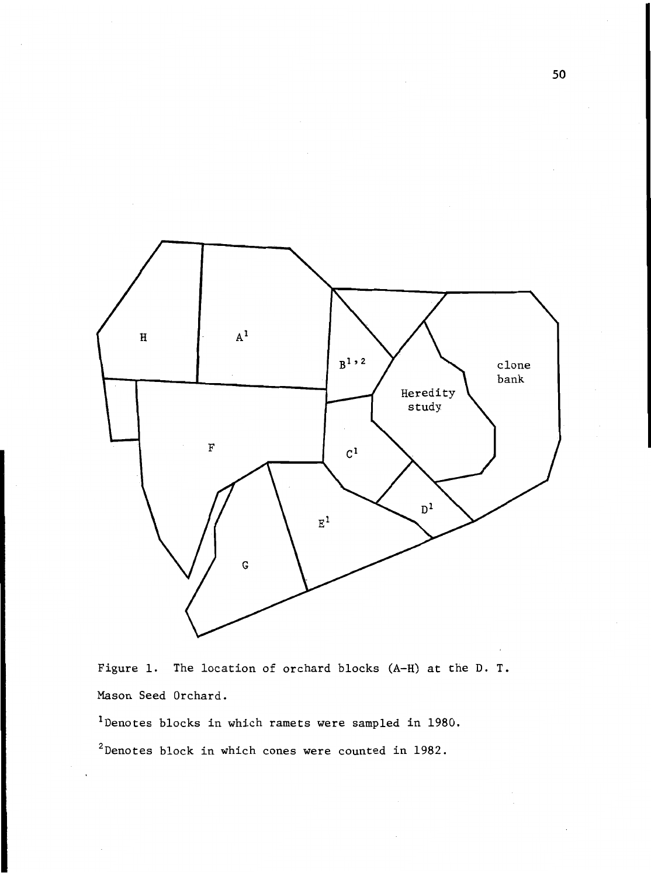

Figure 1. The location of orchard blocks (A-H) at the D. T. Mason Seed Orchard.

1Denotes blocks in which ramets were sampled in 1980.

 $2$ Denotes block in which cones were counted in 1982.

50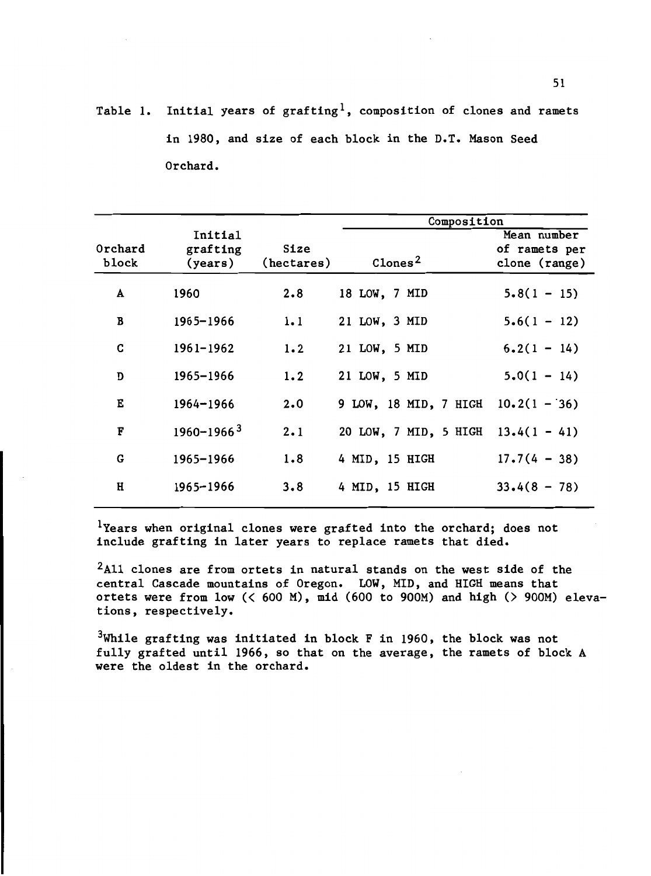Table 1. Initial years of grafting<sup>1</sup>, composition of clones and ramets in 1980, and size of each block in the D.T. Mason Seed Orchard.

|                  |                                |                    | Composition                          |                                               |  |  |  |  |  |  |
|------------------|--------------------------------|--------------------|--------------------------------------|-----------------------------------------------|--|--|--|--|--|--|
| Orchard<br>block | Initial<br>grafting<br>(years) | Size<br>(hectares) | $\texttt{Clones}^2$                  | Mean number<br>of ramets per<br>clone (range) |  |  |  |  |  |  |
| A                | 1960                           | $2 \cdot 8$        | 18 LOW, 7 MID                        | $5.8(1 - 15)$                                 |  |  |  |  |  |  |
| B                | 1965-1966                      | 1.1                | 21 LOW, 3 MID                        | $5.6(1 - 12)$                                 |  |  |  |  |  |  |
| C                | 1961-1962                      | 1.2                | 21 LOW, 5 MID                        | $6.2(1 - 14)$                                 |  |  |  |  |  |  |
| D                | 1965-1966                      | 1.2                | 21 LOW, 5 MID                        | $5.0(1 - 14)$                                 |  |  |  |  |  |  |
| Е                | $1964 - 1966$                  | 2.0                | 9 LOW, 18 MID, 7 HIGH $10.2(1 - 36)$ |                                               |  |  |  |  |  |  |
| $\mathbf F$      | $1960 - 1966$ <sup>3</sup>     | 2.1                | 20 LOW, 7 MID, 5 HIGH $13.4(1 - 41)$ |                                               |  |  |  |  |  |  |
| G                | 1965-1966                      | 1.8                | 4 MID, 15 HIGH                       | $17.7(4 - 38)$                                |  |  |  |  |  |  |
| H                | 1965-1966                      | 3.8                | 4 MID, 15 HIGH                       | $33.4(8 - 78)$                                |  |  |  |  |  |  |
|                  |                                |                    |                                      |                                               |  |  |  |  |  |  |

<sup>1</sup>Years when original clones were grafted into the orchard; does not include grafting in later years to replace ramets that died.

 $2$ All clones are from ortets in natural stands on the west side of the central Cascade mountains of Oregon. LOW, MID, and HIGH means that ortets were from low  $(< 600$  M), mid  $(600$  to 900M) and high  $($  900M) elevations, respectively.

 $3$ While grafting was initiated in block F in 1960, the block was not fully grafted until 1966, so that on the average, the ramets of block A were the oldest in the orchard.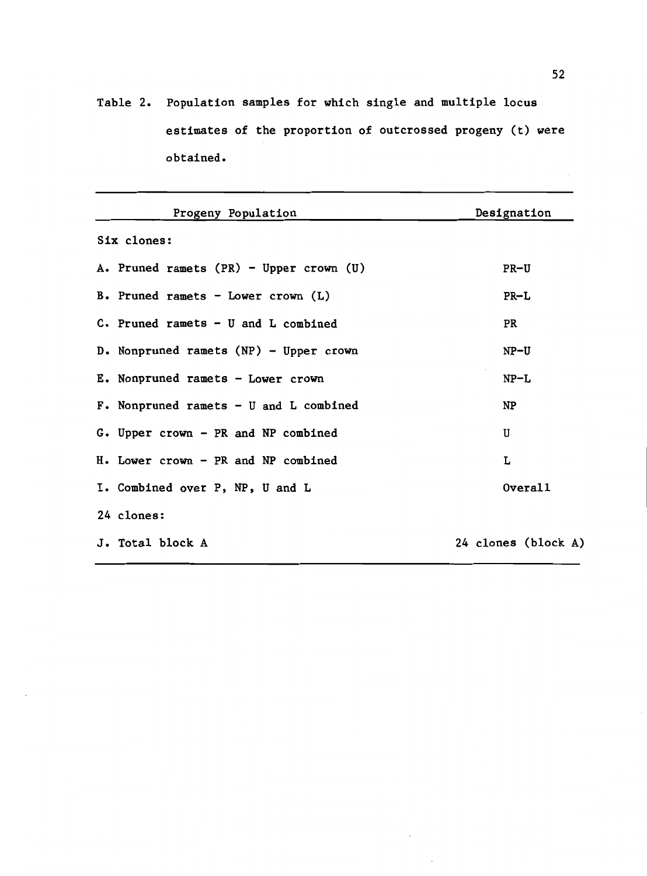Table 2. Population samples for which single and multiple locus estimates of the proportion of outcrossed progeny (t) were obtained.

| Progeny Population                        | Designation         |
|-------------------------------------------|---------------------|
| Six clones:                               |                     |
| A. Pruned ramets (PR) - Upper crown (U)   | $PR-U$              |
| B. Pruned ramets - Lower crown $(L)$      | $PR-L$              |
| $C$ . Pruned ramets - U and L combined    | PR                  |
| D. Nonpruned ramets (NP) - Upper crown    | $NP-U$              |
| E. Nonpruned ramets - Lower crown         | $NP-L$              |
| $F$ . Nonpruned ramets - U and L combined | NP                  |
| G. Upper crown - PR and NP combined       | U                   |
| H. Lower crown - PR and NP combined       | L                   |
| I. Combined over P, NP, U and L           | Overal1             |
| 24 clones:                                |                     |
| J. Total block A                          | 24 clones (block A) |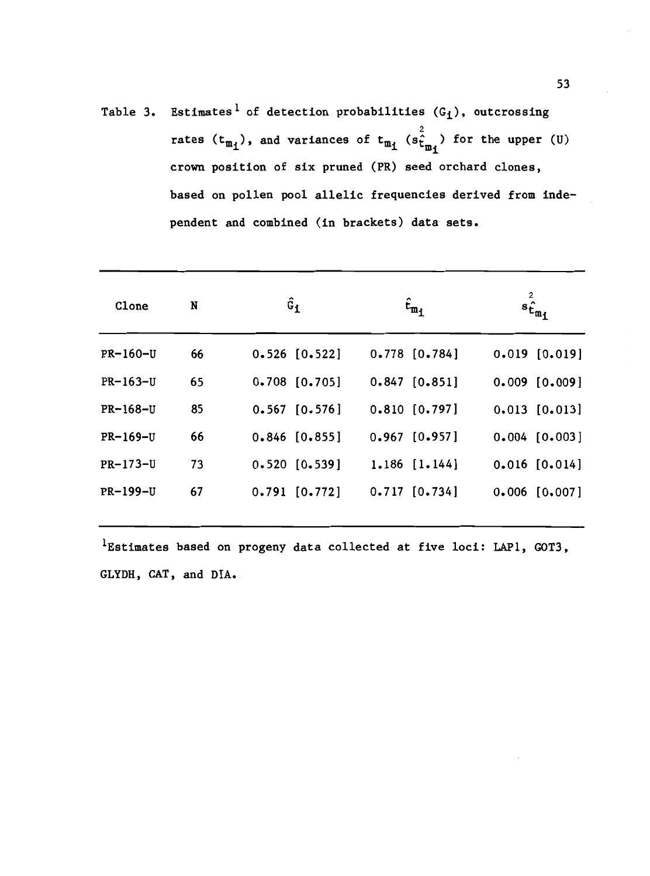Table 3. Estimates<sup>1</sup> of detection probabilities  $(G_i)$ , outcrossing rates  $(t_{m_1})$ , and variances of  $t_{m_1}$  ( $s_{t_{m_1}}^2$ ) for the upper (U) crown position of six pruned (PR) seed orchard clones, based on pollen pool allelic frequencies derived from independent and combined (in brackets) data sets.

| Clone           | N  | $\hat{\mathsf{G}}_{\textbf{1}}$ | $t_{m_1}$         | $s_{\hat{\mathbf{t}}_{\mathfrak{m}_1}}^2$ |
|-----------------|----|---------------------------------|-------------------|-------------------------------------------|
| <b>PR-160-U</b> | 66 | $0.526$ [0.522]                 | $0.778$ $[0.784]$ | $0.019$ $[0.019]$                         |
| PR-163-U        | 65 | $0.708$ [0.705]                 | $0.847$ [0.851]   | $0.009$ $[0.009]$                         |
| <b>PR-168-U</b> | 85 | $0.567$ $[0.576]$               | $0.810$ $[0.797]$ | $0.013$ $[0.013]$                         |
| <b>PR-169-U</b> | 66 | $0.846$ [0.855]                 | $0.967$ [0.957]   | $0.004$ [0.003]                           |
| PR-173-U        | 73 | $0.520$ $[0.539]$               | $1.186$ $[1.144]$ | $0.016$ [0.014]                           |
| <b>PR-199-U</b> | 67 | $0.791$ $[0.772]$               | $0.717$ $[0.734]$ | $0.006$ [0.007]                           |
|                 |    |                                 |                   |                                           |

 $1$ Estimates based on progeny data collected at five loci: LAP1, GOT3, GLYDH, CAT, and DIA.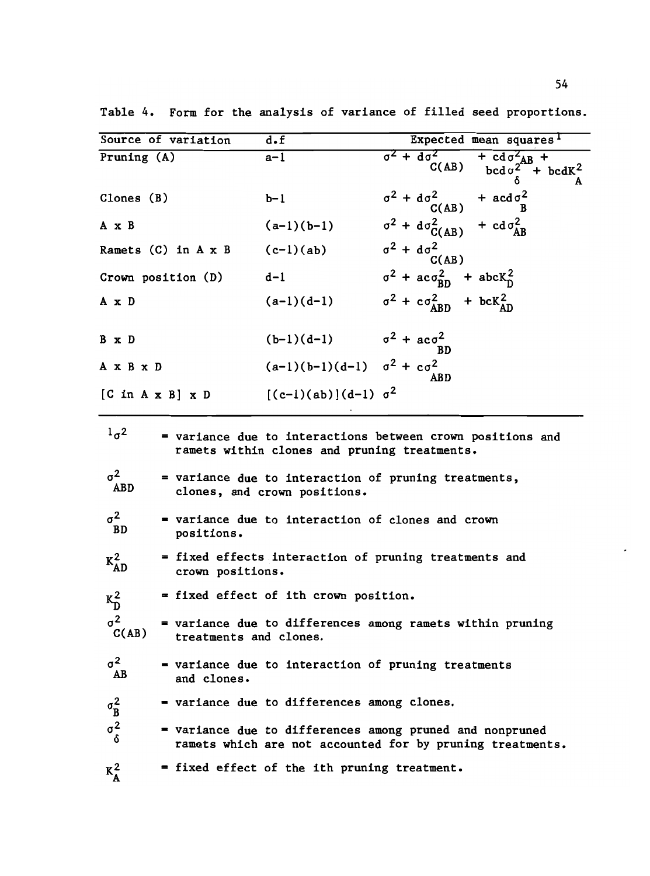| Source of variation                 |                                      | $\overline{\mathbf{d} \cdot \mathbf{f}}$                                                                                                                                                           | Expected mean squares <sup>1</sup>                                                                                                 |  |
|-------------------------------------|--------------------------------------|----------------------------------------------------------------------------------------------------------------------------------------------------------------------------------------------------|------------------------------------------------------------------------------------------------------------------------------------|--|
| Pruning (A)                         |                                      | a-1                                                                                                                                                                                                | $\frac{1}{\sigma^2 + d\sigma^2 + d\sigma^2 + bcd\sigma^2 + bcd\sigma^2}$<br>C(AB) $\frac{1}{\sigma^2 + bcd\sigma^2 + bcd\sigma^2}$ |  |
| Clones $(B)$                        |                                      | $b-1$                                                                                                                                                                                              | $\sigma^2 + d\sigma^2$ + $acd\sigma^2$<br>C(AB) + $acd\sigma^2$                                                                    |  |
| A x B                               |                                      | $(a-1)(b-1)$                                                                                                                                                                                       | $\sigma^2$ + $d\sigma_{C(AB)}^2$ + $cd\sigma_{AB}^2$                                                                               |  |
|                                     | Ramets (C) in $A \times B$ (c-1)(ab) |                                                                                                                                                                                                    | $\sigma^2$ + $d\sigma^2$<br>C(AB)                                                                                                  |  |
| Crown position (D)                  |                                      | $d-1$                                                                                                                                                                                              | $\sigma^2$ + $ac\sigma_{BD}^2$ + $abcK_D^2$                                                                                        |  |
| A x D                               |                                      | $(a-1)(d-1)$                                                                                                                                                                                       | $\sigma^2$ + $c\sigma_{ABD}^2$ + $bcK_{AD}^2$                                                                                      |  |
| B x D                               |                                      | $(b-1)(d-1)$ $\sigma^2 + ac\sigma^2$                                                                                                                                                               |                                                                                                                                    |  |
| A x B x D                           |                                      | $(a-1)(b-1)(d-1)$ $\sigma^2 + c\sigma^2$                                                                                                                                                           |                                                                                                                                    |  |
| $[C \ln A \times B] \times D$       |                                      | $[(c-1)(ab)](d-1) \sigma^2$                                                                                                                                                                        |                                                                                                                                    |  |
| 1 <sub>q</sub><br>$\sigma^2$<br>ABD |                                      | = variance due to interactions between crown positions and<br>ramets within clones and pruning treatments.<br>= variance due to interaction of pruning treatments,<br>clones, and crown positions. |                                                                                                                                    |  |
| $\sigma^2$<br>BD                    | positions.                           | = variance due to interaction of clones and crown                                                                                                                                                  |                                                                                                                                    |  |
| $K_{AD}^2$                          | crown positions.                     | = fixed effects interaction of pruning treatments and                                                                                                                                              |                                                                                                                                    |  |
| $K_D^2$                             |                                      | = fixed effect of ith crown position.                                                                                                                                                              |                                                                                                                                    |  |
| $\sigma^2$<br>C(AB)                 | treatments and clones.               | = variance due to differences among ramets within pruning                                                                                                                                          |                                                                                                                                    |  |
| $\sigma^2$<br>AB                    | and clones.                          | = variance due to interaction of pruning treatments                                                                                                                                                |                                                                                                                                    |  |
| $\sigma_B^2$                        |                                      | = variance due to differences among clones.                                                                                                                                                        |                                                                                                                                    |  |
| $\sigma_{\delta}^2$                 |                                      | = variance due to differences among pruned and nonpruned<br>ramets which are not accounted for by pruning treatments.                                                                              |                                                                                                                                    |  |
| $K_A^2$                             |                                      | = fixed effect of the ith pruning treatment.                                                                                                                                                       |                                                                                                                                    |  |

Table 4. Form for the analysis of variance of filled seed proportions.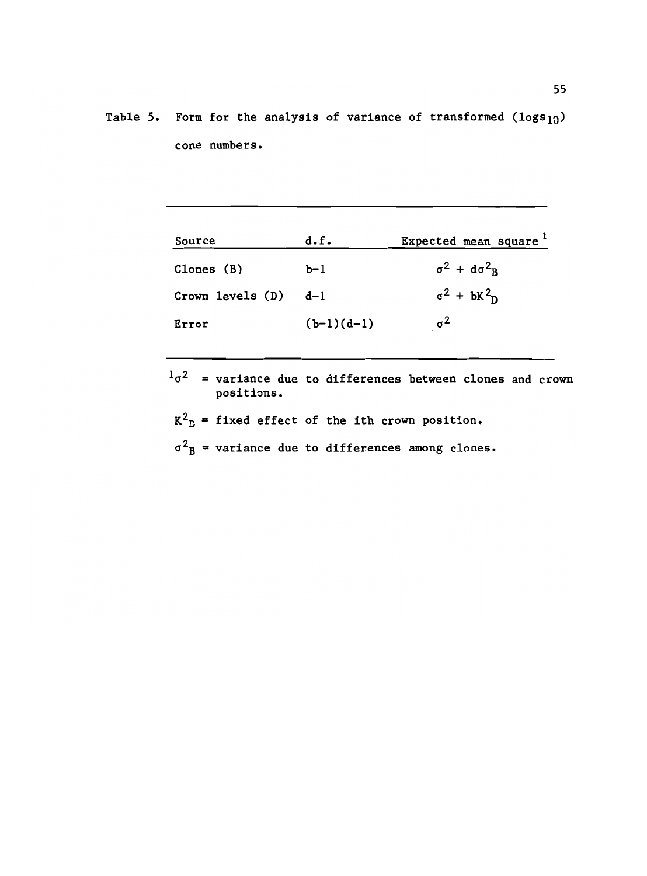Table 5. Form for the analysis of variance of transformed  $(logs_{10})$ cone numbers.

| Source           | d.f.         | Expected mean square <sup>1</sup>     |
|------------------|--------------|---------------------------------------|
| Clones $(B)$     | $b-1$        | $\sigma^2$ + $d\sigma^2$ <sub>R</sub> |
| Crown levels (D) | $d-1$        | $\sigma^2$ + $\frac{1}{2}$ $\sigma^2$ |
| Error            | $(b-1)(d-1)$ | $\sigma^2$                            |

 $1_{\sigma^2}$  = variance due to differences between clones and crown positions.

 $K^2_D$  = fixed effect of the ith crown position.

 $\sigma^2$ <sub>B</sub> = variance due to differences among clones.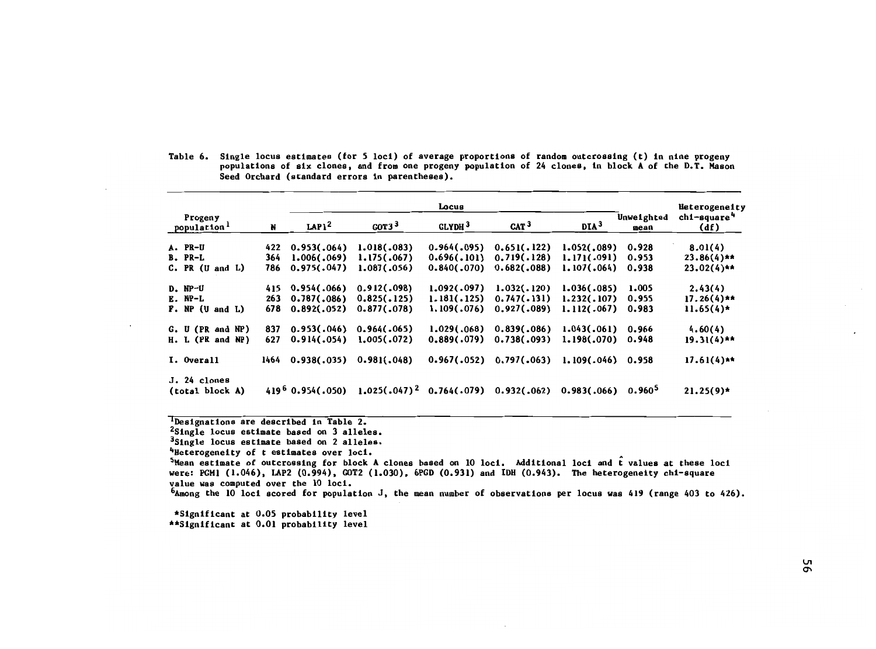|                                    |      |                     |                   | Locus              |                             |                                |                    | Heterogeneity                   |
|------------------------------------|------|---------------------|-------------------|--------------------|-----------------------------|--------------------------------|--------------------|---------------------------------|
| Progeny<br>population <sup>1</sup> | N    | LAP <sub>12</sub>   | GOT3 <sup>3</sup> | GLYDH <sup>3</sup> | CAT <sup>3</sup>            | DIA <sup>3</sup>               | Unweighted<br>mean | chi-square <sup>4</sup><br>(df) |
| A. PR-U                            | 422  | 0.953(.064)         | 1.018(.083)       | 0.964(.095)        | 0.651(.122)                 | 1.052(.089)                    | 0.928              | 8.01(4)                         |
| B. PR-L                            | 364  | 1.006(0.069)        | 1.175(.067)       | 0.696(.101)        | 0.719(.128)                 | 1.171(.091)                    | 0.953              | $23.86(4)$ **                   |
| $C. PR$ (U and $L$ )               | 786  | 0.975(.047)         | 1.087(0.056)      | 0.840(.070)        | 0.682(.088)                 | 1.107(.064)                    | 0.938              | $23.02(4)**$                    |
| $D. NP-U$                          | 415  | 0.954(.066)         | 0.912(.098)       | 1.092(.097)        | 1.032(.120)                 | 1.036(.085)                    | 1.005              | 2.43(4)                         |
| $E. NP-L$                          | 263  | 0.787(.086)         | 0.825(.125)       | 1.181(.125)        | 0.747(.131)                 | 1.232(.107)                    | 0.955              | $17.26(4)**$                    |
| P. NP (U and L)                    | 678  | 0.892(.052)         | 0.877(0.78)       | 1.109(.076)        | 0.927(.089)                 | 1.112(.067)                    | 0.983              | $11.65(4)$ *                    |
| G. U (PR and NP)                   | 837  | 0.953(.046)         | 0.964(.065)       | 1.029(.068)        | 0.839(.086)                 | 1.043(.061)                    | 0.966              | 4.60(4)                         |
| H. L (PR and NP)                   | 627  | 0.914(.054)         | 1.005(.072)       | 0.889(.079)        | 0.738(.093)                 | 1.198(.070)                    | 0.948              | $19.31(4)**$                    |
| I. Overall                         | 1464 | 0.938(.035)         | 0.981(.048)       | 0.967(.052)        | 0.797(.063)                 | 1.109(.046) 0.958              |                    | $17.61(4)**$                    |
| J. 24 clones<br>(total block A)    |      | $419^6$ 0.954(.050) | $1.025(.047)^2$   |                    | $0.764(.079)$ $0.932(.062)$ | 0.983(.066) 0.960 <sup>5</sup> |                    | $21.25(9)$ *                    |

Table 6. Single locus estimates (for S loci) of average proportions of random outcrossing (t) in nine progeny populations of six clones, and from one progeny population of <sup>24</sup> clones, in block <sup>A</sup> of the D.T. Mason Seed Orchard (standard errors in parentheses).

'Designations are described in Table 2.

<sup>2</sup>Single locus estimate based on 3 alleles.

3Single locus estimate based on 2 alleles.

<sup>4</sup>Heterogeneity of t estimates over loci.

 $5$ Mean estimate of outcrossing for block A clones based on 10 loci. Additional loci and  $\hat{\bf t}$  values at these loci were: PCML (1.046), LAP2 (0.994), COT2 (1.030), 6PGD (0.931) and IDU (0.943). The heterogeneity chi-square value was computed over the 10 loci.

 $6$ Among the 10 loci scored for population J, the mean number of observations per locus was 419 (range 403 to 426).

\*Significant at 0.05 probability level \*\*Significant at 0.01 probability level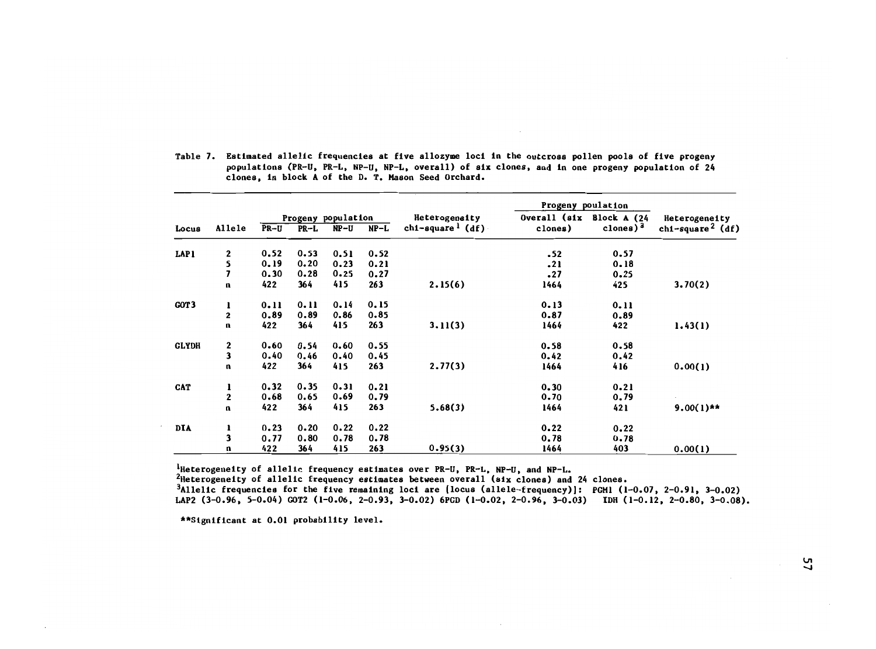|              |              |      |          |                    |        |                                 | Progeny poulation         |             |                              |  |
|--------------|--------------|------|----------|--------------------|--------|---------------------------------|---------------------------|-------------|------------------------------|--|
|              |              |      |          | Progeny population |        | Heterogeneity                   | Overall (six Block A (24) |             | Heterogeneity                |  |
| Locus        | Allele       | PR-U | PR-L     | NP-U               | $NP-L$ | $ch1$ -square <sup>1</sup> (df) | clones)                   | clones) $3$ | chi-square <sup>2</sup> (df) |  |
| LAP1         | 2            | 0.52 | 0.53     | 0.51               | 0.52   |                                 | $-52$                     | 0.57        |                              |  |
|              | 5            | 0.19 | 0.20     | 0.23               | 0.21   |                                 | .21                       | 0.18        |                              |  |
|              | 7            | 0.30 | 0.28     | 0.25               | 0.27   |                                 | .27                       | 0.25        |                              |  |
|              | n            | 422  | 364      | 415                | 263    | 2.15(6)                         | 1464                      | 425         | 3.70(2)                      |  |
| GOT3         | ı            | 0.11 | 0.11     | 0.14               | 0.15   |                                 | 0.13                      | 0.11        |                              |  |
|              | $\mathbf 2$  | 0.89 | 0.89     | 0.86               | 0.85   |                                 | 0.87                      | 0.89        |                              |  |
|              | n            | 422  | 364      | 415                | 263    | 3.11(3)                         | 1464                      | 422         | 1.43(1)                      |  |
| <b>GLYDH</b> | 2            | 0.60 | 0.54     | 0.60               | 0.55   |                                 | 0.58                      | 0.58        |                              |  |
|              | 3            | 0.40 | 0.46     | 0.40               | 0.45   |                                 | 0.42                      | 0.42        |                              |  |
|              | $\mathbf{u}$ | 422  | 364      | 415                | 263    | 2.77(3)                         | 1464                      | 416         | 0.00(1)                      |  |
| CAT          | $\mathbf{I}$ | 0.32 | 0.35     | 0.31               | 0.21   |                                 | 0.30                      | 0.21        |                              |  |
|              | $\mathbf 2$  | 0.68 | 0.65     | 0.69               | 0.79   |                                 | 0.70                      | 0.79        |                              |  |
|              | n            | 422  | 364      | 415                | 263    | 5.68(3)                         | 1464                      | 421         | $9.00(1)$ **                 |  |
| DIA          | ı            | 0.23 | $0 - 20$ | 0.22               | 0.22   |                                 | 0.22                      | 0.22        |                              |  |
|              | 3            | 0.77 | 0.80     | 0.78               | 0.78   |                                 | 0.78                      | 0.78        |                              |  |
|              | n            | 422  | 364      | 415                | 263    | 0.95(3)                         | 1464                      | 403         | 0.00(1)                      |  |

Table 7. Estimated allelic frequencies at five allozyme loci in the outcross pollen pools of five progeny populations (PR-U, PR-L, NP-U, NP-L, overall) of six clones, and in one progeny population of 24 clones, in block A of the D. T. Mason Seed Orchard.

 $1$ Heterogeneity of allelic frequency estimates over PR-U, PR-L, NP-U, and NP-L.

<sup>2</sup>Heterogeneity of allelic frequency estimates between overall (six clones) and 24 clones. 3Allelic frequencies for the five remaining loci are (locus (allele-frequency)]: PGM1 (1-0.07, 2-0.91, 3-0.02) LAP2 (3-0.96, 5-0.04) GOT2 (1-0.06, 2-0.93, 3-0.02) 6PGD (1-0.02, 2-0.96, 3-0.03) Inn (1-0.12, 2-0.80, 3-0.08).

\*\*Significant at 0.01 probability level.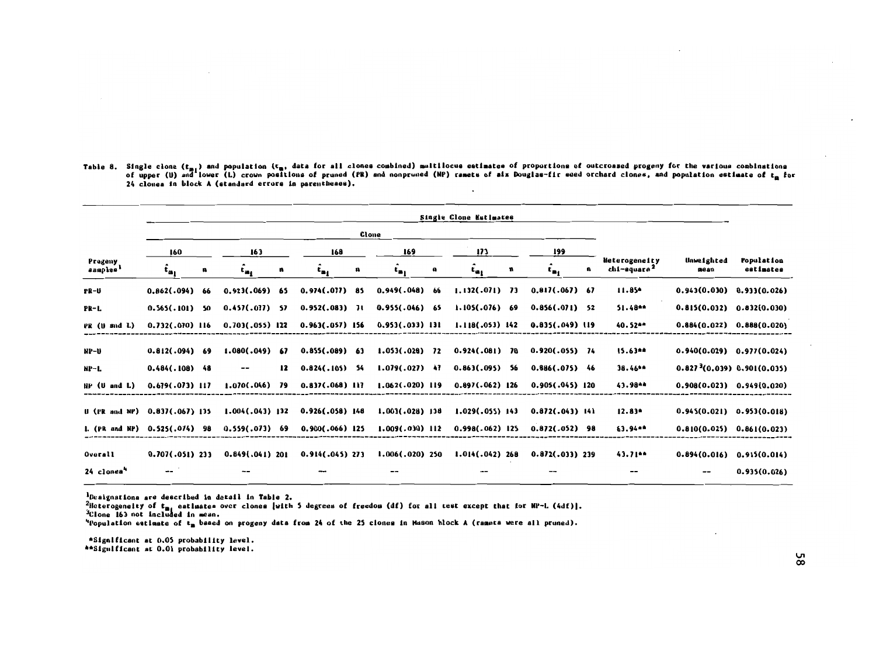| Table 8. Single clone (t <sub>m.</sub> ) and population (t <sub>m</sub> , data for all clones combined) multilocus estimates of proportions of outcroased progeny for the various combinations |
|------------------------------------------------------------------------------------------------------------------------------------------------------------------------------------------------|
| of upper (U) and lower (L) crown positions of pruned (PR) and nonpruned (NP) ramets of aix Douglas-fir seed orchard clones, and population estimate of t. for                                  |
| 24 clones in block A (standard errors in parentheses).                                                                                                                                         |
|                                                                                                                                                                                                |
|                                                                                                                                                                                                |
|                                                                                                                                                                                                |

|                                                                                                                                                           |                                         |   |                             |    |                   |    |                                                       |    | Single Clone Estimates                                                                                                                                                                                                                                                             |   |                   |    |                                          |                                         |                               |
|-----------------------------------------------------------------------------------------------------------------------------------------------------------|-----------------------------------------|---|-----------------------------|----|-------------------|----|-------------------------------------------------------|----|------------------------------------------------------------------------------------------------------------------------------------------------------------------------------------------------------------------------------------------------------------------------------------|---|-------------------|----|------------------------------------------|-----------------------------------------|-------------------------------|
|                                                                                                                                                           |                                         |   |                             |    |                   |    | Clone                                                 |    |                                                                                                                                                                                                                                                                                    |   |                   |    |                                          |                                         |                               |
|                                                                                                                                                           | 160                                     |   | 163                         |    | 168               |    | 169                                                   |    | 173                                                                                                                                                                                                                                                                                |   | 199               |    |                                          |                                         |                               |
| Progeny<br>aamples'                                                                                                                                       | $\hat{\mathbf{t}}_{\mathbf{a}_1}$       | u | $\mathbf{t}_{\mathbf{m}_1}$ | n  | $t_{n_1}$         | u  | $t_{n_1}$                                             | a  | $t_{a_1}$                                                                                                                                                                                                                                                                          | n | $t_{\rm m_1}$     | U, | Heterogeneity<br>chi-square <sup>2</sup> | <b>Unweighted</b><br>mean               | Population<br>estimates       |
| PR-U                                                                                                                                                      | 0.862(.094) 66                          |   | $0.923(.069)$ 65            |    | 0.974(.077)       | 85 | 0.949(.048)                                           | 66 | $1.132(.071)$ 73                                                                                                                                                                                                                                                                   |   | 0.817(.067) 67    |    | $11.85*$                                 | $0.943(0.030)$ $0.933(0.026)$           |                               |
| PR-L                                                                                                                                                      | $0.565(.101)$ 50                        |   | $0.457(.077)$ 57            |    | $0.952(.083)$ 71  |    | 0.955(.046) 65                                        |    | 1.105(.076) 69                                                                                                                                                                                                                                                                     |   | $0.856(.071)$ 52  |    | 51.48**                                  | 0.815(0.032) 0.832(0.030)               |                               |
| PR (U snd L)                                                                                                                                              | $0.732(.070)$ 116                       |   | $0.703(.055)$ 122           |    | $0.963(.057)$ 156 |    | $0.953(.033)$ 131                                     |    | $1.118(.053)$ 142                                                                                                                                                                                                                                                                  |   | 0.835(.049) 119   |    | 40.52**                                  | $0.884(0.022)$ $0.888(0.020)$           |                               |
| NP-U                                                                                                                                                      | $0.812(.094)$ 69                        |   | 1.080(.049)                 | 67 | $0.855(.089)$ 63  |    | $1.053(.028)$ 72                                      |    | $0.924(0.081)$ 70                                                                                                                                                                                                                                                                  |   | $0.920(.055)$ 74  |    | $15.63**$                                |                                         | $0.940(0.029)$ $0.977(0.024)$ |
| NP-L                                                                                                                                                      | $0.484(.108)$ 48                        |   |                             | 12 | $0.824(.105)$ 54  |    | $1.079(.027)$ 47                                      |    | $0.863(.095)$ 56                                                                                                                                                                                                                                                                   |   | $0.886(.075)$ 46  |    | 38.46**                                  | 0.827 <sup>3</sup> (0.039) 0.901(0.035) |                               |
| NP (U and L)                                                                                                                                              | $0.679(.073)$ 117                       |   | $1.070(.046)$ 79            |    | $0.837(.068)$ 117 |    | $1.062(.020)$ 119                                     |    | $0.897(.062)$ 126                                                                                                                                                                                                                                                                  |   | $0.905(.045)$ 120 |    | 43.98**                                  | $0.908(0.023)$ $0.949(0.020)$           |                               |
| U (PR and NP) 0.837(.067) 135                                                                                                                             |                                         |   | $1.004(.043)$ 132           |    | $0.926(.058)$ 148 |    | $1.003(0.028)$ 138                                    |    | $1.029(.055)$ 143                                                                                                                                                                                                                                                                  |   | $0.872(.043)$ 141 |    | $12.83*$                                 | $0.945(0.021)$ $0.953(0.018)$           |                               |
| L. (PR and NP) 0.525(.074) 98                                                                                                                             |                                         |   | $0.559(.073)$ 69            |    | $0.900(.066)$ 125 |    | $1.009(0.030)$ 112                                    |    | $0.998(.062)$ 125                                                                                                                                                                                                                                                                  |   | $0.872(.052)$ 98  |    | 63.94**                                  | 0.810(0.025) 0.861(0.023)               |                               |
| Overall                                                                                                                                                   | $0.707(.051)$ 233                       |   |                             |    |                   |    | $0.849(.041)$ 201 $0.914(.045)$ 273 $1.006(.020)$ 250 |    | 1.014(.042) 268                                                                                                                                                                                                                                                                    |   | $0.872(.033)$ 239 |    | 43.71**                                  | 0.894(0.016) 0.915(0.014)               |                               |
| 24 clones*                                                                                                                                                |                                         |   |                             |    |                   |    |                                                       |    |                                                                                                                                                                                                                                                                                    |   |                   |    |                                          |                                         | 0.935(0.026)                  |
| <sup>1</sup> Deaignations are described in detail in Table 2.<br><sup>3</sup> Clone 163 not included in mean.<br>**Significant at 0.01 probability level. | *Significant at 0.05 probability level. |   |                             |    |                   |    |                                                       |    | <sup>2</sup> Heterogeneity of t <sub>m</sub> , eatlmates over clones (with 5 degrees of freedom (df) for all test except that for NP-L (4df)].<br>"Population estimate of t <sub>m</sub> based on progeny data from 24 of the 25 clones in Mason block A (rameta were all pruned). |   |                   |    |                                          |                                         |                               |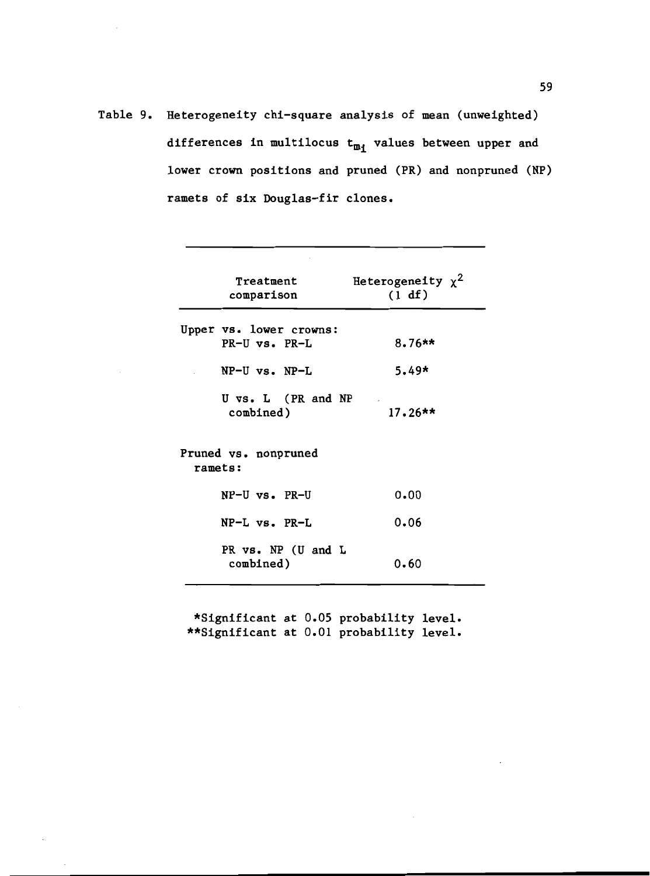Table 9. Heterogeneity chi-square analysis of mean (unweighted) differences in multilocus  $t_{m_i}$  values between upper and lower crown positions and pruned (PR) and nonpruned (NP) ramets of six Douglas-fir clones.

| Treatment               | Heterogeneity $x^2$ |
|-------------------------|---------------------|
| comparison              | (1 df)              |
|                         |                     |
| Upper vs. lower crowns: |                     |
| PR-U vs. PR-L           | $8.76**$            |
|                         |                     |
| $NP-U$ vs. $NP-L$       | $5.49*$             |
| U vs. L (PR and NP      |                     |
| combined)               | $17.26**$           |
|                         |                     |
|                         |                     |
| Pruned vs. nonpruned    |                     |
| ramets:                 |                     |
| $NP-U$ vs. $PR-U$       | 0.00                |
|                         |                     |
| $NP-L$ vs. $PR-L$       | 0.06                |
|                         |                     |
| PR vs. NP (U and L      |                     |
| combined)               | 0.60                |
|                         |                     |

\*Significant at 0.05 probability level. \*\*Significant at 0.01 probability level.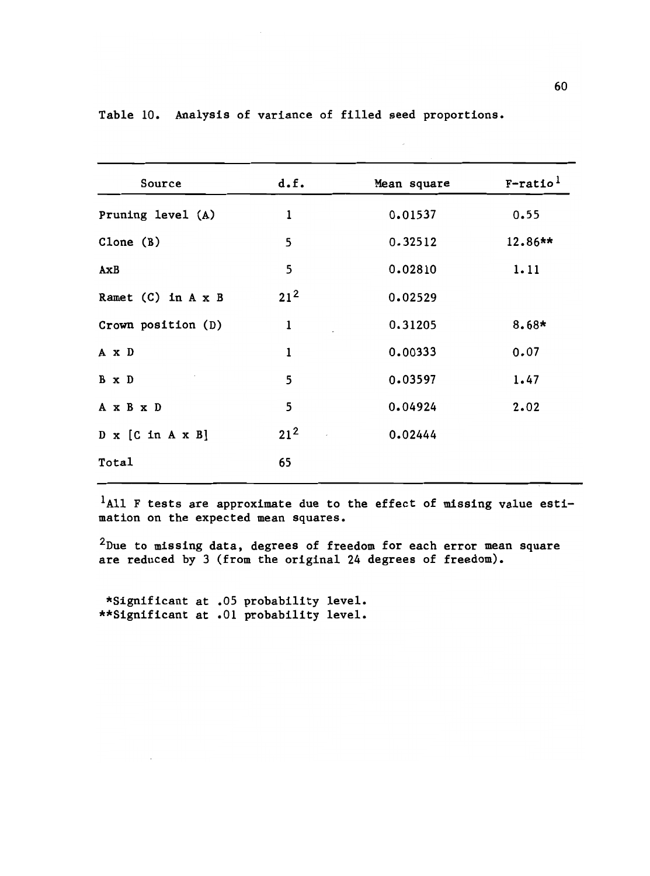| Source                                | d.f.         | Mean square | $F$ -ratio <sup>1</sup> |
|---------------------------------------|--------------|-------------|-------------------------|
| Pruning level (A)                     | $\mathbf{1}$ | 0.01537     | 0.55                    |
| Clone $(B)$                           | 5            | 0.32512     | $12.86**$               |
| AxB                                   | 5            | 0.02810     | 1.11                    |
| Ramet $(C)$ in $A \times B$           | $21^2$       | 0.02529     |                         |
| Crown position (D)                    | $\mathbf{1}$ | 0.31205     | $8.68*$                 |
| A x D                                 | $\mathbf 1$  | 0.00333     | 0.07                    |
| B x D                                 | 5            | 0.03597     | 1.47                    |
| A x B x D                             | 5            | 0.04924     | 2.02                    |
| $D \times [C \text{ in } A \times B]$ | $21^2$       | 0.02444     |                         |
| Total                                 | 65           |             |                         |
|                                       |              |             |                         |

Table 10. Analysis of variance of filled seed proportions.

<sup>1</sup>A11 F tests are approximate due to the effect of missing value estimation on the expected mean squares.

 $2$ Due to missing data, degrees of freedom for each error mean square are reduced by 3 (from the original 24 degrees of freedom).

\*Significant at .05 probability level. \*\*Significant at .01 probability level.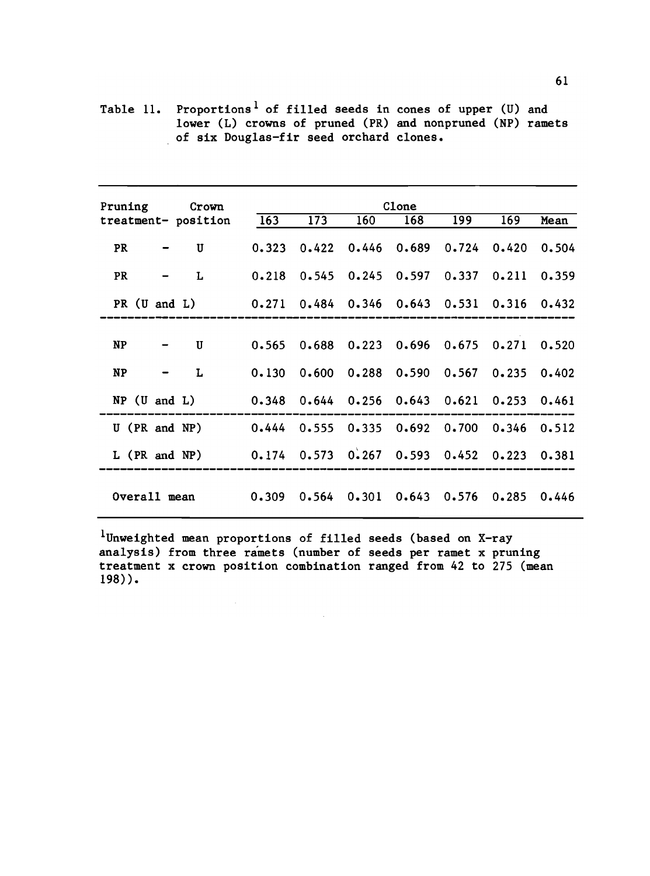Table 11. Proportions<sup>1</sup> of filled seeds in cones of upper (U) and lower (L) crowns of pruned (PR) and nonpruned (NP) ramets of six Douglas-fir seed orchard clones.

| Pruning Crown                                                                       | treatment-position 163 173                              |                                                         | 160 | Clone<br>$^-$ 168 | 199 | 169 | Mean |
|-------------------------------------------------------------------------------------|---------------------------------------------------------|---------------------------------------------------------|-----|-------------------|-----|-----|------|
| PR<br>$\mathcal{L}(\mathcal{L}(\mathcal{L}))=\mathcal{L}(\mathcal{L}(\mathcal{L}))$ | U                                                       | 0.323 0.422 0.446 0.689 0.724 0.420 0.504               |     |                   |     |     |      |
| PR                                                                                  | L                                                       | $0.218$ $0.545$ $0.245$ $0.597$ $0.337$ $0.211$ $0.359$ |     |                   |     |     |      |
|                                                                                     | PR (U and L) 0.271 0.484 0.346 0.643 0.531 0.316 0.432  |                                                         |     |                   |     |     |      |
|                                                                                     |                                                         |                                                         |     |                   |     |     |      |
| $NP$ $-$                                                                            | U                                                       | $0.565$ $0.688$ $0.223$ $0.696$ $0.675$ $0.271$ $0.520$ |     |                   |     |     |      |
| $NP$ – L                                                                            |                                                         | $0.130$ $0.600$ $0.288$ $0.590$ $0.567$ $0.235$ $0.402$ |     |                   |     |     |      |
|                                                                                     | NP (U and L) 0.348 0.644 0.256 0.643 0.621 0.253 0.461  |                                                         |     |                   |     |     |      |
|                                                                                     | U (PR and NP) 0.444 0.555 0.335 0.692 0.700 0.346 0.512 |                                                         |     |                   |     |     |      |
|                                                                                     | L (PR and NP) 0.174 0.573 0.267 0.593 0.452 0.223 0.381 |                                                         |     |                   |     |     |      |
|                                                                                     | Overall mean 0.309 0.564 0.301 0.643 0.576 0.285 0.446  |                                                         |     |                   |     |     |      |

1Unweighted mean proportions of filled seeds (based on X-ray analysis) from three ramets (number of seeds per ramet x pruning treatment x crown position combination ranged from 42 to 275 (mean 198)).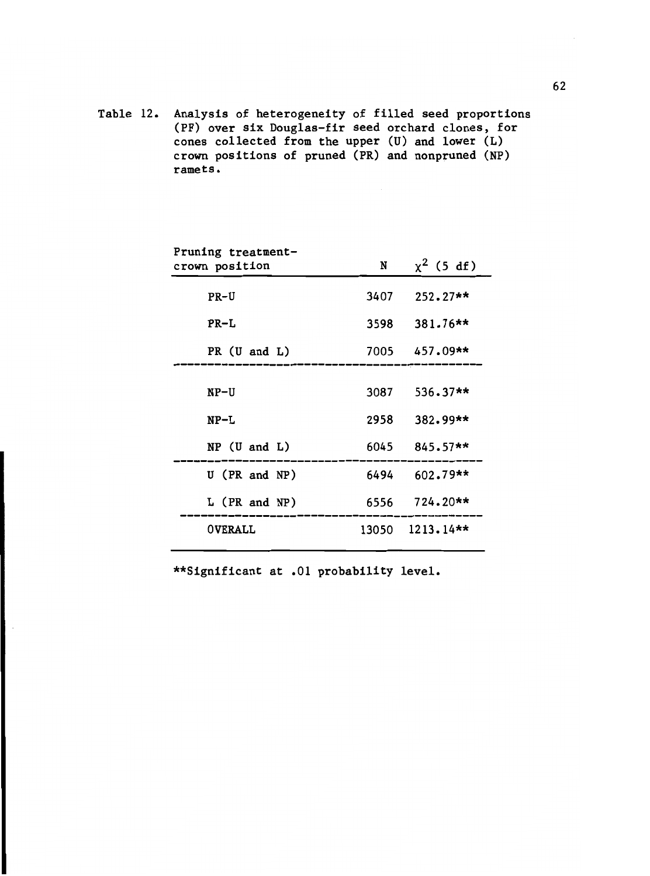Table 12. Analysis of heterogeneity of filled seed proportions (PF) over six Douglas-fir seed orchard clones, for cones collected from the upper  $(U)$  and lower  $(L)$ crown positions of pruned (PR) and nonpruned (NP) ramets.

| Pruning treatment-<br>crown position | N     | $x^2$ (5 df)    |
|--------------------------------------|-------|-----------------|
| $PR-U$                               | 3407  | $252.27**$      |
| $PR-L$                               | 3598  | 381.76**        |
| PR $(U \text{ and } L)$              |       | $7005$ 457.09** |
| NP-U                                 | 3087  | $536.37**$      |
| $NP-L$                               | 2958  | 382.99**        |
| $NP$ (U and L)                       |       | $6045$ 845.57** |
| U (PR and NP)                        | 6494  | $602.79**$      |
| $L$ (PR and NP)                      |       | 6556 724.20**   |
| <b>OVERALL</b>                       | 13050 | $1213.14**$     |
|                                      |       |                 |

\*\*Significant at .01 probability level.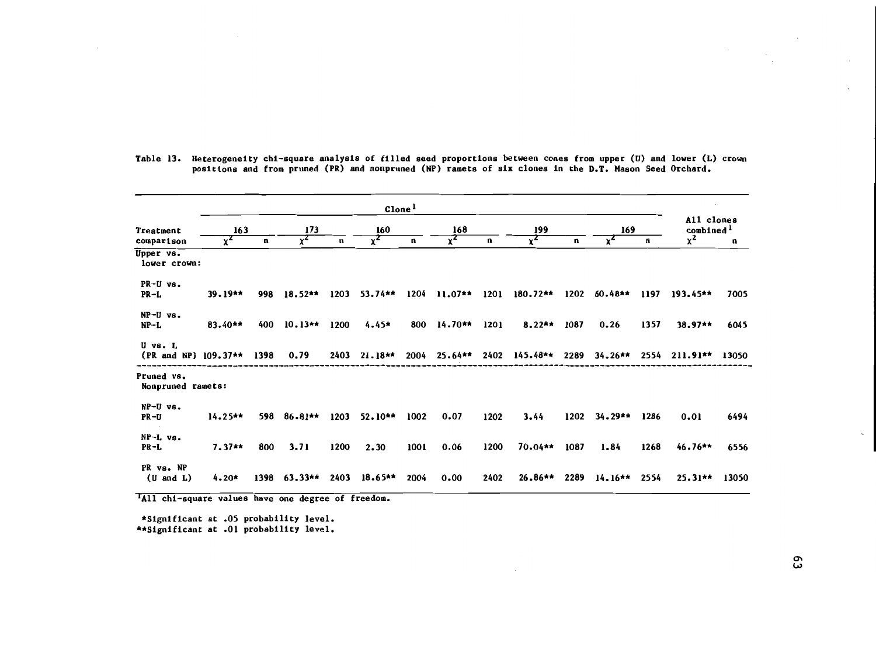|                                      | $C$ lone <sup>1</sup> |      |                |      |           |      |                  |      |                    |      |           |      |                                     |       |
|--------------------------------------|-----------------------|------|----------------|------|-----------|------|------------------|------|--------------------|------|-----------|------|-------------------------------------|-------|
| Treatment<br>comparison              | 163                   |      | 173            |      | 160       |      | 168              |      | 199                |      | 169       |      | All clones<br>combined <sup>1</sup> |       |
|                                      | Υ <sup>Ζ</sup>        | n    | γ <sup>Ζ</sup> | n    | $x^2$     | n    | $\overline{x^2}$ | n    |                    | n    |           | n    | $x^2$                               | n     |
| Upper vs.<br>lower crown:            |                       |      |                |      |           |      |                  |      |                    |      |           |      |                                     |       |
| PR-U vs.                             |                       |      |                |      |           |      |                  |      |                    |      |           |      |                                     |       |
| PR-L                                 | $39.19**$             | 998  | $18.52**$      | 1203 | 53.74**   | 1204 | $11.07**$        | 1201 | 180.72**           | 1202 | $60.48**$ | 1197 | 193.45**                            | 7005  |
| $NP-U vs.$                           |                       |      |                |      |           |      |                  |      |                    |      |           |      |                                     |       |
| $NP-L$                               | 83.40**               | 400  | $10.13**$      | 1200 | $4.45*$   | 800  | $14.70**$        | 1201 | $8.22**$           | 1087 | 0.26      | 1357 | $38.97**$                           | 6045  |
| U vs. L<br>(PR and NP) 109.37** 1398 |                       |      | 0.79           | 2403 | 21.18**   | 2004 | 25.64**          |      | 2402 145.48** 2289 |      | $34.26**$ | 2554 | $211.91**$                          | 13050 |
| Pruned vs.<br>Nonpruned ramets:      |                       |      |                |      |           |      |                  |      |                    |      |           |      |                                     |       |
| NP-U vs.<br>PR-U                     | $14.25**$             | 598  | $86.81**$      | 1203 | $52.10**$ | 1002 | 0.07             | 1202 | 3.44               | 1202 | 34.29**   | 1286 | 0.01                                | 6494  |
| $NP-L$ vs.                           |                       |      |                |      |           |      |                  |      |                    |      |           |      |                                     |       |
| $PR-L$                               | $7.37**$              | 800  | 3.71           | 1200 | 2.30      | 1001 | 0.06             | 1200 | $70.04**$          | 1087 | 1.84      | 1268 | $46.76**$                           | 6556  |
| PR vs. NP<br>$(U \text{ and } L)$    | $4.20*$               | 1398 | $63.33**$      | 2403 | $18.65**$ | 2004 | 0.00             | 2402 | $26.86**$          | 2289 | $14.16**$ | 2554 | $25.31**$                           | 13050 |

Table 13. Heterogeneity chi-square analysis of filled seed proportions between cones from upper (U) and lower (L) crown<br>positions and from pruned (PR) and nonpruned (NP) ramets of six clones in the D.T. Mason Seed Orchard.

TAll chi-square values have one degree of freedom.

\*Significant at .05 probability level. \*\*Significant at .01 probability level.  $\sim$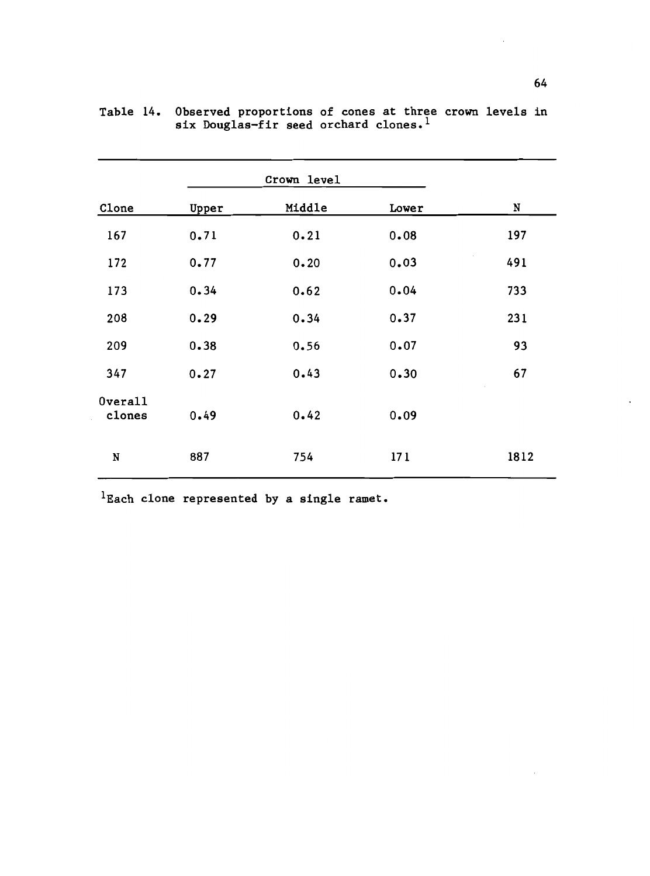| Clone             | Upper | Middle   | Lower | N    |
|-------------------|-------|----------|-------|------|
| 167               | 0.71  | $0 - 21$ | 0.08  | 197  |
| 172               | 0.77  | $0 - 20$ | 0.03  | 491  |
| 173               | 0.34  | 0.62     | 0.04  | 733  |
| 208               | 0.29  | 0.34     | 0.37  | 231  |
| 209               | 0.38  | 0.56     | 0.07  | 93   |
| 347               | 0.27  | 0.43     | 0.30  | 67   |
| Overall<br>clones | 0.49  | 0.42     | 0.09  |      |
| N                 | 887   | 754      | 171   | 1812 |

|  | Table 14. Observed proportions of cones at three crown levels in |  |
|--|------------------------------------------------------------------|--|
|  | six Douglas-fir seed orchard clones. <sup>1</sup>                |  |

 ${}^{1}$ Each clone represented by a single ramet.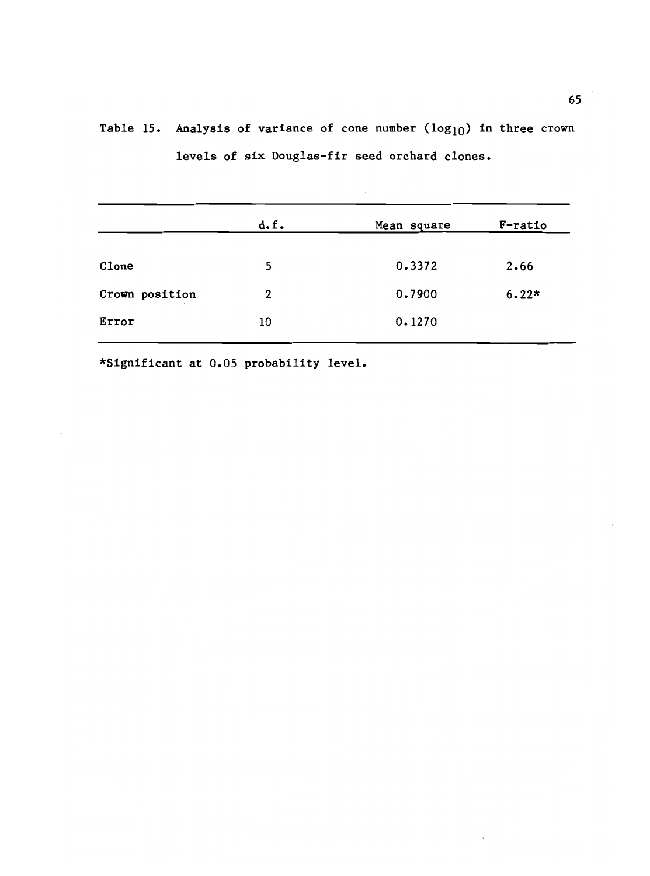|                | d.f. | Mean square | F-ratio |  |
|----------------|------|-------------|---------|--|
|                |      |             |         |  |
| Clone          | 5    | 0.3372      | 2.66    |  |
| Crown position | 2    | 0.7900      | $6.22*$ |  |
|                |      |             |         |  |
| Error          | 10   | 0.1270      |         |  |
|                |      |             |         |  |

Table 15. Analysis of variance of cone number  $(log_{10})$  in three crown levels of six Douglas-fir seed orchard clones.

\*Significant at 0.05 probability level.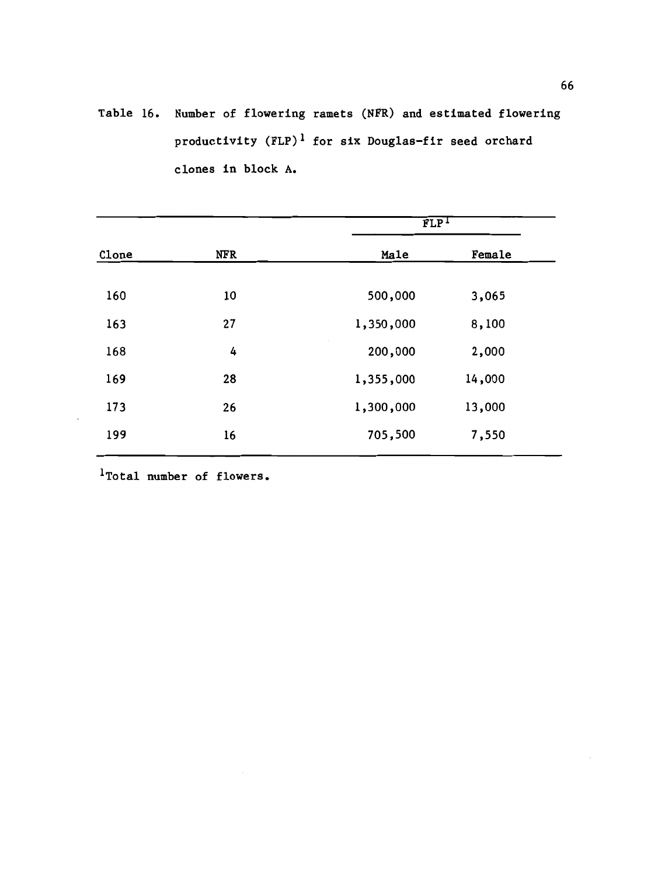Table 16. Number of flowering ramets (NFR) and estimated flowering productivity  $(FLP)^1$  for six Douglas-fir seed orchard clones in block A.

|       |            | FLP <sup>T</sup> |        |  |
|-------|------------|------------------|--------|--|
| Clone | <b>NFR</b> | Male             | Female |  |
|       |            |                  |        |  |
| 160   | 10         | 500,000          | 3,065  |  |
| 163   | 27         | 1,350,000        | 8,100  |  |
| 168   | 4          | 200,000          | 2,000  |  |
| 169   | 28         | 1,355,000        | 14,000 |  |
| 173   | 26         | 1,300,000        | 13,000 |  |
| 199   | 16         | 705,500          | 7,550  |  |

1Total number of flowers.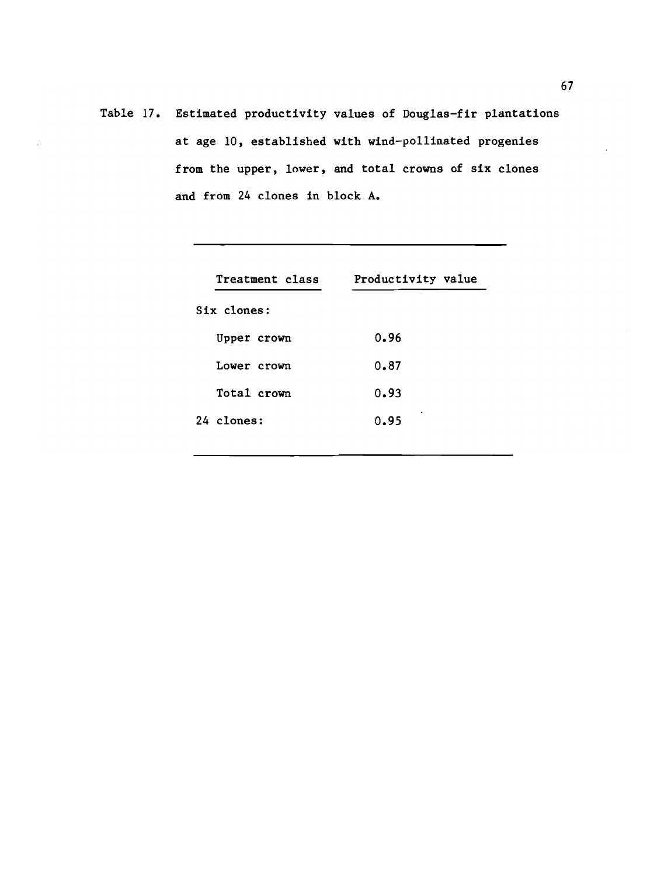Table 17. Estimated productivity values of Douglas-fir plantations at age 10, established with wind-pollinated progenies from the upper, lower, and total crowns of six clones and from 24 clones in block A.

| Treatment class | Productivity value |
|-----------------|--------------------|
| Six clones:     |                    |
| Upper crown     | 0.96               |
| Lower crown     | 0.87               |
| Total crown     | 0.93               |
| 24 clones:      | ۰<br>0.95          |
|                 |                    |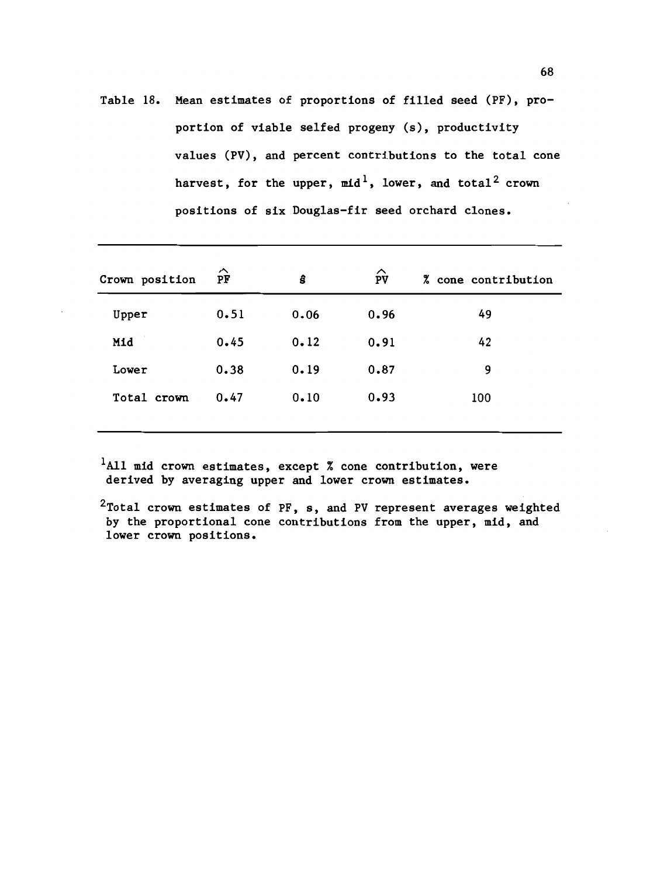Table 18. Mean estimates of proportions of filled seed (PF), proportion of viable selfed progeny (s), productivity values (PV), and percent contributions to the total cone harvest, for the upper,  $mid^1$ , lower, and total<sup>2</sup> crown positions of six Douglas-fir seed orchard clones.

| Crown position | ⌒<br>PF | ŝ    | $\hat{P}V$ | % cone contribution |
|----------------|---------|------|------------|---------------------|
| Upper          | 0.51    | 0.06 | 0.96       | 49                  |
| Mid            | 0.45    | 0.12 | 0.91       | 42                  |
| Lower          | 0.38    | 0.19 | 0.87       | 9                   |
| Total crown    | 0.47    | 0.10 | 0.93       | 100                 |
|                |         |      |            |                     |

 $1$ All mid crown estimates, except % cone contribution, were derived by averaging upper and lower crown estimates.

 $2$ Total crown estimates of PF, s, and PV represent averages weighted by the proportional cone contributions from the upper, mid, and lower crown positions.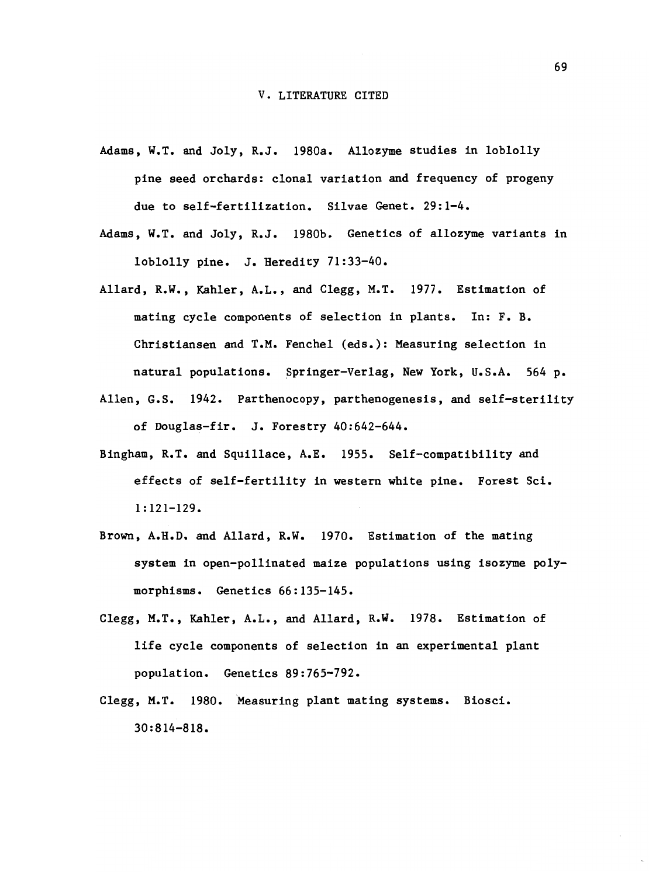- Adams, W.T. and Joly, R.J. 1980a. Allozyme studies in loblolly pine seed orchards: clonal variation and frequency of progeny due to self-fertilization. Silvae Genet. 29:1-4.
- Adams, W.T. and Joly, R.J. 1980b. Genetics of allozyme variants in loblolly pine. J. Heredity 71:33-40.
- Allard, R.W., Kahier, A.L., and Clegg, M.T. 1977. Estimation of mating cycle components of selection in plants. In: F. B. Christiansen and T.M. Fenchel (eds.): Measuring selection in natural populations. Springer-Verlag, New York, U.S.A. 564 p.
- Allen, G.S. 1942. Parthenocopy, parthenogenesis, and self-sterility of Douglas-fir. J. Forestry 40:642-644.
- Bingham, R.T. and Squillace, A.E. 1955. Self-compatibility and effects of self-fertility in western white pine. Forest Sci. 1:121-129.
- Brown, A.H.D. and Allard, R.W. 1970. Estimation of the mating system in open-pollinated maize populations using isozyme polymorphisms. Genetics 66:135-145.
- Clegg, M.T., Kahler, A.L., and Allard, R.W. 1978. Estimation of life cycle components of selection in an experimental plant population. Genetics 89:765-792.
- Clegg, M.T. 1980. Measuring plant mating systems. Biosci. 30 :8 14-8 18.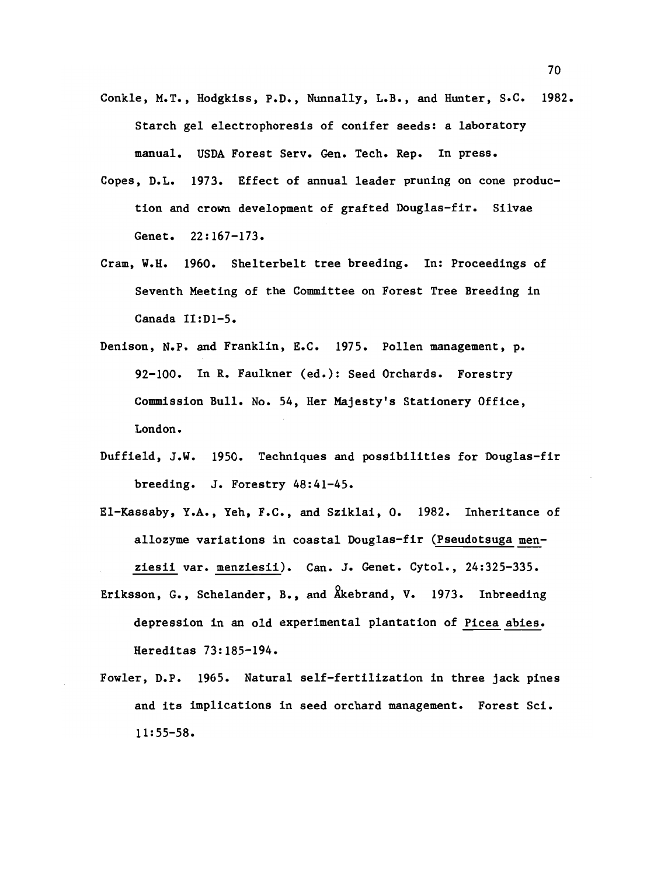- Conkle, M.T., Hodgkiss, P.D., Nunnally, L.B., and Hunter, S.C. 1982. Starch gel electrophoresis of conifer seeds: a laboratory manual. USDA Forest Serv. Gen. Tech. Rep. In press.
- Copes, D.L. 1973. Effect of annual leader pruning on cone production and crown development of grafted Douglas-fir. Silvae Genet. 22:167-173.
- Cram, W.H. 1960. Shelterbelt tree breeding. In: Proceedings of Seventh Meeting of the Committee on Forest Tree Breeding in Canada II:D1-5.
- Denison, N.P. and Franklin, E.C. 1975. Pollen management, p. 92-100. In R. Faulkner (ed.): Seed Orchards. Forestry Commission Bull. No. 54, Her Majesty's Stationery Office, London.
- Duf field, J.W. 1950. Techniques and possibilities for Douglas-fir breeding. J. Forestry 48:41-45.
- El-Kassaby, Y.A., Yeh, F.C., and Sziklai, 0. 1982. Inheritance of allozyme variations in coastal Douglas-fir (Pseudotsuga menziesii var. menziesii). Can. J. Cenet. Cytol., 24:325-335.
- Eriksson, G., Schelander, B., and kebrand, V. 1973. Inbreeding depression in an old experimental plantation of Picea abies. Hereditas 73: 185-194.
- Fowler, D.P. 1965. Natural self-fertilization in three jack pines and its implications in seed orchard management. Forest Sci. 11: 55-58.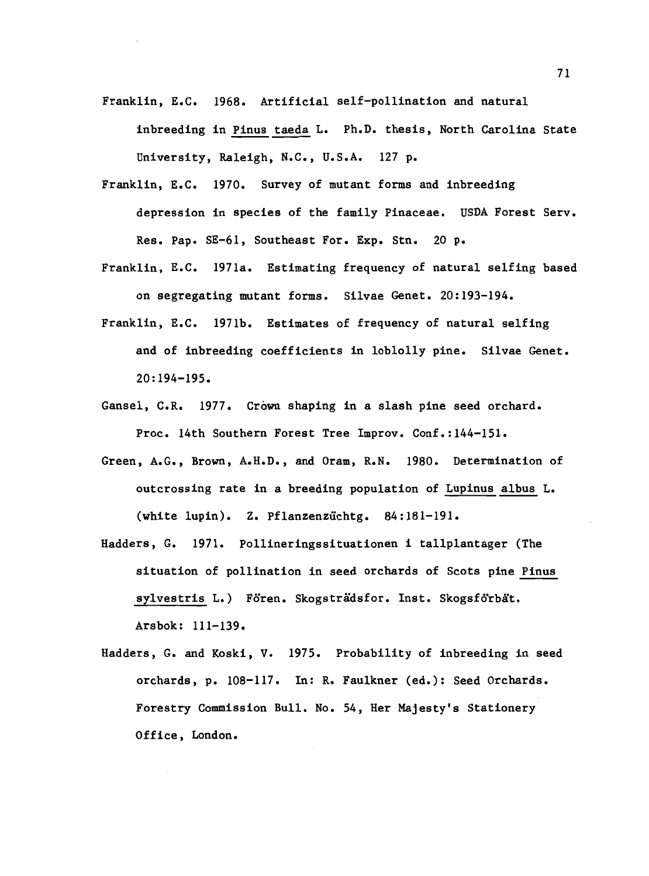Franklin, E.C. 1968. Artificial self-pollination and natural

inbreeding in Pinus taeda L. Ph.D. thesis, North Carolina State University, Raleigh, N.C., U.S.A. 127 p.

- Franklin, E.C. 1970. Survey of mutant forms and inbreeding depression in species of the family Pinaceae. USDA Forest Serv. Res. Pap. SE-61, Southeast For. Exp. Stn. 20 p.
- Franklin, E.C. 1971a. Estimating frequency of natural selfing based on segregating mutant forms. Silvae Genet. 20:193-194.
- Franklin, E.C. 1971b. Estimates of frequency of natural selfing and of inbreeding coefficients in loblolly pine. Silvae Genet. 20:194-195.
- Gansel, C.R. 1977. Crown shaping in a slash pine seed orchard. Proc. 14th Southern Forest Tree Improv. Conf.:144-151.
- Green, A.G., Brown, A.H.D., and Oram, R.N. 1980. Determination of outcrossing rate in a breeding population of Lupinus albus L. (white lupin). Z. Pflanzenzichtg. 84:181-191.
- Hadders, G. 1971. Pollineringssituationen i tallplantager (The situation of pollination in seed orchards of Scots pine Pinus sylvestris L.) Fören. Skogsträdsfor. Inst. Skogsförbät. Arsbok: 111-139.
- Hadders, G. and Koski, V. 1975. Probability of inbreeding in seed orchards, p. 108-117. In: R. Faulkner (ed.): Seed Orchards. Forestry Commission Bull. No. 54, Her Majesty's Stationery Office, London.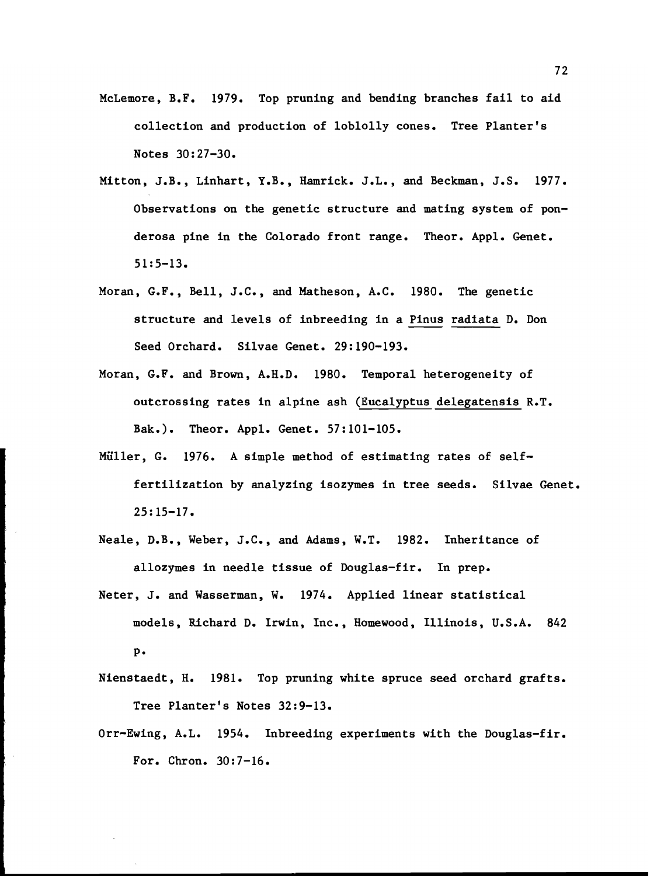- McLemore, B.F. 1979. Top pruning and bending branches fail to aid collection and production of loblolly cones. Tree Planter's Notes 30:27-30.
- Mitton, J.B., Linhart, Y.B., Hamrick. J.L., and Beckman, J.S. 1977. Observations on the genetic structure and mating system of ponderosa pine in the Colorado front range. Theor. Appl. Genet.  $51:5-13.$
- Moran, G.F., Bell, J.C., and Matheson, A.C. 1980. The genetic structure and levels of inbreeding in a Pinus radiata D. Don Seed Orchard. Silvae Genet. 29:190-193.
- Moran, G.F. and Brown, A.H.D. 1980. Temporal heterogeneity of outcrossing rates in alpine ash (Eucalyptus delegatensis R.T. Bak.). Theor. Appl. Genet. 57:101-105.
- Müller, G. 1976. A simple method of estimating rates of selffertilization by analyzing isozymes in tree seeds. Silvae Genet. 25: 15-17.
- Neale, D.B., Weber, J.C., and Adams, W.T. 1982. Inheritance of allozymes in needle tissue of Douglas-fir. In prep.
- Neter, J. and Wasserman, W. 1974. Applied linear statistical models, Richard D. Irwin, Inc., Homewood, Illinois, U.S.A. 842 p.
- Nienstaedt, H. 1981. Top pruning white spruce seed orchard grafts. Tree Planter's Notes 32:9-13.
- Orr-Ewing, A.L. 1954. Inbreeding experiments with the Douglas-fir. For. Chron. 30:7-16.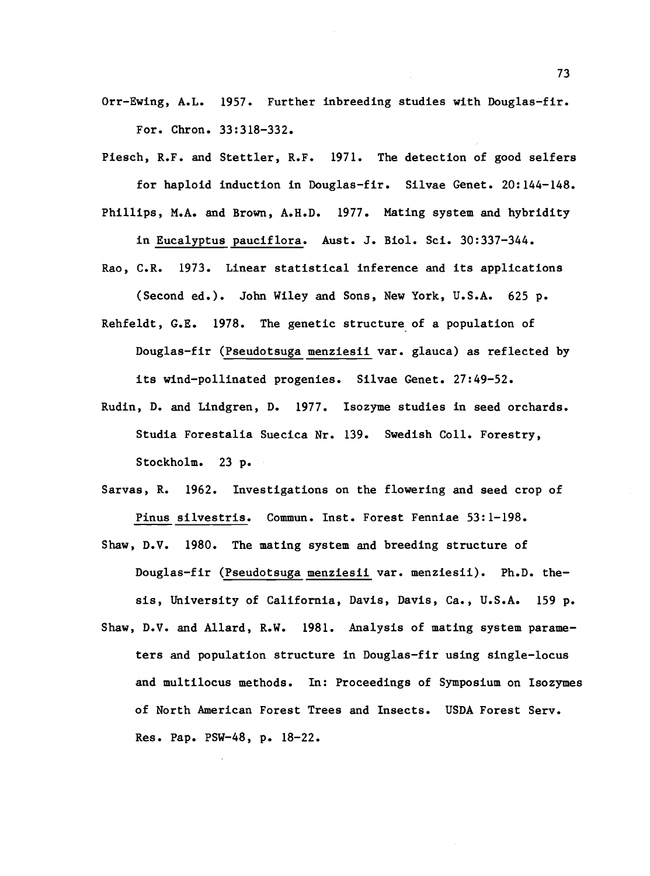- Orr-Ewing, A.L. 1957. Further inbreeding studies with Douglas-fir. For. Chron. 33:318-332.
- Piesch, R.F. and Stettler, R.F. 1971. The detection of good selfers for haploid induction in Douglas-fir. Silvae Genet. 20:144-148. Phillips, M.A. and Brown, A.H.D. 1977. Mating system and hybridity

in Eucalyptus pauciflora. Aust. J. Biol. Sci. 30:337-344. Rao, C.R. 1973. Linear statistical inference and its applications

(Second ed.). John Wiley and Sons, New York, U.S.A. 625 p.

- Rehfeldt, G.E. 1978. The genetic structure of a population of Douglas-fir (Pseudotsuga menziesii var. glauca) as reflected by its wind-pollinated progenies. Silvae Genet. 27:49-52.
- Rudin, D. and Lindgren, D. 1977. Isozyme studies in seed orchards. Studia Forestalia Suecica Nr. 139. Swedish Coll. Forestry, Stockholm. 23 p.
- Sarvas, R. 1962. Investigations on the flowering and seed crop of Pinus silvestris. Commun. Inst. Forest Fenniae 53:1-198.
- Shaw, D.V. 1980. The mating system and breeding structure of Douglas-fir (Pseudotsuga menziesii var. menziesii). Ph.D. thesis, University of California, Davis, Davis, Ca., U.S.A. 159 p.
- Shaw, D.V. and Allard, R.W. 1981. Analysis of mating system parameters and population structure in Douglas-fir using single-locus and multilocus methods. In: Proceedings of Symposium on Isozymes of North American Forest Trees and Insects. USDA Forest Serv. Res. Pap. PSW-48, p. 18-22.

73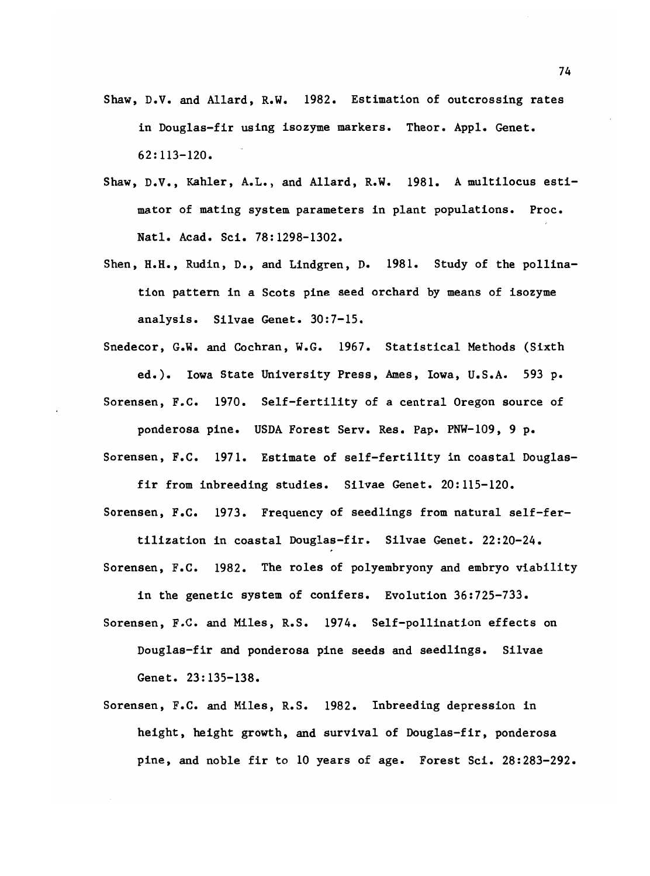- Shaw, D.V. and Allard, R.W. 1982. Estimation of outcrossing rates in Douglas-fir using isozyme markers. Theor. Appl. Genet. 62:113-120.
- Shaw, D.V., Kahler, A.L., and Allard, R.W. 1981. A multilocus estimator of mating system parameters in plant populations. Proc. Natl. Acad. Sci. 78:1298-1302.
- Shen, H.H., Rudin, D., and Lindgren, D. 1981. Study of the pollination pattern in a Scots pine seed orchard by means of isozyme analysis. Silvae Genet. 30:7-15.
- Snedecor, G.W. and Cochran, W.G. 1967. Statistical Methods (Sixth ed.). Iowa State University Press, Ames, Iowa, U.S.A. 593 p. Sorensen, F.C. 1970. Self-fertility of a central Oregon source of

ponderosa pine. USDA Forest Serv. Res. Pap. PNW-109, 9 p. Sorensen, F.C. 1971. Estimate of self-fertility in coastal Douglas-

fir from inbreeding studies. Silvae Genet. 20:115-120. Sorensen, F.C. 1973. Frequency of seedlings from natural self-fer-

tilization in coastal Douglas-fir. Silvae Genet. 22:20-24. Sorensen, F.C. 1982. The roles of polyembryony and embryo viability

in the genetic system of conifers. Evolution 36:725-733.

Sorensen, F.C. and Miles, R.S. 1974. Self-pollination effects on Douglas-fir and ponderosa pine seeds and seedlings. Silvae Genet. 23: 135-138.

Sorensen, F.C. and Miles, R.S. 1982. Inbreeding depression in height, height growth, and survival of Douglas-fir, ponderosa pine, and noble fir to 10 years of age. Forest Sci. 28:283-292.